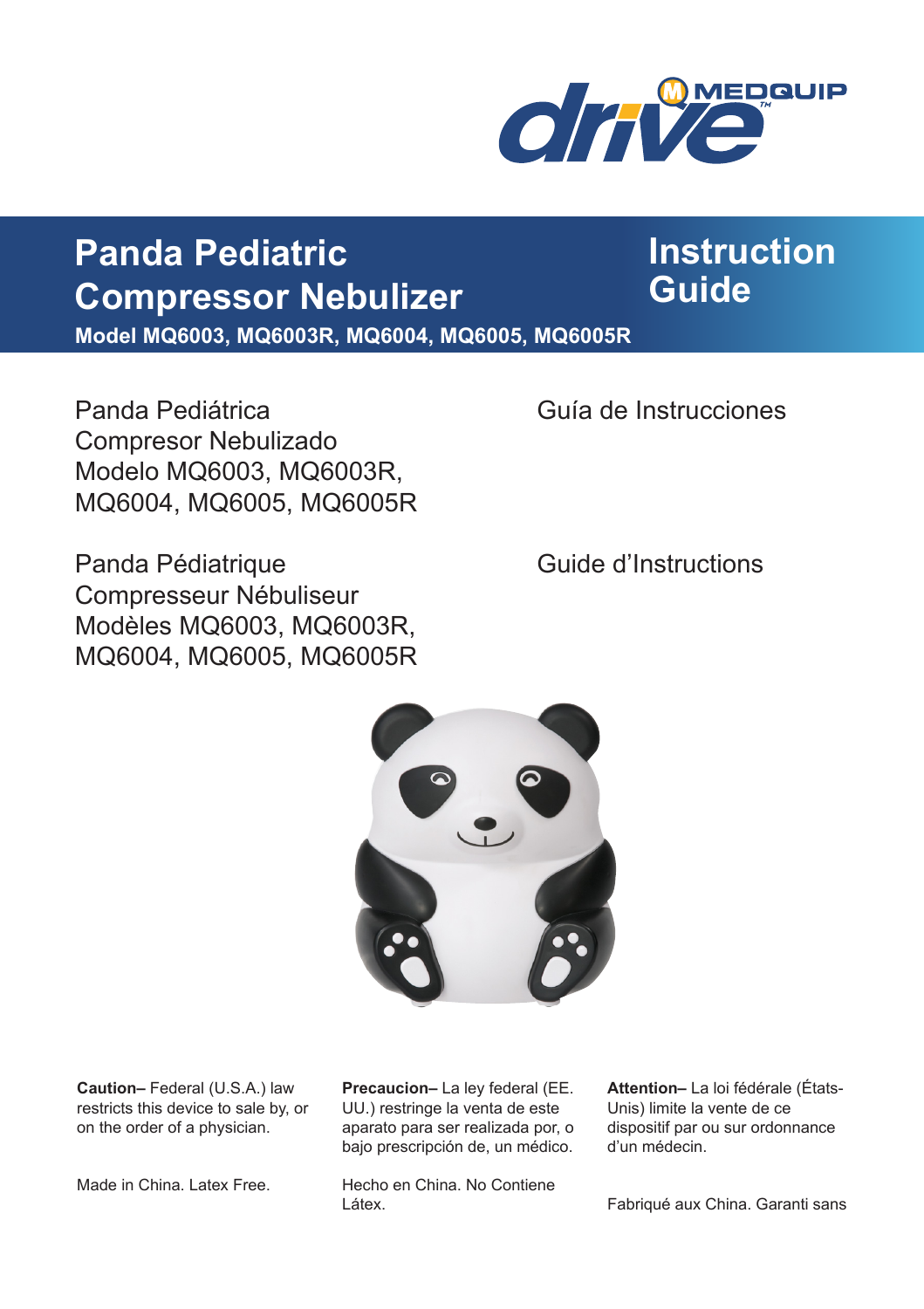

**Instruction** 

**Guide**

## **Panda Pediatric Compressor Nebulizer**

**Model MQ6003, MQ6003R, MQ6004, MQ6005, MQ6005R**

Panda Pediátrica Guía de Instrucciones Compresor Nebulizado Modelo MQ6003, MQ6003R, MQ6004, MQ6005, MQ6005R

Panda Pédiatrique **Cause de La Constantineur de la Constantineur de la Constantineur de la Constantineur de la Constantineur de la Constantineur de la Constantineur de la Constantineur de la Constantineur de la Constantine** Compresseur Nébuliseur Modèles MQ6003, MQ6003R, MQ6004, MQ6005, MQ6005R



**Caution–** Federal (U.S.A.) law restricts this device to sale by, or on the order of a physician.

Made in China. Latex Free.

**Precaucion–** La ley federal (EE. UU.) restringe la venta de este aparato para ser realizada por, o bajo prescripción de, un médico.

Hecho en China. No Contiene Látex.

**Attention–** La loi fédérale (États-Unis) limite la vente de ce dispositif par ou sur ordonnance d'un médecin.

Fabriqué aux China. Garanti sans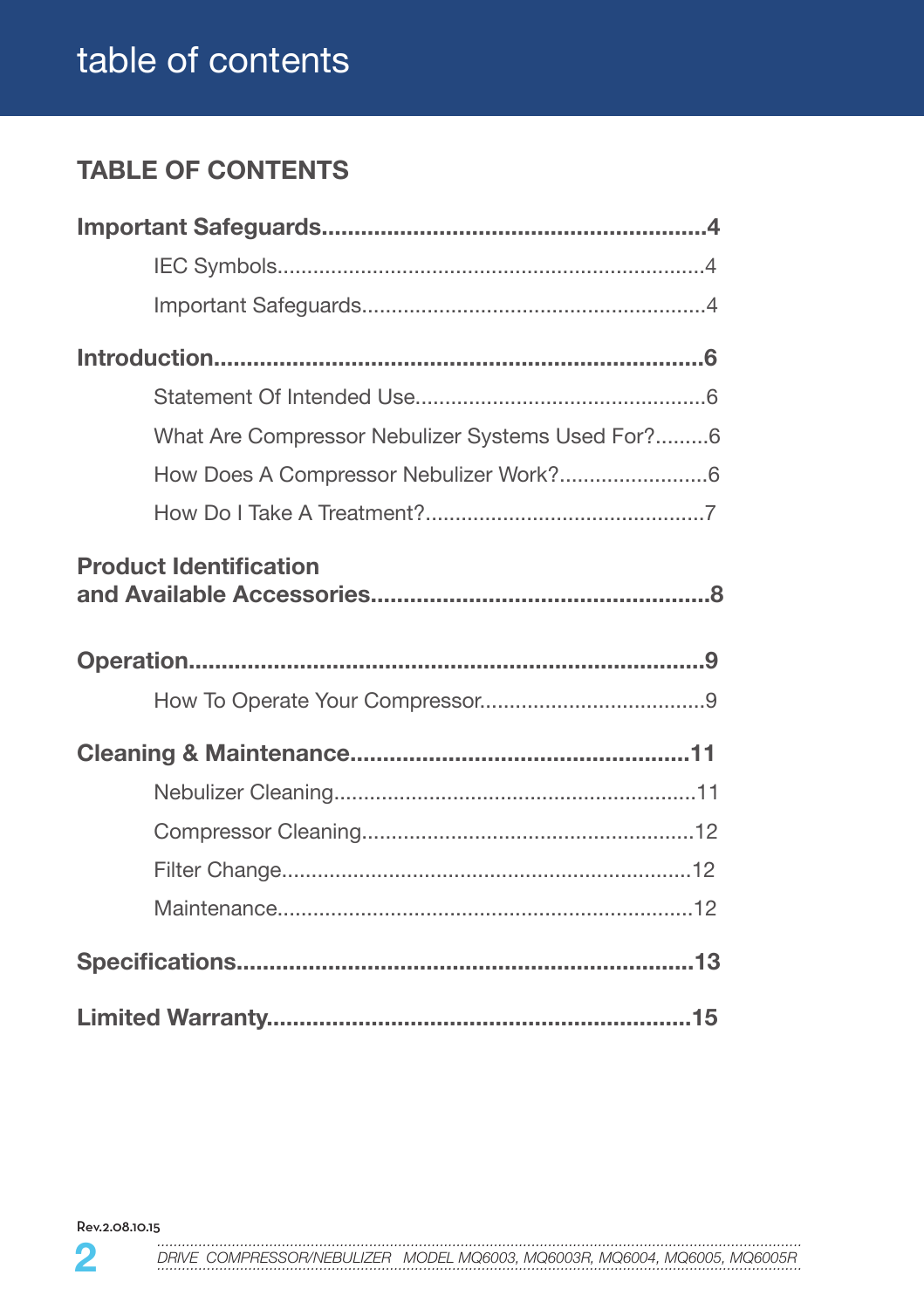## table of contents

## **TABLE OF CONTENTS**

| What Are Compressor Nebulizer Systems Used For?6 |  |
|--------------------------------------------------|--|
| How Does A Compressor Nebulizer Work?6           |  |
|                                                  |  |
| <b>Product Identification</b>                    |  |
|                                                  |  |
|                                                  |  |
|                                                  |  |
|                                                  |  |
|                                                  |  |
|                                                  |  |
|                                                  |  |
|                                                  |  |
|                                                  |  |

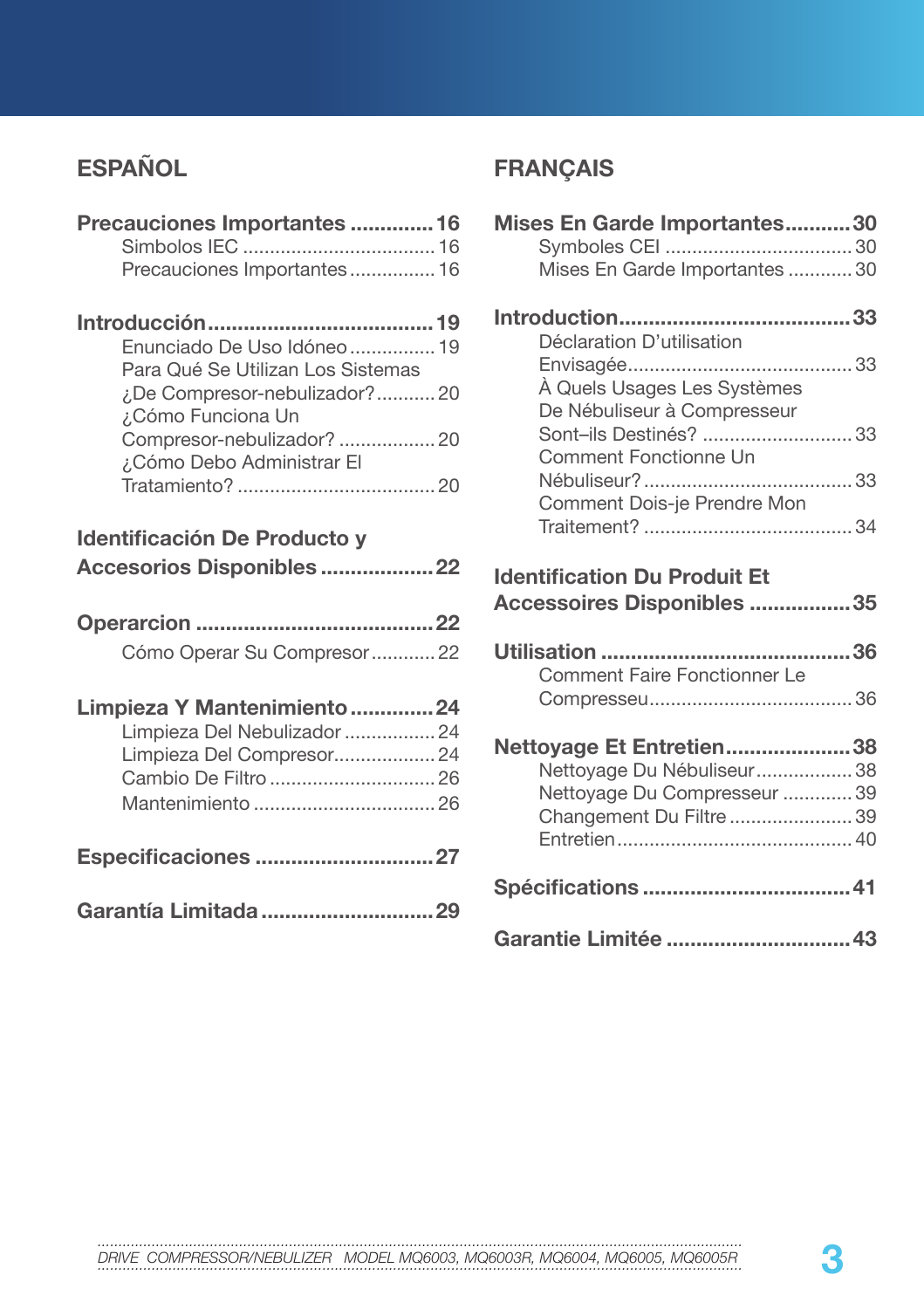## **ESPAÑOL**

| Precauciones Importantes  16<br>Precauciones Importantes 16      |  |
|------------------------------------------------------------------|--|
|                                                                  |  |
| Enunciado De Uso Idóneo  19<br>Para Qué Se Utilizan Los Sistemas |  |
| ¿De Compresor-nebulizador?20<br>¿Cómo Funciona Un                |  |
| Compresor-nebulizador?  20<br>¿Cómo Debo Administrar El          |  |
|                                                                  |  |
| Identificación De Producto y                                     |  |
| Accesorios Disponibles 22                                        |  |
|                                                                  |  |
|                                                                  |  |
| Cómo Operar Su Compresor 22                                      |  |
| Limpieza Y Mantenimiento 24                                      |  |
| Limpieza Del Nebulizador  24                                     |  |
| Limpieza Del Compresor 24                                        |  |
| Cambio De Filtro  26                                             |  |
|                                                                  |  |
| Especificaciones 27                                              |  |

## **FRANÇAIS**

| Mises En Garde Importantes30                               |
|------------------------------------------------------------|
|                                                            |
| Mises En Garde Importantes  30                             |
| Déclaration D'utilisation                                  |
|                                                            |
| À Quels Usages Les Systèmes<br>De Nébuliseur à Compresseur |
| Sont-ils Destinés?  33<br>Comment Fonctionne Un            |
| Comment Dois-je Prendre Mon                                |
|                                                            |
| <b>Identification Du Produit Et</b>                        |
|                                                            |
| Accessoires Disponibles 35                                 |
| Comment Faire Fonctionner Le                               |
|                                                            |
|                                                            |
| Nettoyage Et Entretien38<br>Nettoyage Du Nébuliseur38      |
| Nettoyage Du Compresseur  39                               |
| Changement Du Filtre 39                                    |
|                                                            |
| Spécifications  41                                         |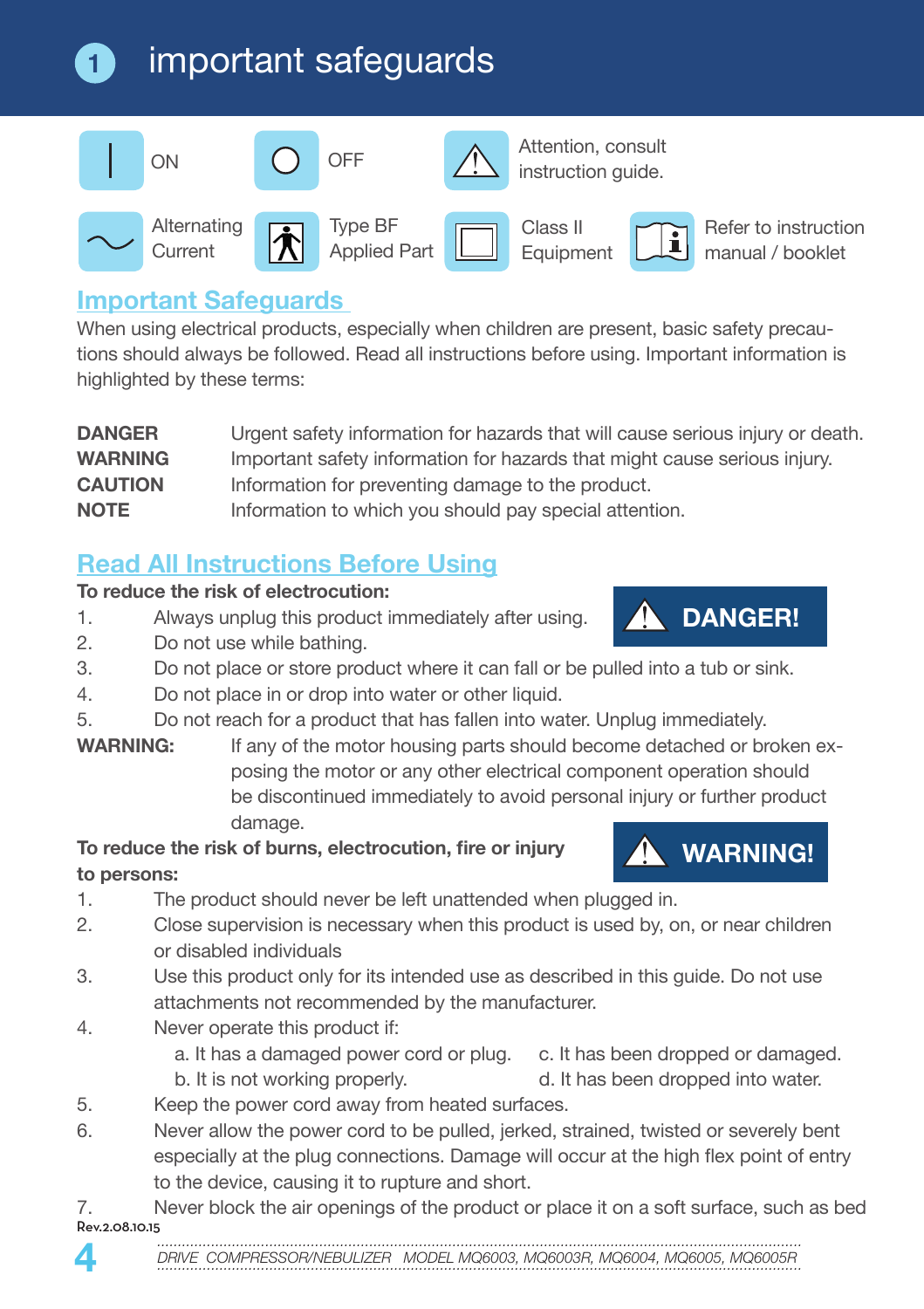### important safeguards **1**



Applied Part

Attention, consult instruction guide.

 $\tilde{\mathbf{1}}$ 

Equipment

Refer to instruction manual / booklet

## **Important Safeguards**

**Current** 

When using electrical products, especially when children are present, basic safety precautions should always be followed. Read all instructions before using. Important information is highlighted by these terms:

| <b>DANGER</b>  | Urgent safety information for hazards that will cause serious injury or death. |
|----------------|--------------------------------------------------------------------------------|
| <b>WARNING</b> | Important safety information for hazards that might cause serious injury.      |
| <b>CAUTION</b> | Information for preventing damage to the product.                              |
| <b>NOTE</b>    | Information to which you should pay special attention.                         |

## **Read All Instructions Before Using**

### **To reduce the risk of electrocution:**

- 1. Always unplug this product immediately after using.
- 2. Do not use while bathing.
- 3. Do not place or store product where it can fall or be pulled into a tub or sink.
- 4. Do not place in or drop into water or other liquid.
- 5. Do not reach for a product that has fallen into water. Unplug immediately.
- **WARNING:** If any of the motor housing parts should become detached or broken exposing the motor or any other electrical component operation should be discontinued immediately to avoid personal injury or further product damage.

### **To reduce the risk of burns, electrocution, fire or injury to persons:**

**WARNING!**

**DANGER!**

- 1. The product should never be left unattended when plugged in.
- 2. Close supervision is necessary when this product is used by, on, or near children or disabled individuals
- 3. Use this product only for its intended use as described in this guide. Do not use attachments not recommended by the manufacturer.
- 4. Never operate this product if:
	- a. It has a damaged power cord or plug. c. It has been dropped or damaged.
	- b. It is not working properly. d. It has been dropped into water.
- 5. Keep the power cord away from heated surfaces.
- 6. Never allow the power cord to be pulled, jerked, strained, twisted or severely bent especially at the plug connections. Damage will occur at the high flex point of entry to the device, causing it to rupture and short.
- *...........................................................................................................................................................* Rev.2.08.10.15 7. Never block the air openings of the product or place it on a soft surface, such as bed

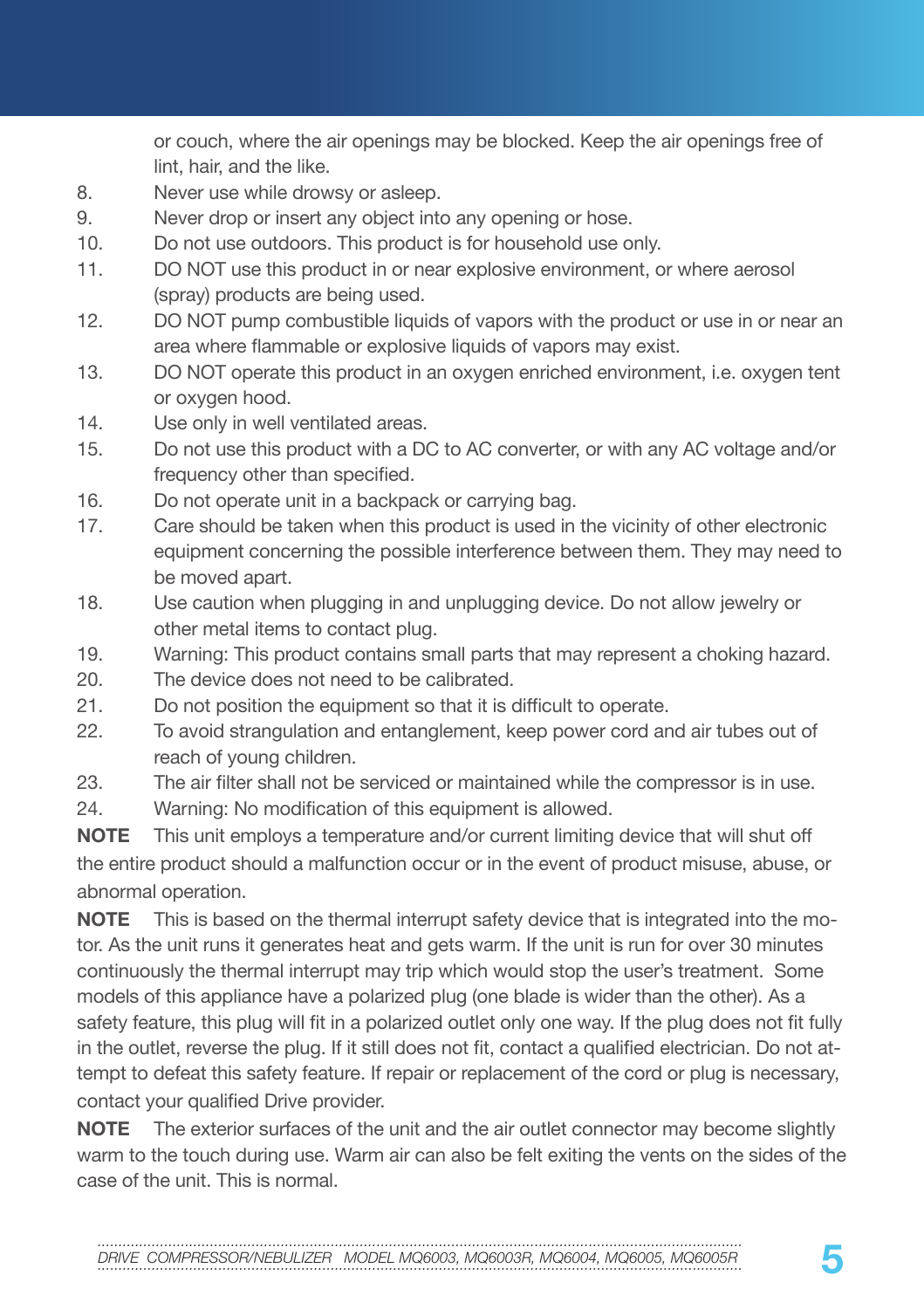or couch, where the air openings may be blocked. Keep the air openings free of lint, hair, and the like.

- 8. Never use while drowsy or asleep.
- 9. Never drop or insert any object into any opening or hose.
- 10. Do not use outdoors. This product is for household use only.
- 11. DO NOT use this product in or near explosive environment, or where aerosol (spray) products are being used.
- 12. DO NOT pump combustible liquids of vapors with the product or use in or near an area where flammable or explosive liquids of vapors may exist.
- 13. DO NOT operate this product in an oxygen enriched environment, i.e. oxygen tent or oxygen hood.
- 14. Use only in well ventilated areas.
- 15. Do not use this product with a DC to AC converter, or with any AC voltage and/or frequency other than specified.
- 16. Do not operate unit in a backpack or carrying bag.
- 17. Care should be taken when this product is used in the vicinity of other electronic equipment concerning the possible interference between them. They may need to be moved apart.
- 18. Use caution when plugging in and unplugging device. Do not allow jewelry or other metal items to contact plug.
- 19. Warning: This product contains small parts that may represent a choking hazard.
- 20. The device does not need to be calibrated.
- 21. Do not position the equipment so that it is difficult to operate.
- 22. To avoid strangulation and entanglement, keep power cord and air tubes out of reach of young children.
- 23. The air filter shall not be serviced or maintained while the compressor is in use.
- 24. Warning: No modification of this equipment is allowed.

**NOTE** This unit employs a temperature and/or current limiting device that will shut off the entire product should a malfunction occur or in the event of product misuse, abuse, or abnormal operation.

**NOTE** This is based on the thermal interrupt safety device that is integrated into the motor. As the unit runs it generates heat and gets warm. If the unit is run for over 30 minutes continuously the thermal interrupt may trip which would stop the user's treatment. Some models of this appliance have a polarized plug (one blade is wider than the other). As a safety feature, this plug will fit in a polarized outlet only one way. If the plug does not fit fully in the outlet, reverse the plug. If it still does not fit, contact a qualified electrician. Do not attempt to defeat this safety feature. If repair or replacement of the cord or plug is necessary, contact your qualified Drive provider.

**NOTE** The exterior surfaces of the unit and the air outlet connector may become slightly warm to the touch during use. Warm air can also be felt exiting the vents on the sides of the case of the unit. This is normal.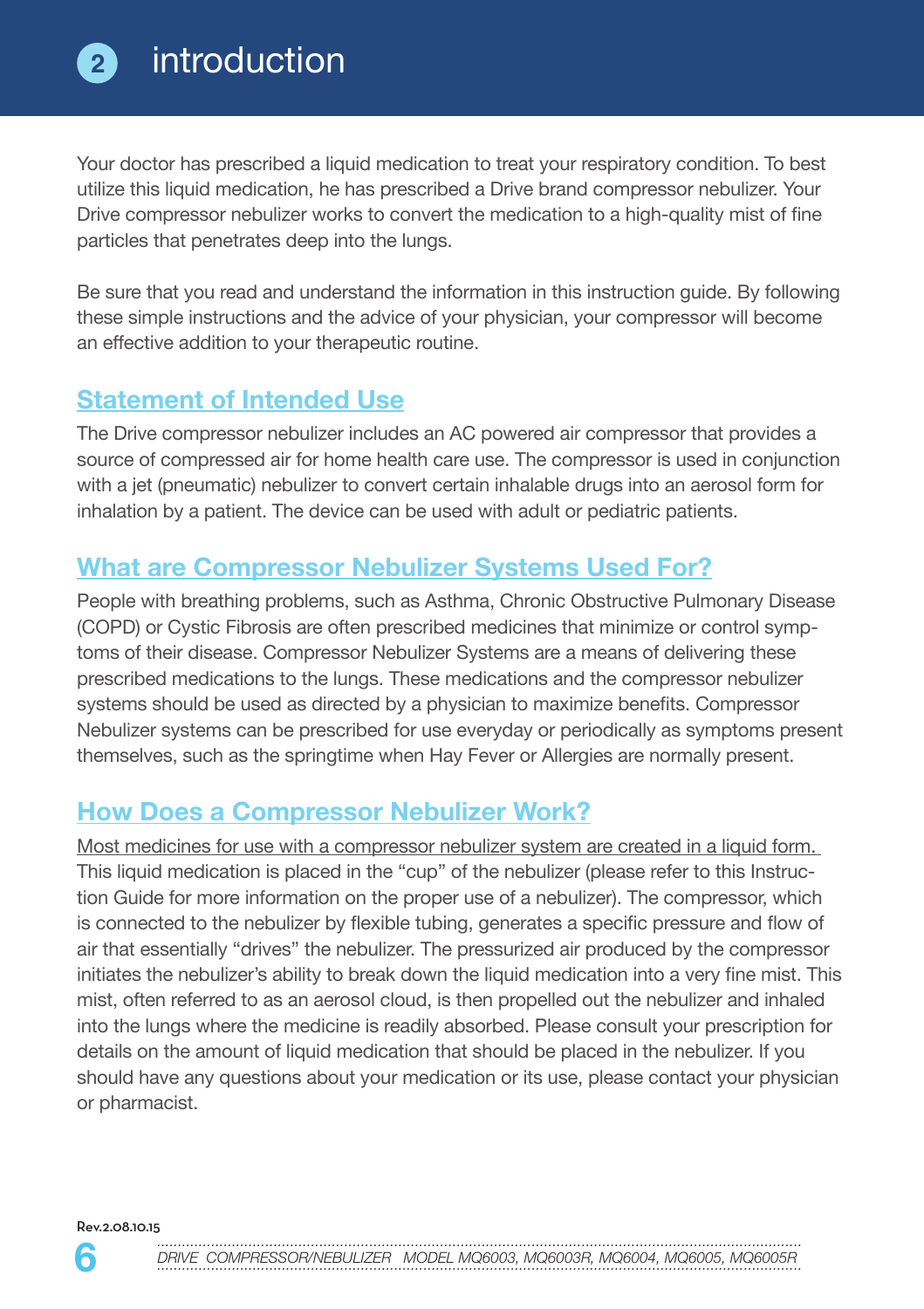

Your doctor has prescribed a liquid medication to treat your respiratory condition. To best utilize this liquid medication, he has prescribed a Drive brand compressor nebulizer. Your Drive compressor nebulizer works to convert the medication to a high-quality mist of fine particles that penetrates deep into the lungs.

Be sure that you read and understand the information in this instruction guide. By following these simple instructions and the advice of your physician, your compressor will become an effective addition to your therapeutic routine.

## **Statement of Intended Use**

The Drive compressor nebulizer includes an AC powered air compressor that provides a source of compressed air for home health care use. The compressor is used in conjunction with a jet (pneumatic) nebulizer to convert certain inhalable drugs into an aerosol form for inhalation by a patient. The device can be used with adult or pediatric patients.

## **What are Compressor Nebulizer Systems Used For?**

People with breathing problems, such as Asthma, Chronic Obstructive Pulmonary Disease (COPD) or Cystic Fibrosis are often prescribed medicines that minimize or control symptoms of their disease. Compressor Nebulizer Systems are a means of delivering these prescribed medications to the lungs. These medications and the compressor nebulizer systems should be used as directed by a physician to maximize benefits. Compressor Nebulizer systems can be prescribed for use everyday or periodically as symptoms present themselves, such as the springtime when Hay Fever or Allergies are normally present.

## **How Does a Compressor Nebulizer Work?**

Most medicines for use with a compressor nebulizer system are created in a liquid form. This liquid medication is placed in the "cup" of the nebulizer (please refer to this Instruction Guide for more information on the proper use of a nebulizer). The compressor, which is connected to the nebulizer by flexible tubing, generates a specific pressure and flow of air that essentially "drives" the nebulizer. The pressurized air produced by the compressor initiates the nebulizer's ability to break down the liquid medication into a very fine mist. This mist, often referred to as an aerosol cloud, is then propelled out the nebulizer and inhaled into the lungs where the medicine is readily absorbed. Please consult your prescription for details on the amount of liquid medication that should be placed in the nebulizer. If you should have any questions about your medication or its use, please contact your physician or pharmacist.

Rev.2.08.10.15

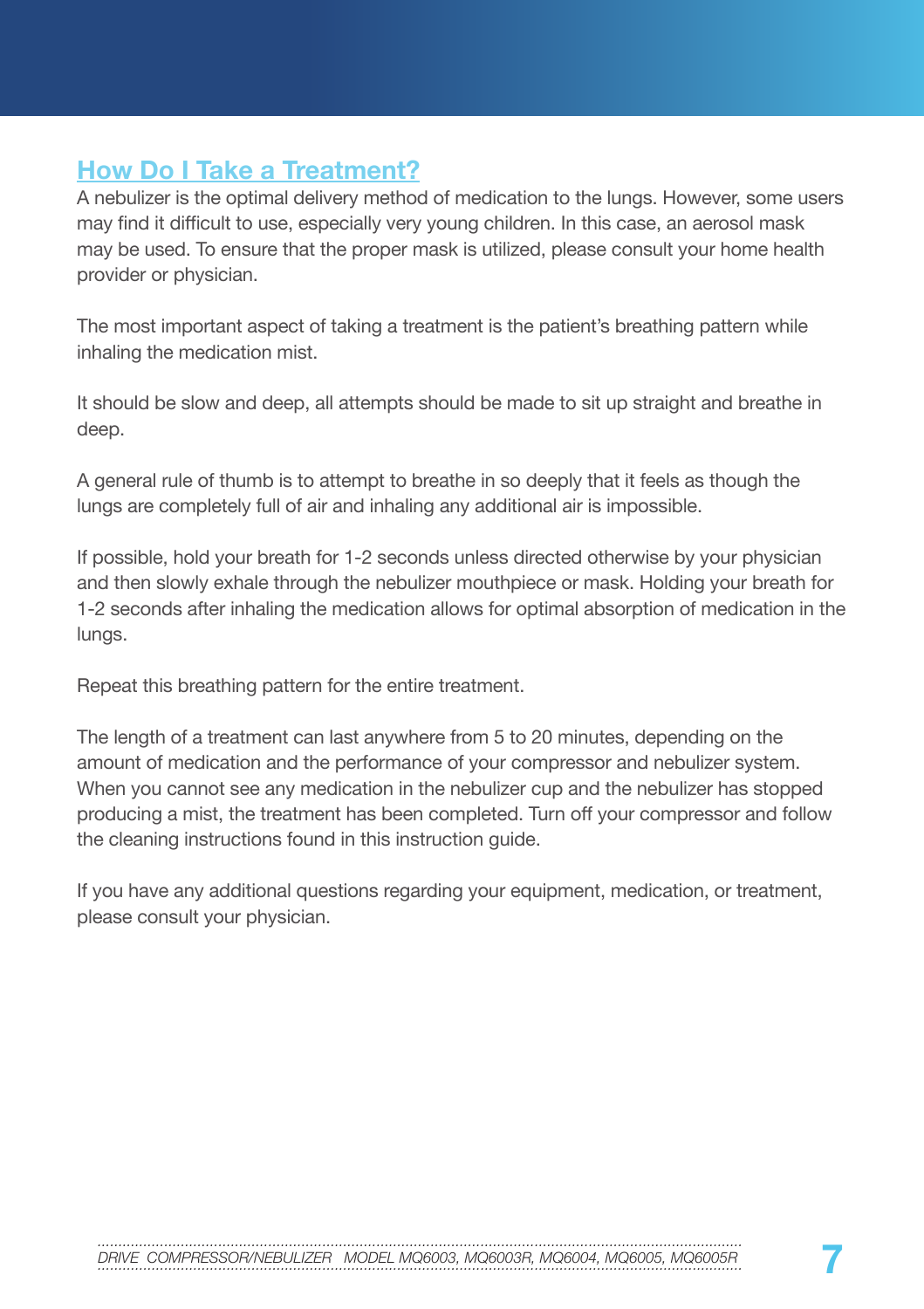## **How Do I Take a Treatment?**

A nebulizer is the optimal delivery method of medication to the lungs. However, some users may find it difficult to use, especially very young children. In this case, an aerosol mask may be used. To ensure that the proper mask is utilized, please consult your home health provider or physician.

The most important aspect of taking a treatment is the patient's breathing pattern while inhaling the medication mist.

It should be slow and deep, all attempts should be made to sit up straight and breathe in deep.

A general rule of thumb is to attempt to breathe in so deeply that it feels as though the lungs are completely full of air and inhaling any additional air is impossible.

If possible, hold your breath for 1-2 seconds unless directed otherwise by your physician and then slowly exhale through the nebulizer mouthpiece or mask. Holding your breath for 1-2 seconds after inhaling the medication allows for optimal absorption of medication in the lungs.

Repeat this breathing pattern for the entire treatment.

The length of a treatment can last anywhere from 5 to 20 minutes, depending on the amount of medication and the performance of your compressor and nebulizer system. When you cannot see any medication in the nebulizer cup and the nebulizer has stopped producing a mist, the treatment has been completed. Turn off your compressor and follow the cleaning instructions found in this instruction guide.

If you have any additional questions regarding your equipment, medication, or treatment, please consult your physician.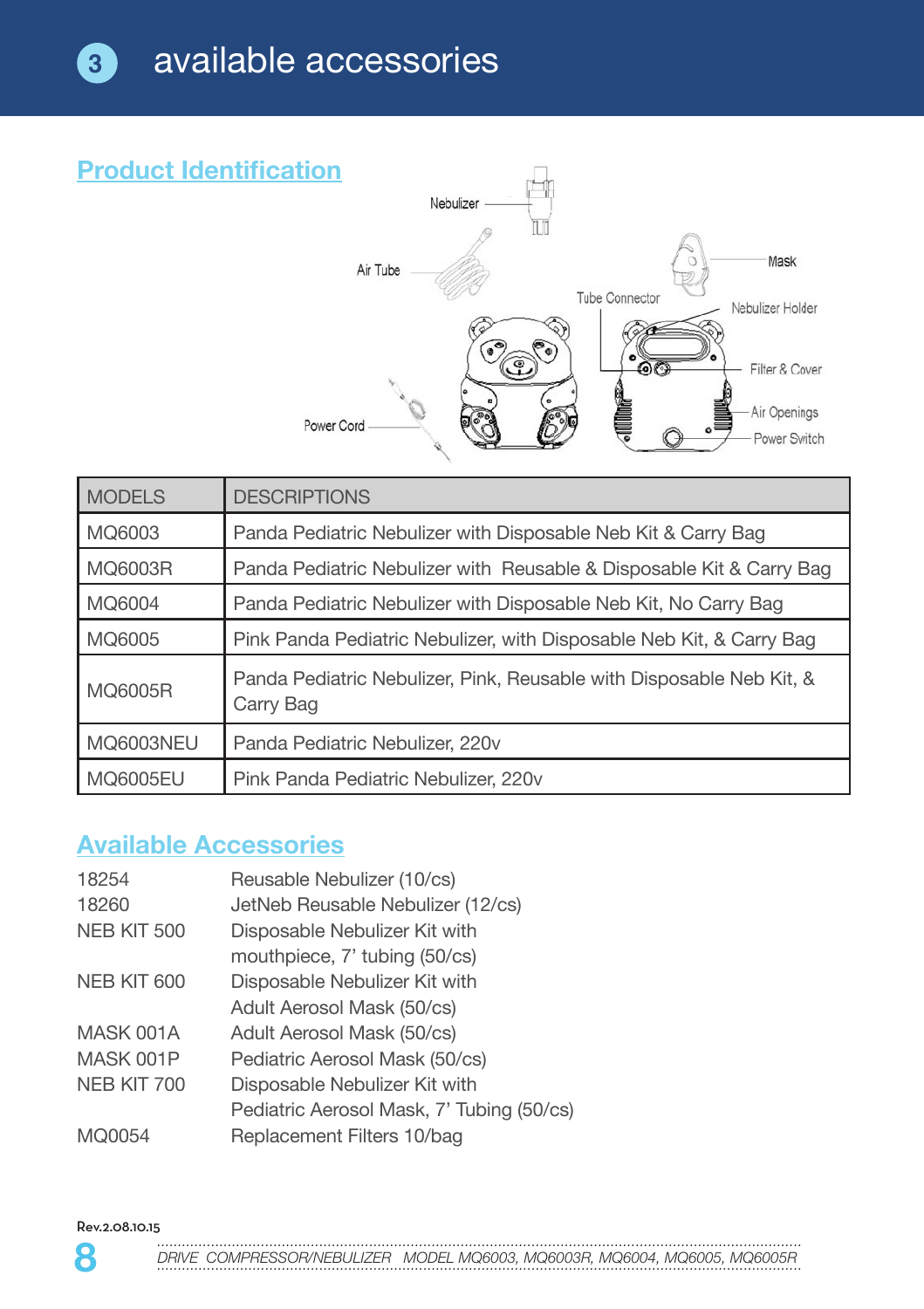

| <b>MODELS</b> | <b>DESCRIPTIONS</b>                                                               |
|---------------|-----------------------------------------------------------------------------------|
| MQ6003        | Panda Pediatric Nebulizer with Disposable Neb Kit & Carry Bag                     |
| MQ6003R       | Panda Pediatric Nebulizer with Reusable & Disposable Kit & Carry Bag              |
| MQ6004        | Panda Pediatric Nebulizer with Disposable Neb Kit, No Carry Bag                   |
| MQ6005        | Pink Panda Pediatric Nebulizer, with Disposable Neb Kit, & Carry Bag              |
| MQ6005R       | Panda Pediatric Nebulizer, Pink, Reusable with Disposable Neb Kit, &<br>Carry Bag |
| MQ6003NEU     | Panda Pediatric Nebulizer, 220v                                                   |
| MQ6005EU      | Pink Panda Pediatric Nebulizer, 220v                                              |

## **Available Accessories**

| 18254       | Reusable Nebulizer (10/cs)                |
|-------------|-------------------------------------------|
|             |                                           |
| 18260       | JetNeb Reusable Nebulizer (12/cs)         |
| NEB KIT 500 | Disposable Nebulizer Kit with             |
|             | mouthpiece, 7' tubing (50/cs)             |
| NEB KIT 600 | Disposable Nebulizer Kit with             |
|             | Adult Aerosol Mask (50/cs)                |
| MASK 001A   | Adult Aerosol Mask (50/cs)                |
| MASK 001P   | Pediatric Aerosol Mask (50/cs)            |
| NEB KIT 700 | Disposable Nebulizer Kit with             |
|             | Pediatric Aerosol Mask, 7' Tubing (50/cs) |
| MQ0054      | Replacement Filters 10/bag                |

Rev.2.08.10.15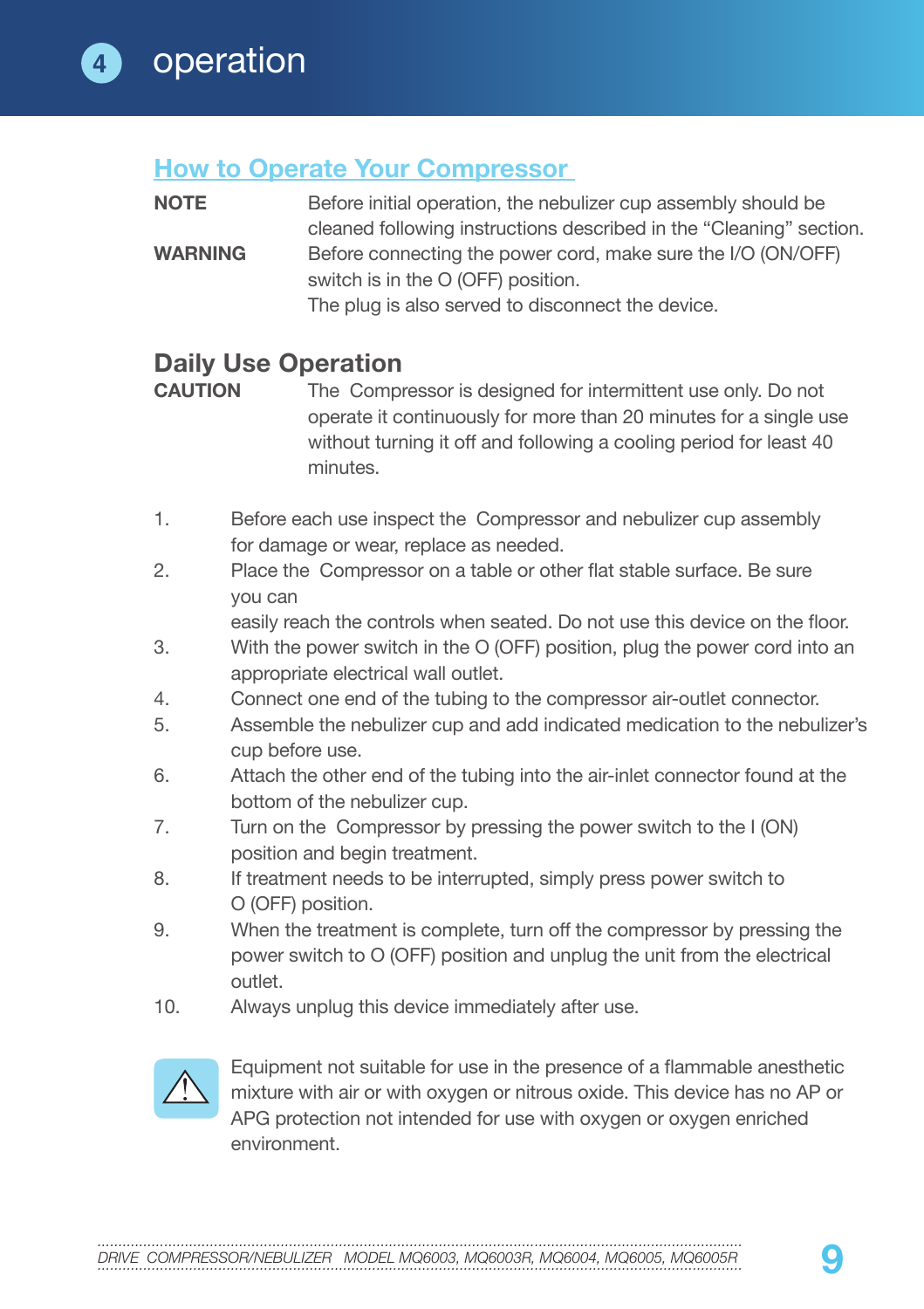### **How to Operate Your Compressor**

**NOTE** Before initial operation, the nebulizer cup assembly should be cleaned following instructions described in the "Cleaning" section. **WARNING** Before connecting the power cord, make sure the I/O (ON/OFF) switch is in the O (OFF) position. The plug is also served to disconnect the device.

## **Daily Use Operation**<br>CAUTION The Compu

The Compressor is designed for intermittent use only. Do not operate it continuously for more than 20 minutes for a single use without turning it off and following a cooling period for least 40 minutes.

- 1. Before each use inspect the Compressor and nebulizer cup assembly for damage or wear, replace as needed.
- 2. Place the Compressor on a table or other flat stable surface. Be sure you can

easily reach the controls when seated. Do not use this device on the floor.

- 3. With the power switch in the O (OFF) position, plug the power cord into an appropriate electrical wall outlet.
- 4. Connect one end of the tubing to the compressor air-outlet connector.
- 5. Assemble the nebulizer cup and add indicated medication to the nebulizer's cup before use.
- 6. Attach the other end of the tubing into the air-inlet connector found at the bottom of the nebulizer cup.
- 7. Turn on the Compressor by pressing the power switch to the I (ON) position and begin treatment.
- 8. If treatment needs to be interrupted, simply press power switch to O (OFF) position.
- 9. When the treatment is complete, turn off the compressor by pressing the power switch to O (OFF) position and unplug the unit from the electrical outlet.
- 10. Always unplug this device immediately after use.



Equipment not suitable for use in the presence of a flammable anesthetic mixture with air or with oxygen or nitrous oxide. This device has no AP or APG protection not intended for use with oxygen or oxygen enriched environment.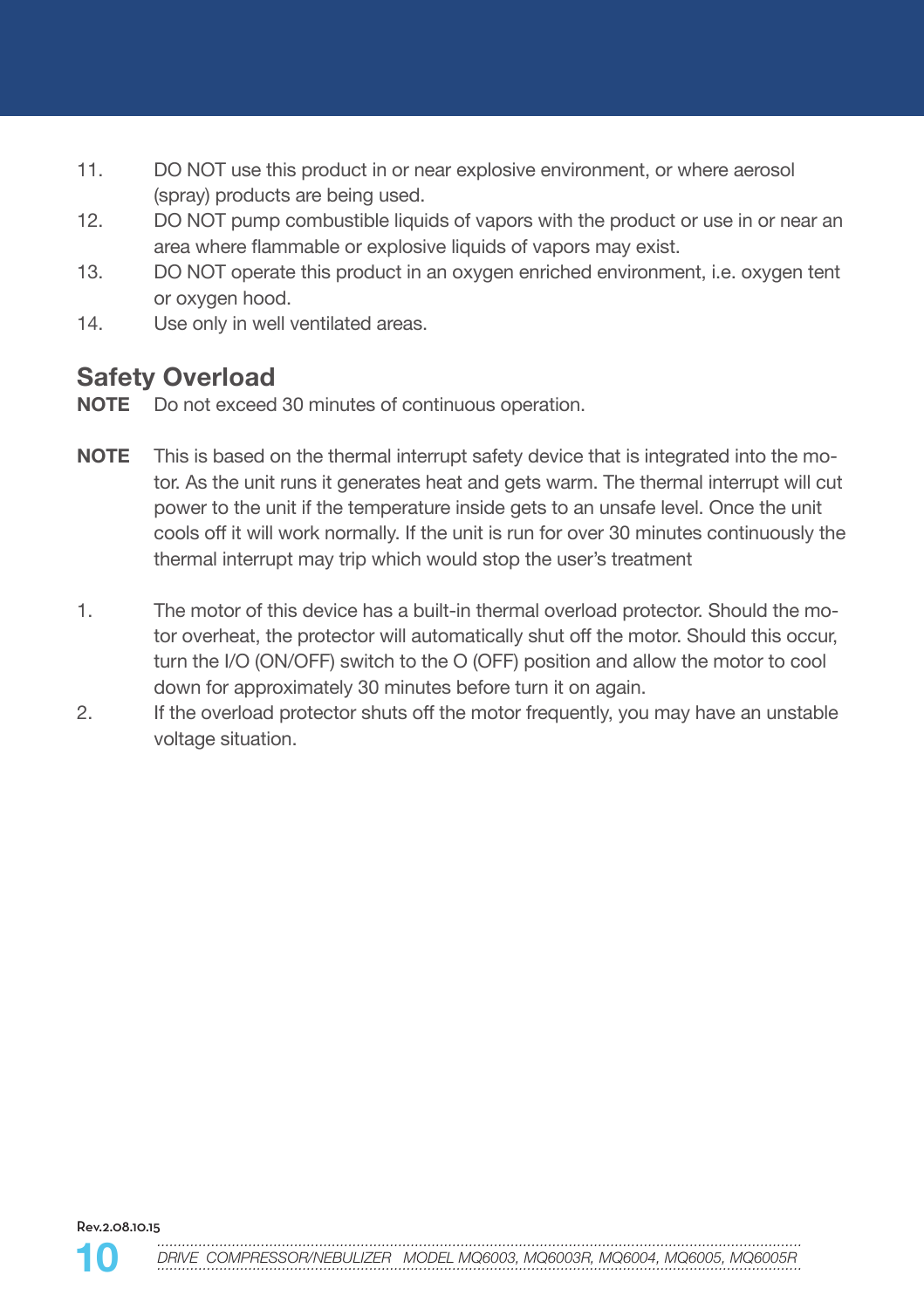- 11. DO NOT use this product in or near explosive environment, or where aerosol (spray) products are being used.
- 12. DO NOT pump combustible liquids of vapors with the product or use in or near an area where flammable or explosive liquids of vapors may exist.
- 13. DO NOT operate this product in an oxygen enriched environment, i.e. oxygen tent or oxygen hood.
- 14. Use only in well ventilated areas.

## **Safety Overload**

- **NOTE** Do not exceed 30 minutes of continuous operation.
- **NOTE** This is based on the thermal interrupt safety device that is integrated into the motor. As the unit runs it generates heat and gets warm. The thermal interrupt will cut power to the unit if the temperature inside gets to an unsafe level. Once the unit cools off it will work normally. If the unit is run for over 30 minutes continuously the thermal interrupt may trip which would stop the user's treatment
- 1. The motor of this device has a built-in thermal overload protector. Should the motor overheat, the protector will automatically shut off the motor. Should this occur, turn the I/O (ON/OFF) switch to the O (OFF) position and allow the motor to cool down for approximately 30 minutes before turn it on again.
- 2. If the overload protector shuts off the motor frequently, you may have an unstable voltage situation.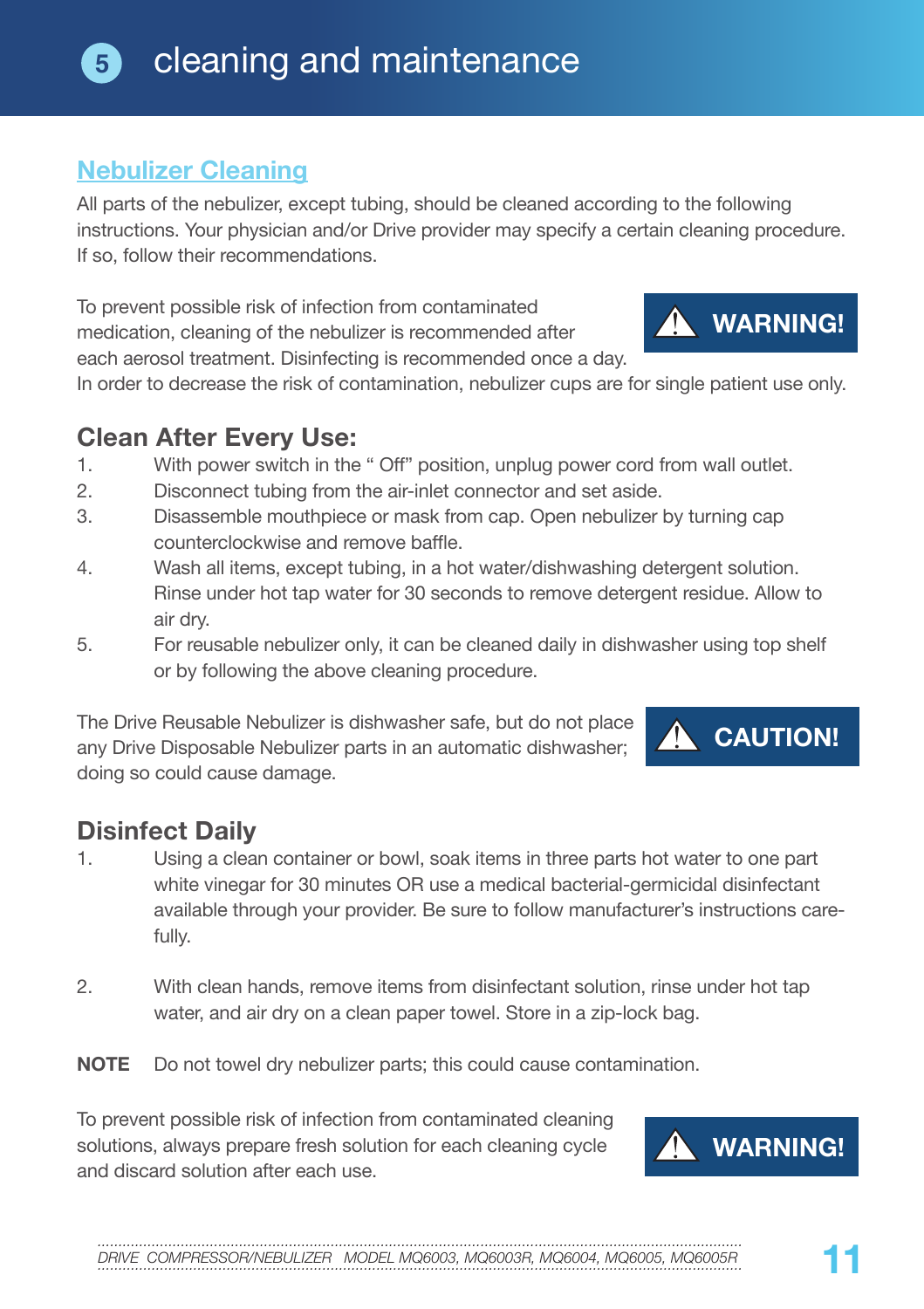## **5** cleaning and maintenance

## **Nebulizer Cleaning**

All parts of the nebulizer, except tubing, should be cleaned according to the following instructions. Your physician and/or Drive provider may specify a certain cleaning procedure. If so, follow their recommendations.

To prevent possible risk of infection from contaminated medication, cleaning of the nebulizer is recommended after each aerosol treatment. Disinfecting is recommended once a day.

In order to decrease the risk of contamination, nebulizer cups are for single patient use only.

## **Clean After Every Use:**<br>1 With power switch in the

- With power switch in the " Off" position, unplug power cord from wall outlet.
- 2. Disconnect tubing from the air-inlet connector and set aside.
- 3. Disassemble mouthpiece or mask from cap. Open nebulizer by turning cap counterclockwise and remove baffle.
- 4. Wash all items, except tubing, in a hot water/dishwashing detergent solution. Rinse under hot tap water for 30 seconds to remove detergent residue. Allow to air dry.
- 5. For reusable nebulizer only, it can be cleaned daily in dishwasher using top shelf or by following the above cleaning procedure.

The Drive Reusable Nebulizer is dishwasher safe, but do not place any Drive Disposable Nebulizer parts in an automatic dishwasher; doing so could cause damage.

## **Disinfect Daily**

- 1. Using a clean container or bowl, soak items in three parts hot water to one part white vinegar for 30 minutes OR use a medical bacterial-germicidal disinfectant available through your provider. Be sure to follow manufacturer's instructions carefully.
- 2. With clean hands, remove items from disinfectant solution, rinse under hot tap water, and air dry on a clean paper towel. Store in a zip-lock bag.
- **NOTE** Do not towel dry nebulizer parts; this could cause contamination.

To prevent possible risk of infection from contaminated cleaning solutions, always prepare fresh solution for each cleaning cycle and discard solution after each use.



**CAUTION!**





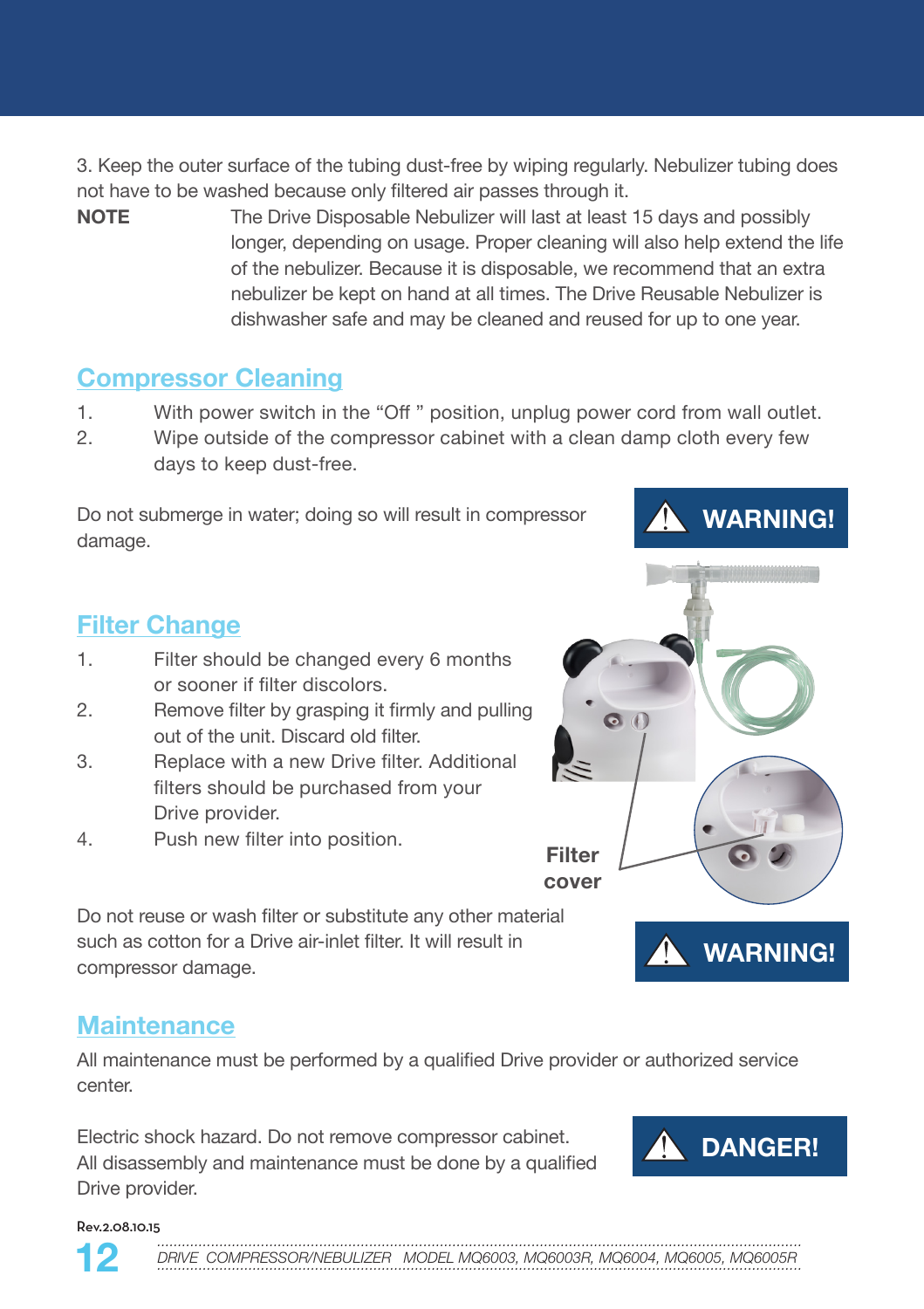3. Keep the outer surface of the tubing dust-free by wiping regularly. Nebulizer tubing does not have to be washed because only filtered air passes through it.

**NOTE** The Drive Disposable Nebulizer will last at least 15 days and possibly longer, depending on usage. Proper cleaning will also help extend the life of the nebulizer. Because it is disposable, we recommend that an extra nebulizer be kept on hand at all times. The Drive Reusable Nebulizer is dishwasher safe and may be cleaned and reused for up to one year.

### **Compressor Cleaning**

- 1. With power switch in the "Off " position, unplug power cord from wall outlet.
- 2. Wipe outside of the compressor cabinet with a clean damp cloth every few days to keep dust-free.

Do not submerge in water; doing so will result in compressor damage.

### **Filter Change**

- 1. Filter should be changed every 6 months or sooner if filter discolors.
- 2. Remove filter by grasping it firmly and pulling out of the unit. Discard old filter.
- 3. Replace with a new Drive filter. Additional filters should be purchased from your Drive provider.
- 4. Push new filter into position.

Do not reuse or wash filter or substitute any other material such as cotton for a Drive air-inlet filter. It will result in compressor damage.

### **Maintenance**

All maintenance must be performed by a qualified Drive provider or authorized service center.

**Filter cover**

Electric shock hazard. Do not remove compressor cabinet. All disassembly and maintenance must be done by a qualified Drive provider.



Rev.2.08.10.15

*...........................................................................................................................................................* DRIVE COMPRESSOR/NEBULIZER MODEL MQ6003, MQ6003R, MQ6004, MQ6005, MQ6005R



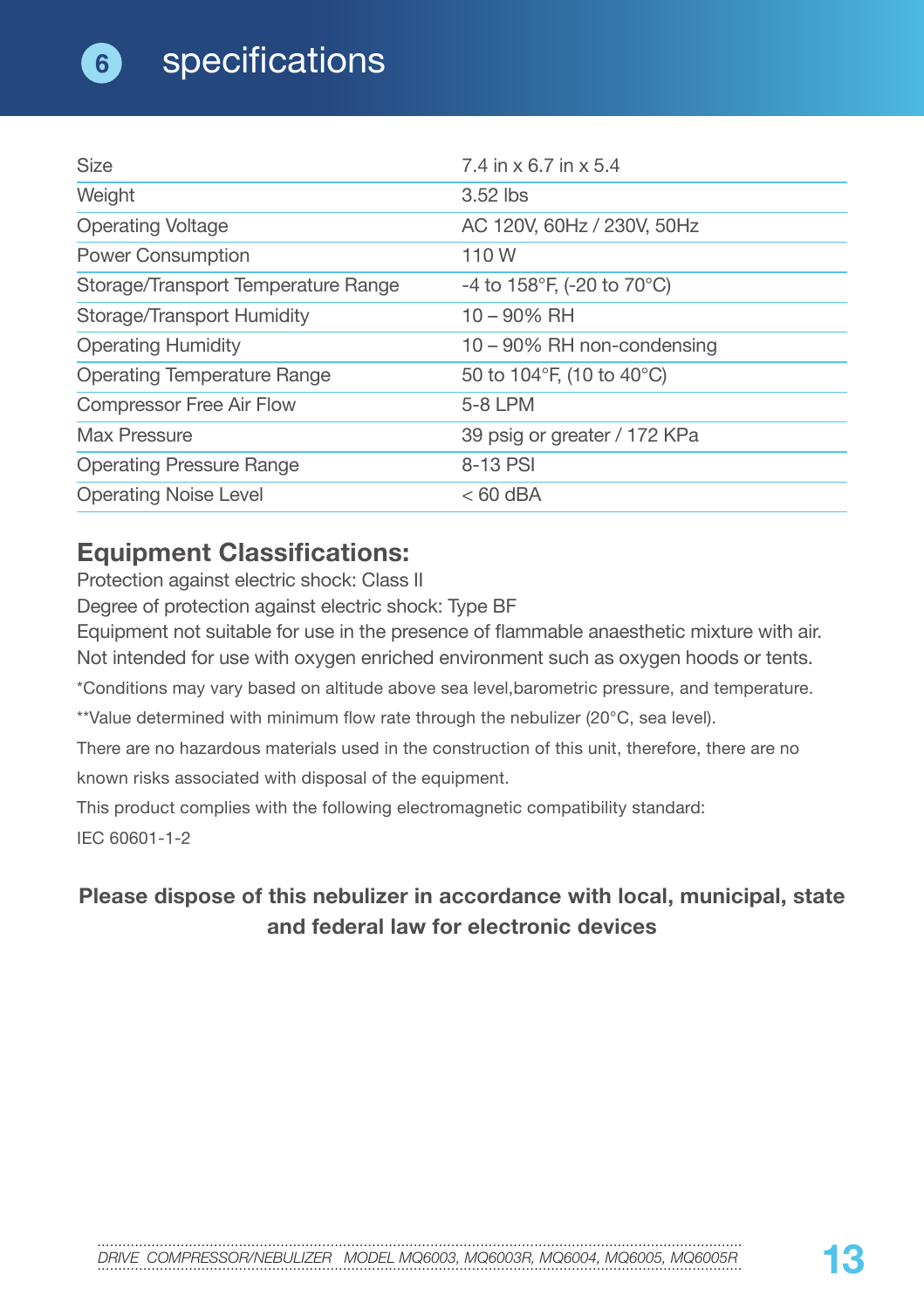| <b>Size</b>                         | 7.4 in x 6.7 in x 5.4        |
|-------------------------------------|------------------------------|
| Weight                              | $3.52$ lbs                   |
| <b>Operating Voltage</b>            | AC 120V, 60Hz / 230V, 50Hz   |
| <b>Power Consumption</b>            | 110 W                        |
| Storage/Transport Temperature Range | -4 to 158°F, (-20 to 70°C)   |
| Storage/Transport Humidity          | 10 - 90% RH                  |
| <b>Operating Humidity</b>           | 10 - 90% RH non-condensing   |
| Operating Temperature Range         | 50 to 104°F, (10 to 40°C)    |
| Compressor Free Air Flow            | 5-8 LPM                      |
| Max Pressure                        | 39 psig or greater / 172 KPa |
| <b>Operating Pressure Range</b>     | 8-13 PSI                     |
| <b>Operating Noise Level</b>        | $< 60$ dBA                   |

## **Equipment Classifications:**

Protection against electric shock: Class II

Degree of protection against electric shock: Type BF

Equipment not suitable for use in the presence of flammable anaesthetic mixture with air. Not intended for use with oxygen enriched environment such as oxygen hoods or tents.

\*Conditions may vary based on altitude above sea level,barometric pressure, and temperature.

\*\*Value determined with minimum flow rate through the nebulizer (20°C, sea level).

There are no hazardous materials used in the construction of this unit, therefore, there are no known risks associated with disposal of the equipment.

This product complies with the following electromagnetic compatibility standard:

IEC 60601-1-2

### **Please dispose of this nebulizer in accordance with local, municipal, state and federal law for electronic devices**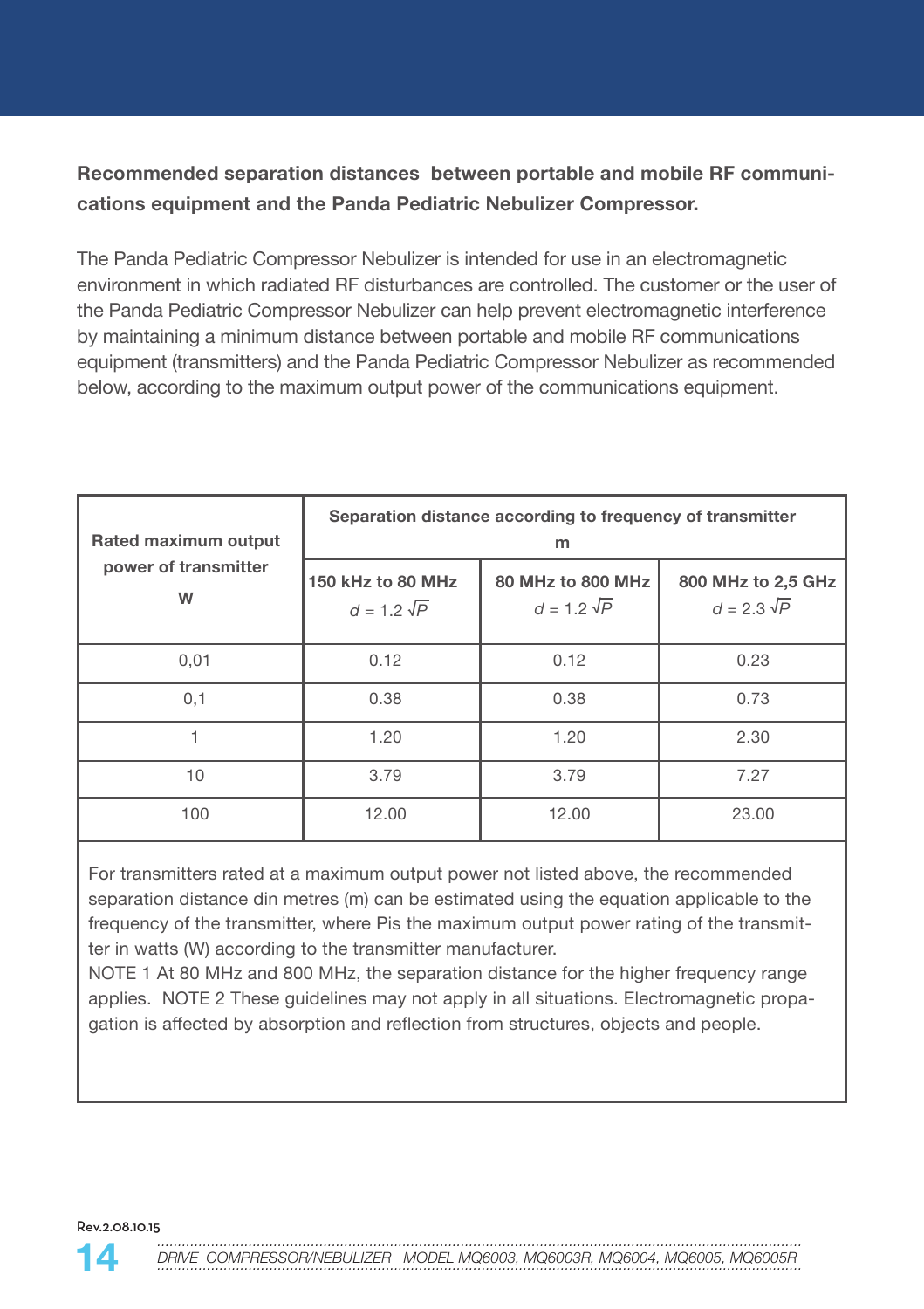### **Recommended separation distances between portable and mobile RF communications equipment and the Panda Pediatric Nebulizer Compressor.**

The Panda Pediatric Compressor Nebulizer is intended for use in an electromagnetic environment in which radiated RF disturbances are controlled. The customer or the user of the Panda Pediatric Compressor Nebulizer can help prevent electromagnetic interference by maintaining a minimum distance between portable and mobile RF communications equipment (transmitters) and the Panda Pediatric Compressor Nebulizer as recommended below, according to the maximum output power of the communications equipment.

| Rated maximum output      | Separation distance according to frequency of transmitter<br>m |                                         |                                          |
|---------------------------|----------------------------------------------------------------|-----------------------------------------|------------------------------------------|
| power of transmitter<br>W | 150 kHz to 80 MHz<br>$d = 1.2 \sqrt{P}$                        | 80 MHz to 800 MHz<br>$d = 1.2 \sqrt{P}$ | 800 MHz to 2,5 GHz<br>$d = 2.3 \sqrt{P}$ |
| 0,01                      | 0.12                                                           | 0.12                                    | 0.23                                     |
| 0,1                       | 0.38                                                           | 0.38                                    | 0.73                                     |
|                           | 1.20                                                           | 1.20                                    | 2.30                                     |
| 10                        | 3.79                                                           | 3.79                                    | 7.27                                     |
| 100                       | 12.00                                                          | 12.00                                   | 23.00                                    |

For transmitters rated at a maximum output power not listed above, the recommended separation distance din metres (m) can be estimated using the equation applicable to the frequency of the transmitter, where Pis the maximum output power rating of the transmitter in watts (W) according to the transmitter manufacturer.

NOTE 1 At 80 MHz and 800 MHz, the separation distance for the higher frequency range applies. NOTE 2 These guidelines may not apply in all situations. Electromagnetic propagation is affected by absorption and reflection from structures, objects and people.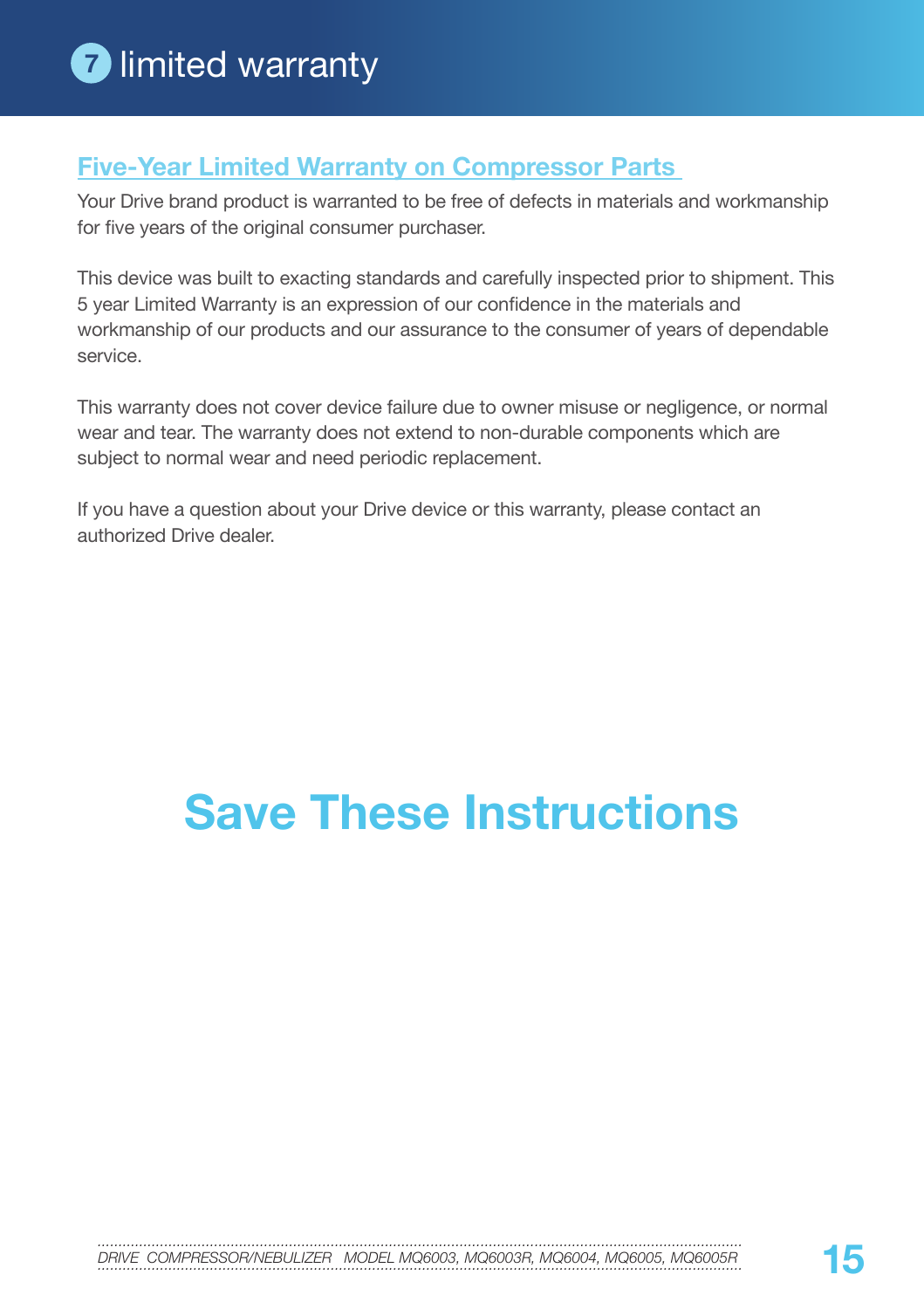## **Five-Year Limited Warranty on Compressor Parts**

Your Drive brand product is warranted to be free of defects in materials and workmanship for five years of the original consumer purchaser.

This device was built to exacting standards and carefully inspected prior to shipment. This 5 year Limited Warranty is an expression of our confidence in the materials and workmanship of our products and our assurance to the consumer of years of dependable service.

This warranty does not cover device failure due to owner misuse or negligence, or normal wear and tear. The warranty does not extend to non-durable components which are subject to normal wear and need periodic replacement.

If you have a question about your Drive device or this warranty, please contact an authorized Drive dealer.

# **Save These Instructions**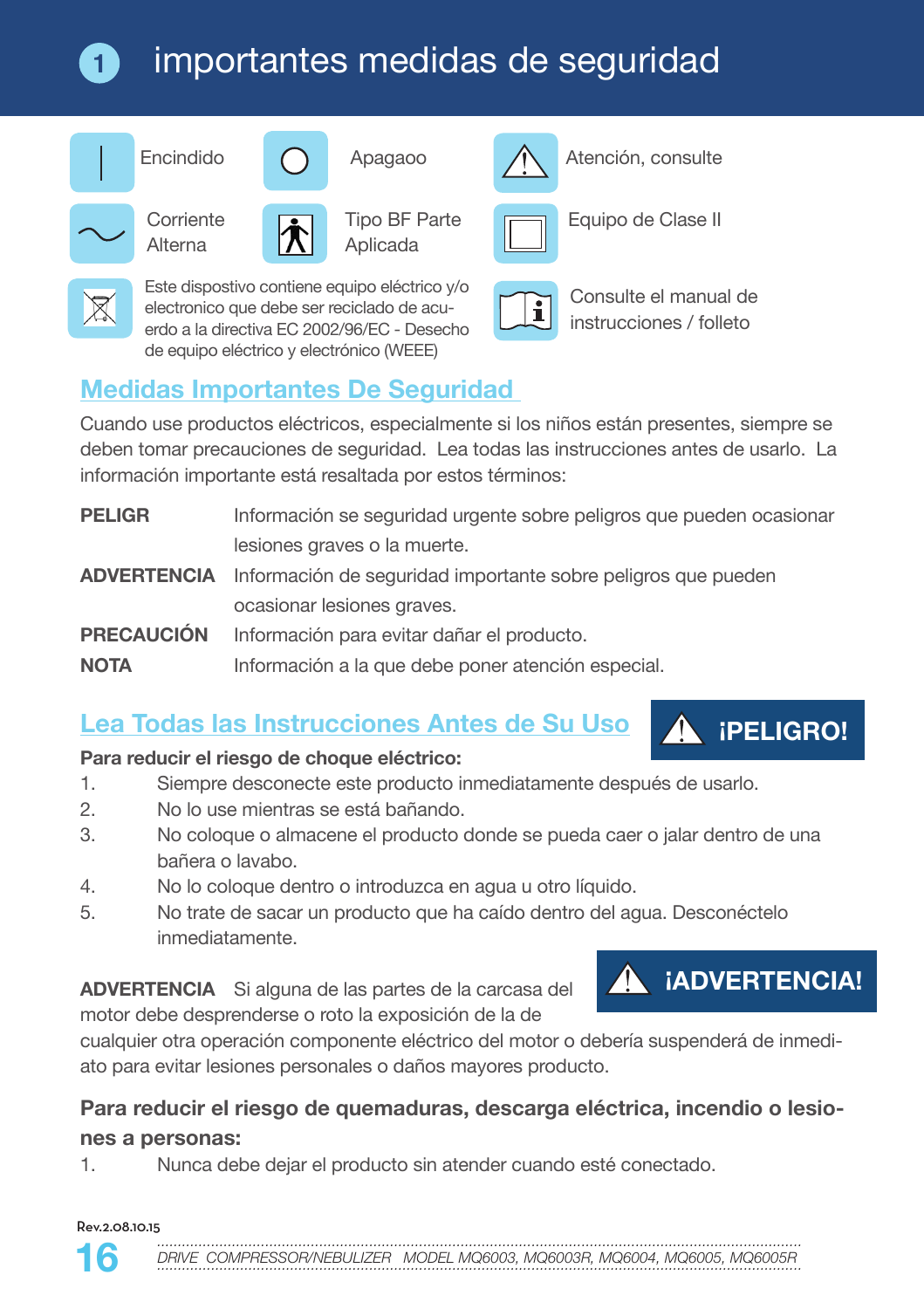## importantes medidas de seguridad



**1**



Alterna



Tipo BF Parte Aplicada



Encindido **Apagaoo** Atención, consulte



Corriente <u>Equipo de Clase</u> III Tipo BF Parte **Equipo de Clase II** 



Este dispostivo contiene equipo eléctrico y/o electronico que debe ser reciclado de acuerdo a la directiva EC 2002/96/EC - Desecho de equipo eléctrico y electrónico (WEEE)



Consulte el manual de instrucciones / folleto

## **Medidas Importantes De Seguridad**

Cuando use productos eléctricos, especialmente si los niños están presentes, siempre se deben tomar precauciones de seguridad. Lea todas las instrucciones antes de usarlo. La información importante está resaltada por estos términos:

| <b>PELIGR</b>     | Información se seguridad urgente sobre peligros que pueden ocasionar             |
|-------------------|----------------------------------------------------------------------------------|
|                   | lesiones graves o la muerte.                                                     |
|                   | <b>ADVERTENCIA</b> Información de seguridad importante sobre peligros que pueden |
|                   | ocasionar lesiones graves.                                                       |
| <b>PRECAUCIÓN</b> | Información para evitar dañar el producto.                                       |
| <b>NOTA</b>       | Información a la que debe poner atención especial.                               |
|                   |                                                                                  |

## **Lea Todas las Instrucciones Antes de Su Uso**

### **Para reducir el riesgo de choque eléctrico:**

- 1. Siempre desconecte este producto inmediatamente después de usarlo.
- 2. No lo use mientras se está bañando.
- 3. No coloque o almacene el producto donde se pueda caer o jalar dentro de una bañera o lavabo.
- 4. No lo coloque dentro o introduzca en agua u otro líquido.
- 5. No trate de sacar un producto que ha caído dentro del agua. Desconéctelo inmediatamente.

**ADVERTENCIA** Si alguna de las partes de la carcasa del motor debe desprenderse o roto la exposición de la de



**¡PELIGRO!**

cualquier otra operación componente eléctrico del motor o debería suspenderá de inmediato para evitar lesiones personales o daños mayores producto.

### **Para reducir el riesgo de quemaduras, descarga eléctrica, incendio o lesiones a personas:**

1. Nunca debe dejar el producto sin atender cuando esté conectado.

#### Rev.2.08.10.15

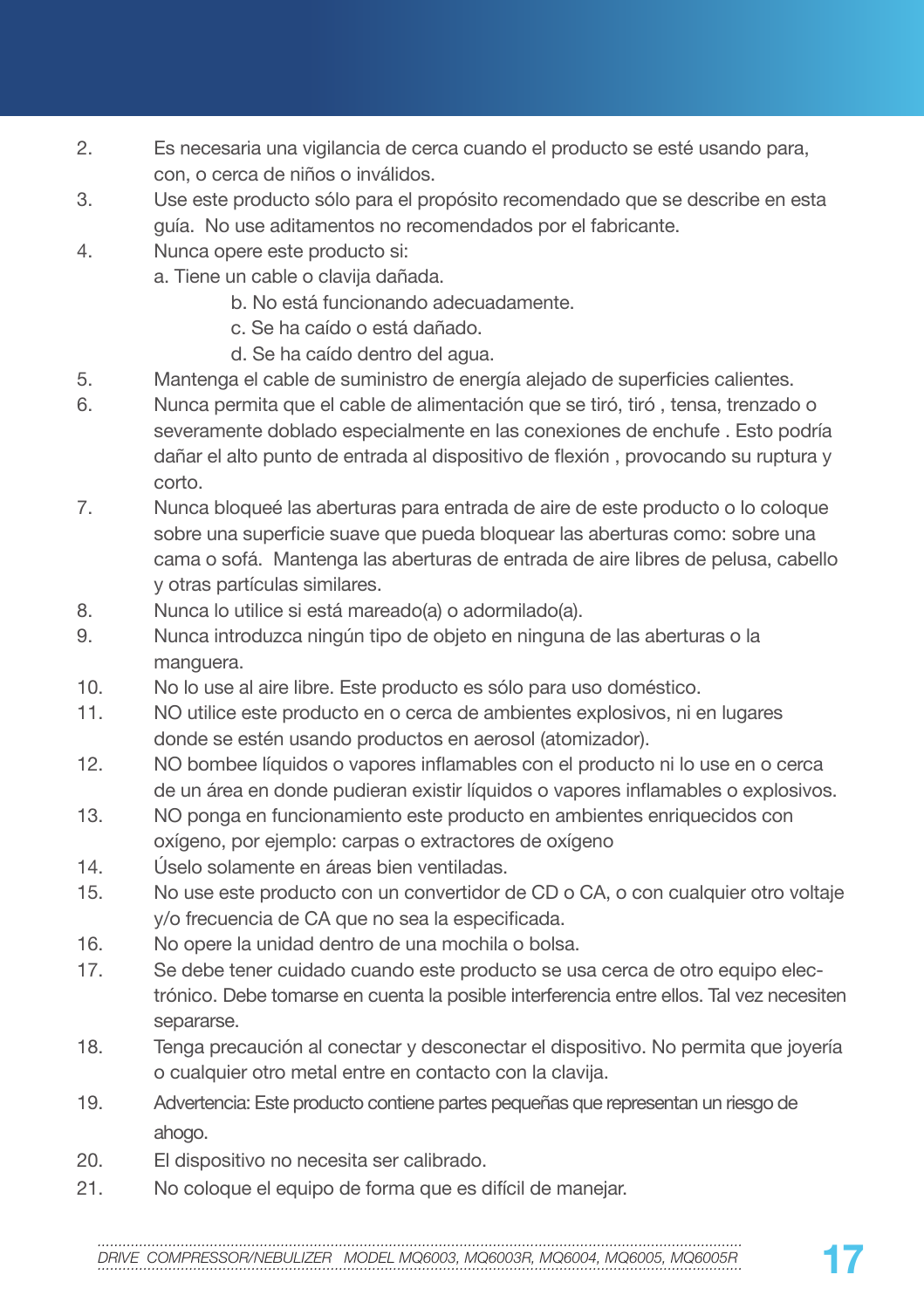- 2. Es necesaria una vigilancia de cerca cuando el producto se esté usando para, con, o cerca de niños o inválidos.
- 3. Use este producto sólo para el propósito recomendado que se describe en esta guía. No use aditamentos no recomendados por el fabricante.
- 4. Nunca opere este producto si:
	- a. Tiene un cable o clavija dañada.
		- b. No está funcionando adecuadamente.
		- c. Se ha caído o está dañado.
		- d. Se ha caído dentro del agua.
- 5. Mantenga el cable de suministro de energía alejado de superficies calientes.
- 6. Nunca permita que el cable de alimentación que se tiró, tiró , tensa, trenzado o severamente doblado especialmente en las conexiones de enchufe . Esto podría dañar el alto punto de entrada al dispositivo de flexión , provocando su ruptura y corto.
- 7. Nunca bloqueé las aberturas para entrada de aire de este producto o lo coloque sobre una superficie suave que pueda bloquear las aberturas como: sobre una cama o sofá. Mantenga las aberturas de entrada de aire libres de pelusa, cabello y otras partículas similares.
- 8. Nunca lo utilice si está mareado(a) o adormilado(a).
- 9. Nunca introduzca ningún tipo de objeto en ninguna de las aberturas o la manguera.
- 10. No lo use al aire libre. Este producto es sólo para uso doméstico.
- 11. NO utilice este producto en o cerca de ambientes explosivos, ni en lugares donde se estén usando productos en aerosol (atomizador).
- 12. NO bombee líquidos o vapores inflamables con el producto ni lo use en o cerca de un área en donde pudieran existir líquidos o vapores inflamables o explosivos.
- 13. NO ponga en funcionamiento este producto en ambientes enriquecidos con oxígeno, por ejemplo: carpas o extractores de oxígeno
- 14. Úselo solamente en áreas bien ventiladas.
- 15. No use este producto con un convertidor de CD o CA, o con cualquier otro voltaje y/o frecuencia de CA que no sea la especificada.
- 16. No opere la unidad dentro de una mochila o bolsa.
- 17. Se debe tener cuidado cuando este producto se usa cerca de otro equipo electrónico. Debe tomarse en cuenta la posible interferencia entre ellos. Tal vez necesiten separarse.
- 18. Tenga precaución al conectar y desconectar el dispositivo. No permita que joyería o cualquier otro metal entre en contacto con la clavija.
- 19. Advertencia: Este producto contiene partes pequeñas que representan un riesgo de ahogo.
- 20. El dispositivo no necesita ser calibrado.
- 21. No coloque el equipo de forma que es difícil de manejar.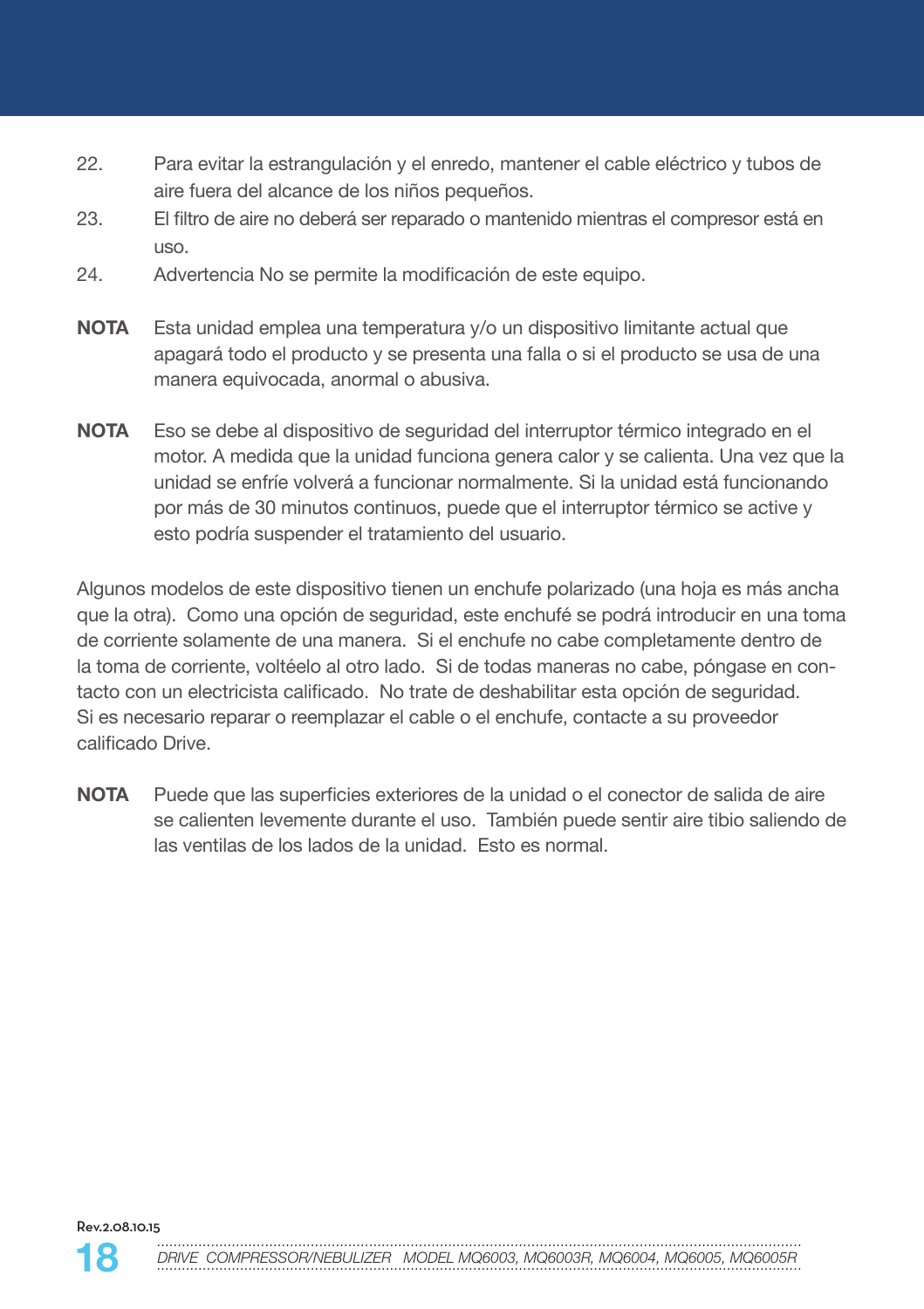- 22. Para evitar la estrangulación y el enredo, mantener el cable eléctrico y tubos de aire fuera del alcance de los niños pequeños.
- 23. El filtro de aire no deberá ser reparado o mantenido mientras el compresor está en uso.
- 24. Advertencia No se permite la modificación de este equipo.
- **NOTA** Esta unidad emplea una temperatura y/o un dispositivo limitante actual que apagará todo el producto y se presenta una falla o si el producto se usa de una manera equivocada, anormal o abusiva.
- **NOTA** Eso se debe al dispositivo de seguridad del interruptor térmico integrado en el motor. A medida que la unidad funciona genera calor y se calienta. Una vez que la unidad se enfríe volverá a funcionar normalmente. Si la unidad está funcionando por más de 30 minutos continuos, puede que el interruptor térmico se active y esto podría suspender el tratamiento del usuario.

Algunos modelos de este dispositivo tienen un enchufe polarizado (una hoja es más ancha que la otra). Como una opción de seguridad, este enchufé se podrá introducir en una toma de corriente solamente de una manera. Si el enchufe no cabe completamente dentro de la toma de corriente, voltéelo al otro lado. Si de todas maneras no cabe, póngase en contacto con un electricista calificado. No trate de deshabilitar esta opción de seguridad. Si es necesario reparar o reemplazar el cable o el enchufe, contacte a su proveedor calificado Drive.

**NOTA** Puede que las superficies exteriores de la unidad o el conector de salida de aire se calienten levemente durante el uso. También puede sentir aire tibio saliendo de las ventilas de los lados de la unidad. Esto es normal.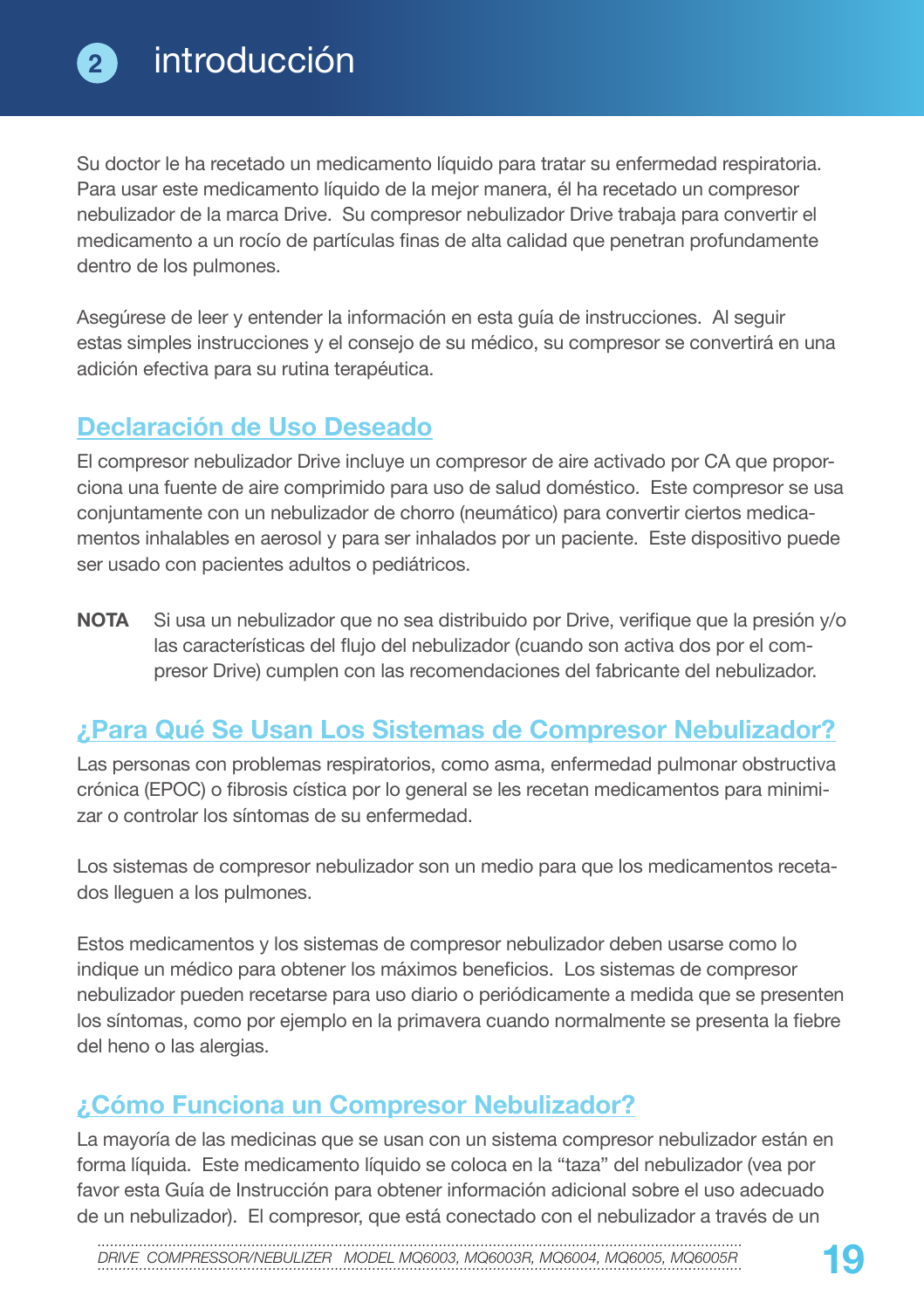Su doctor le ha recetado un medicamento líquido para tratar su enfermedad respiratoria. Para usar este medicamento líquido de la mejor manera, él ha recetado un compresor nebulizador de la marca Drive. Su compresor nebulizador Drive trabaja para convertir el medicamento a un rocío de partículas finas de alta calidad que penetran profundamente dentro de los pulmones.

Asegúrese de leer y entender la información en esta guía de instrucciones. Al seguir estas simples instrucciones y el consejo de su médico, su compresor se convertirá en una adición efectiva para su rutina terapéutica.

## **Declaración de Uso Deseado**

El compresor nebulizador Drive incluye un compresor de aire activado por CA que proporciona una fuente de aire comprimido para uso de salud doméstico. Este compresor se usa conjuntamente con un nebulizador de chorro (neumático) para convertir ciertos medicamentos inhalables en aerosol y para ser inhalados por un paciente. Este dispositivo puede ser usado con pacientes adultos o pediátricos.

**NOTA** Si usa un nebulizador que no sea distribuido por Drive, verifique que la presión y/o las características del flujo del nebulizador (cuando son activa dos por el compresor Drive) cumplen con las recomendaciones del fabricante del nebulizador.

## **¿Para Qué Se Usan Los Sistemas de Compresor Nebulizador?**

Las personas con problemas respiratorios, como asma, enfermedad pulmonar obstructiva crónica (EPOC) o fibrosis cística por lo general se les recetan medicamentos para minimizar o controlar los síntomas de su enfermedad.

Los sistemas de compresor nebulizador son un medio para que los medicamentos recetados lleguen a los pulmones.

Estos medicamentos y los sistemas de compresor nebulizador deben usarse como lo indique un médico para obtener los máximos beneficios. Los sistemas de compresor nebulizador pueden recetarse para uso diario o periódicamente a medida que se presenten los síntomas, como por ejemplo en la primavera cuando normalmente se presenta la fiebre del heno o las alergias.

## **¿Cómo Funciona un Compresor Nebulizador?**

La mayoría de las medicinas que se usan con un sistema compresor nebulizador están en forma líquida. Este medicamento líquido se coloca en la "taza" del nebulizador (vea por favor esta Guía de Instrucción para obtener información adicional sobre el uso adecuado de un nebulizador). El compresor, que está conectado con el nebulizador a través de un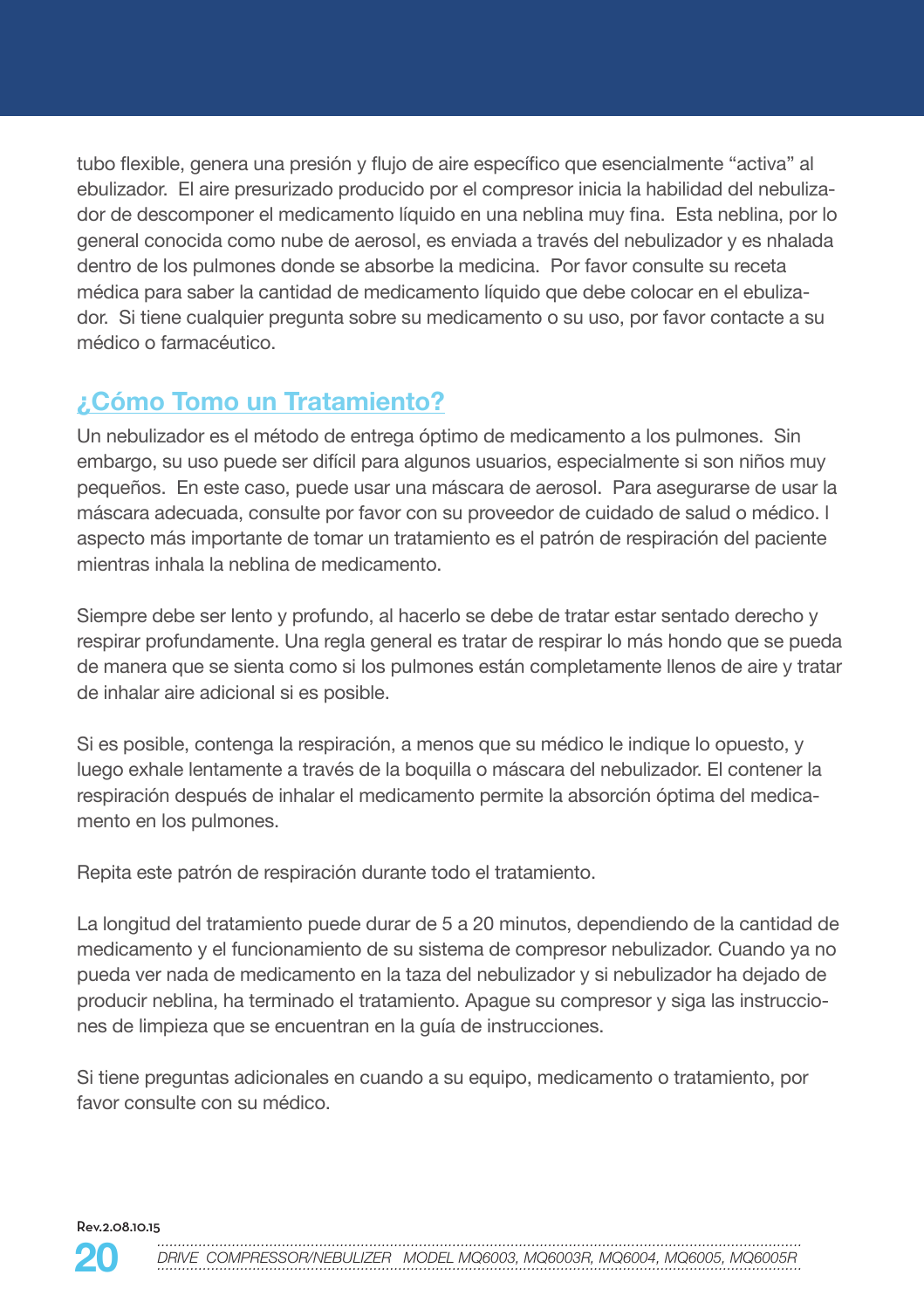tubo flexible, genera una presión y flujo de aire específico que esencialmente "activa" al ebulizador. El aire presurizado producido por el compresor inicia la habilidad del nebulizador de descomponer el medicamento líquido en una neblina muy fina. Esta neblina, por lo general conocida como nube de aerosol, es enviada a través del nebulizador y es nhalada dentro de los pulmones donde se absorbe la medicina. Por favor consulte su receta médica para saber la cantidad de medicamento líquido que debe colocar en el ebulizador. Si tiene cualquier pregunta sobre su medicamento o su uso, por favor contacte a su médico o farmacéutico.

## **¿Cómo Tomo un Tratamiento?**

Un nebulizador es el método de entrega óptimo de medicamento a los pulmones. Sin embargo, su uso puede ser difícil para algunos usuarios, especialmente si son niños muy pequeños. En este caso, puede usar una máscara de aerosol. Para asegurarse de usar la máscara adecuada, consulte por favor con su proveedor de cuidado de salud o médico. l aspecto más importante de tomar un tratamiento es el patrón de respiración del paciente mientras inhala la neblina de medicamento.

Siempre debe ser lento y profundo, al hacerlo se debe de tratar estar sentado derecho y respirar profundamente. Una regla general es tratar de respirar lo más hondo que se pueda de manera que se sienta como si los pulmones están completamente llenos de aire y tratar de inhalar aire adicional si es posible.

Si es posible, contenga la respiración, a menos que su médico le indique lo opuesto, y luego exhale lentamente a través de la boquilla o máscara del nebulizador. El contener la respiración después de inhalar el medicamento permite la absorción óptima del medicamento en los pulmones.

Repita este patrón de respiración durante todo el tratamiento.

La longitud del tratamiento puede durar de 5 a 20 minutos, dependiendo de la cantidad de medicamento y el funcionamiento de su sistema de compresor nebulizador. Cuando ya no pueda ver nada de medicamento en la taza del nebulizador y si nebulizador ha dejado de producir neblina, ha terminado el tratamiento. Apague su compresor y siga las instrucciones de limpieza que se encuentran en la guía de instrucciones.

Si tiene preguntas adicionales en cuando a su equipo, medicamento o tratamiento, por favor consulte con su médico.

Rev.2.08.10.15

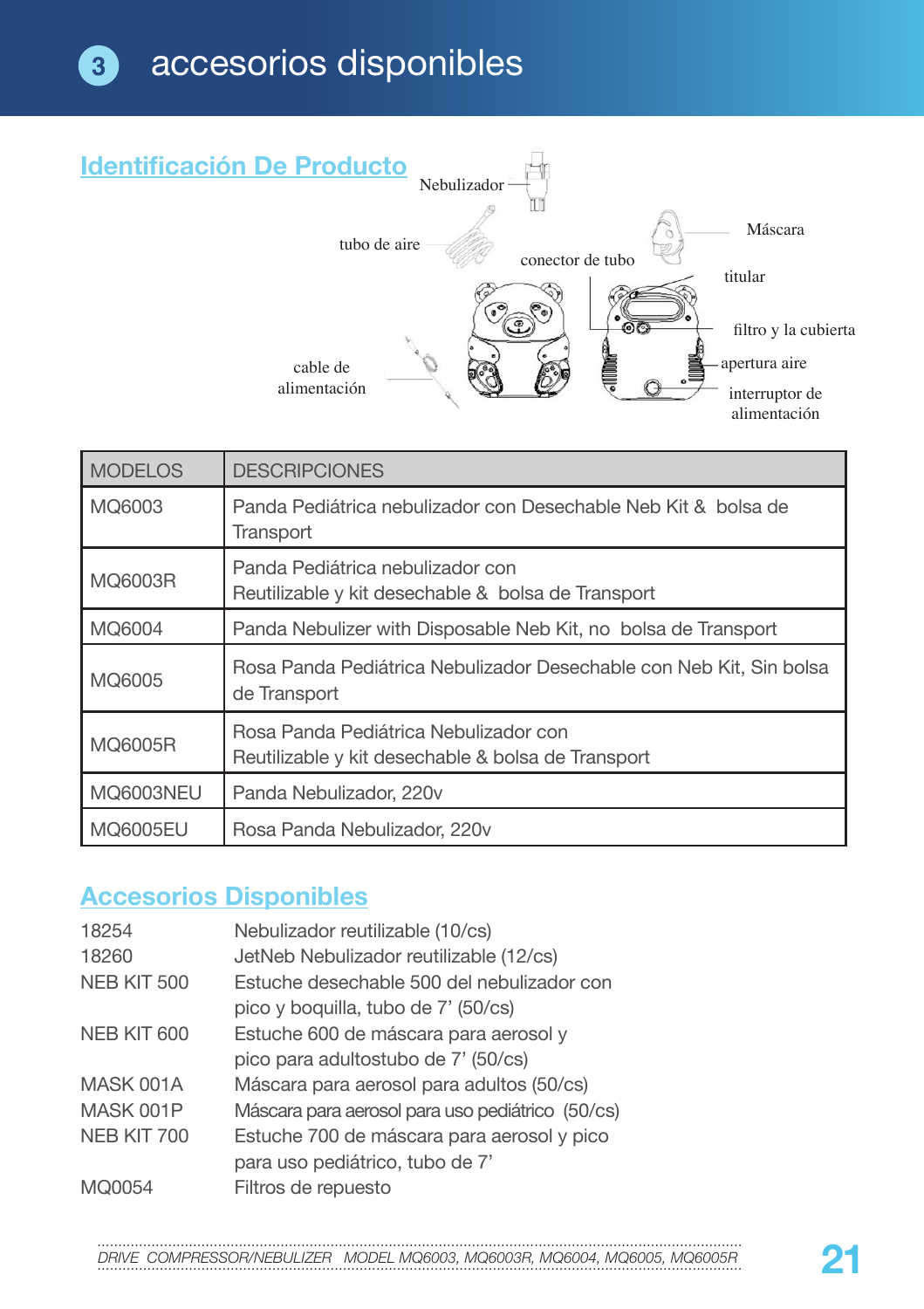

| <b>MODELOS</b>   | <b>DESCRIPCIONES</b>                                                                        |
|------------------|---------------------------------------------------------------------------------------------|
| MQ6003           | Panda Pediátrica nebulizador con Desechable Neb Kit & bolsa de<br>Transport                 |
| MQ6003R          | Panda Pediátrica nebulizador con<br>Reutilizable y kit desechable & bolsa de Transport      |
| MQ6004           | Panda Nebulizer with Disposable Neb Kit, no bolsa de Transport                              |
| MQ6005           | Rosa Panda Pediátrica Nebulizador Desechable con Neb Kit, Sin bolsa<br>de Transport         |
| MQ6005R          | Rosa Panda Pediátrica Nebulizador con<br>Reutilizable y kit desechable & bolsa de Transport |
| <b>MQ6003NEU</b> | Panda Nebulizador, 220v                                                                     |
| MQ6005EU         | Rosa Panda Nebulizador, 220 v                                                               |

## **Accesorios Disponibles**

| 18254       | Nebulizador reutilizable (10/cs)                 |
|-------------|--------------------------------------------------|
| 18260       | JetNeb Nebulizador reutilizable (12/cs)          |
| NEB KIT 500 | Estuche desechable 500 del nebulizador con       |
|             | pico y boquilla, tubo de 7' (50/cs)              |
| NEB KIT 600 | Estuche 600 de máscara para aerosol y            |
|             | pico para adultostubo de 7' (50/cs)              |
| MASK 001A   | Máscara para aerosol para adultos (50/cs)        |
| MASK 001P   | Máscara para aerosol para uso pediátrico (50/cs) |
| NEB KIT 700 | Estuche 700 de máscara para aerosol y pico       |
|             | para uso pediátrico, tubo de 7'                  |
| MQ0054      | Filtros de repuesto                              |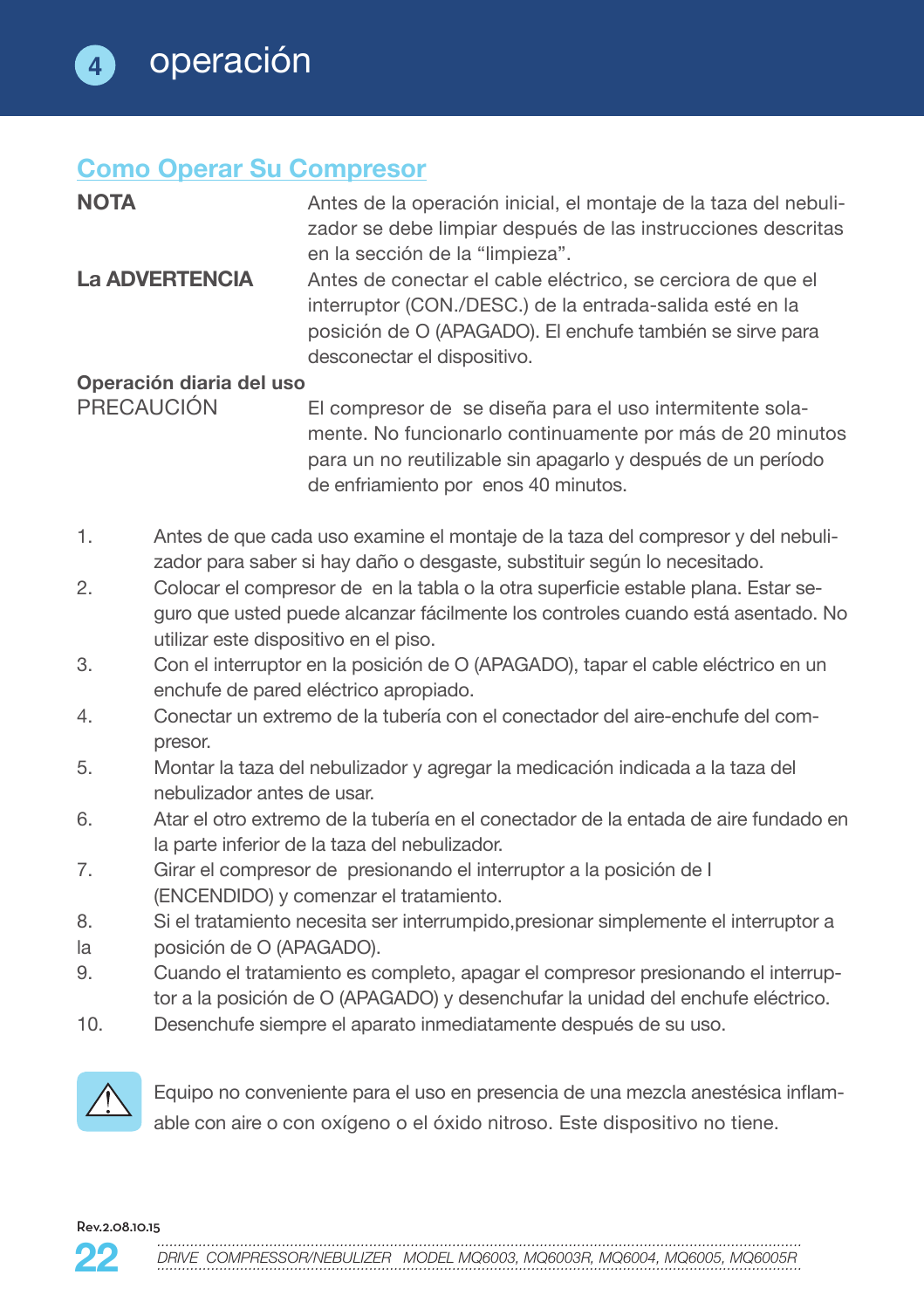### **Como Operar Su Compresor**

| <b>NOTA</b>              | Antes de la operación inicial, el montaje de la taza del nebuli- |
|--------------------------|------------------------------------------------------------------|
|                          | zador se debe limpiar después de las instrucciones descritas     |
|                          | en la sección de la "limpieza".                                  |
| <b>La ADVERTENCIA</b>    | Antes de conectar el cable eléctrico, se cerciora de que el      |
|                          | interruptor (CON./DESC.) de la entrada-salida esté en la         |
|                          | posición de O (APAGADO). El enchufe también se sirve para        |
|                          | desconectar el dispositivo.                                      |
| Operación diaria del uso |                                                                  |
| PRECAUCIÓN               | El compresor de se diseña para el uso intermitente sola-         |
|                          | mente. No funcionarlo continuamente por más de 20 minutos        |

para un no reutilizable sin apagarlo y después de un período de enfriamiento por enos 40 minutos.

- 1. Antes de que cada uso examine el montaje de la taza del compresor y del nebulizador para saber si hay daño o desgaste, substituir según lo necesitado.
- 2. Colocar el compresor de en la tabla o la otra superficie estable plana. Estar seguro que usted puede alcanzar fácilmente los controles cuando está asentado. No utilizar este dispositivo en el piso.
- 3. Con el interruptor en la posición de O (APAGADO), tapar el cable eléctrico en un enchufe de pared eléctrico apropiado.
- 4. Conectar un extremo de la tubería con el conectador del aire-enchufe del compresor.
- 5. Montar la taza del nebulizador y agregar la medicación indicada a la taza del nebulizador antes de usar.
- 6. Atar el otro extremo de la tubería en el conectador de la entada de aire fundado en la parte inferior de la taza del nebulizador.
- 7. Girar el compresor de presionando el interruptor a la posición de I (ENCENDIDO) y comenzar el tratamiento.
- 8. Si el tratamiento necesita ser interrumpido,presionar simplemente el interruptor a
- la posición de O (APAGADO).
- 9. Cuando el tratamiento es completo, apagar el compresor presionando el interruptor a la posición de O (APAGADO) y desenchufar la unidad del enchufe eléctrico.
- 10. Desenchufe siempre el aparato inmediatamente después de su uso.



 Equipo no conveniente para el uso en presencia de una mezcla anestésica inflamable con aire o con oxígeno o el óxido nitroso. Este dispositivo no tiene.

Rev.2.08.10.15

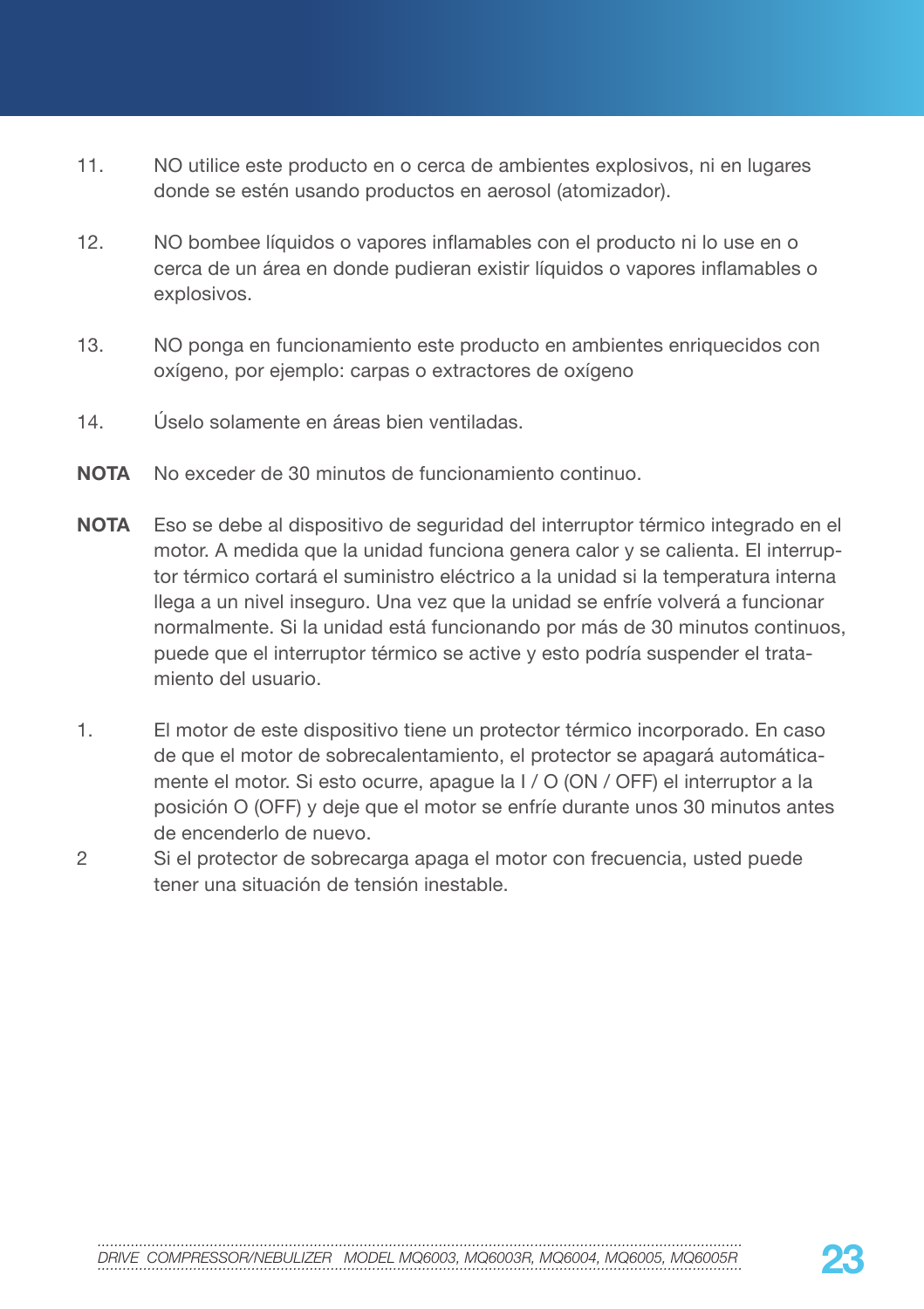- 11. NO utilice este producto en o cerca de ambientes explosivos, ni en lugares donde se estén usando productos en aerosol (atomizador).
- 12. NO bombee líquidos o vapores inflamables con el producto ni lo use en o cerca de un área en donde pudieran existir líquidos o vapores inflamables o explosivos.
- 13. NO ponga en funcionamiento este producto en ambientes enriquecidos con oxígeno, por ejemplo: carpas o extractores de oxígeno
- 14. Úselo solamente en áreas bien ventiladas.
- **NOTA** No exceder de 30 minutos de funcionamiento continuo.
- **NOTA** Eso se debe al dispositivo de seguridad del interruptor térmico integrado en el motor. A medida que la unidad funciona genera calor y se calienta. El interruptor térmico cortará el suministro eléctrico a la unidad si la temperatura interna llega a un nivel inseguro. Una vez que la unidad se enfríe volverá a funcionar normalmente. Si la unidad está funcionando por más de 30 minutos continuos, puede que el interruptor térmico se active y esto podría suspender el tratamiento del usuario.
- 1. El motor de este dispositivo tiene un protector térmico incorporado. En caso de que el motor de sobrecalentamiento, el protector se apagará automáticamente el motor. Si esto ocurre, apague la I / O (ON / OFF) el interruptor a la posición O (OFF) y deje que el motor se enfríe durante unos 30 minutos antes de encenderlo de nuevo.
- 2 Si el protector de sobrecarga apaga el motor con frecuencia, usted puede tener una situación de tensión inestable.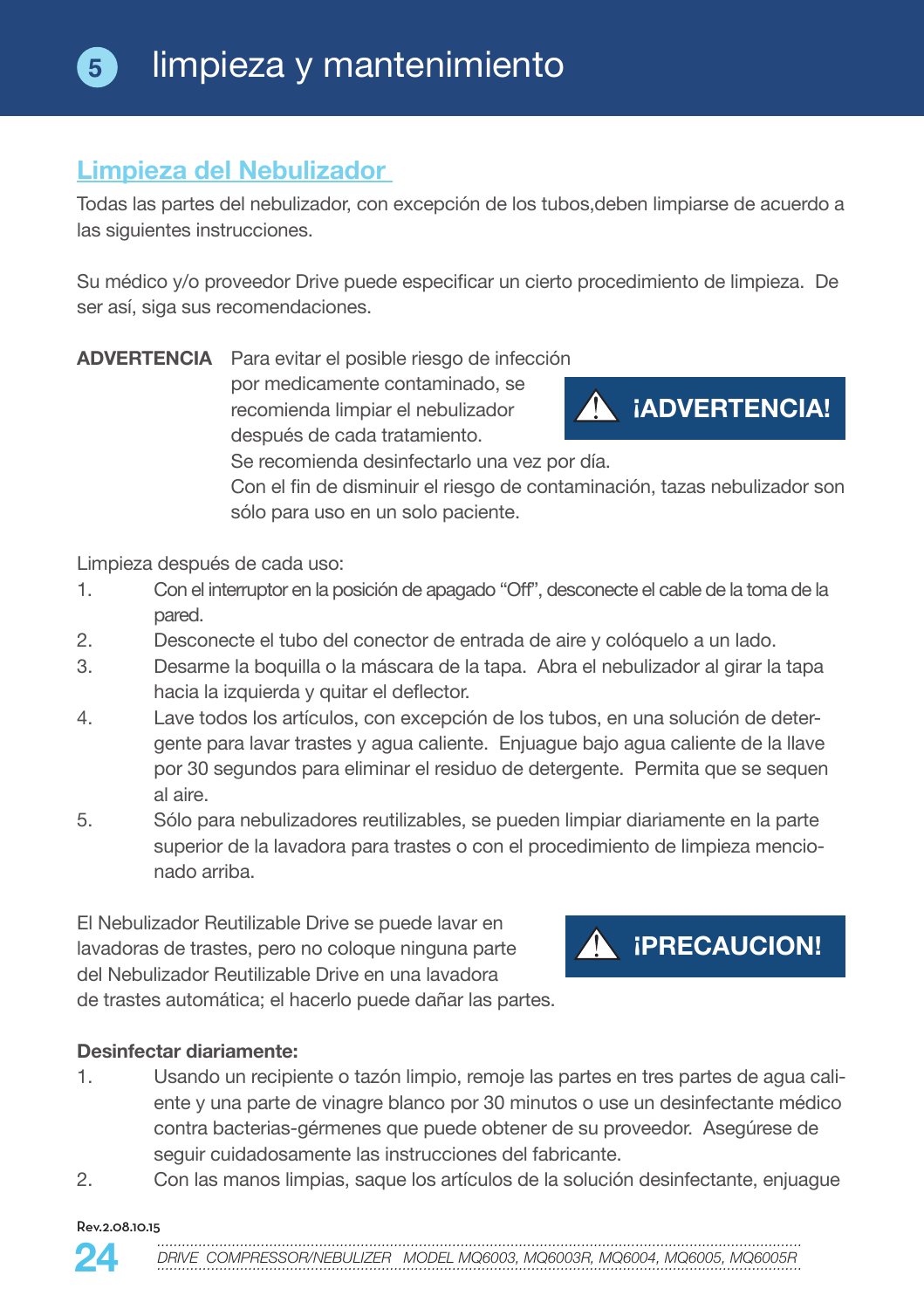## **Limpieza del Nebulizador**

Todas las partes del nebulizador, con excepción de los tubos,deben limpiarse de acuerdo a las siguientes instrucciones.

Su médico y/o proveedor Drive puede especificar un cierto procedimiento de limpieza. De ser así, siga sus recomendaciones.

**ADVERTENCIA** Para evitar el posible riesgo de infección por medicamente contaminado, se recomienda limpiar el nebulizador después de cada tratamiento.



Se recomienda desinfectarlo una vez por día.

Con el fin de disminuir el riesgo de contaminación, tazas nebulizador son sólo para uso en un solo paciente.

Limpieza después de cada uso:

- 1. Con el interruptor en la posición de apagado "Off", desconecte el cable de la toma de la pared.
- 2. Desconecte el tubo del conector de entrada de aire y colóquelo a un lado.
- 3. Desarme la boquilla o la máscara de la tapa. Abra el nebulizador al girar la tapa hacia la izquierda y quitar el deflector.
- 4. Lave todos los artículos, con excepción de los tubos, en una solución de detergente para lavar trastes y agua caliente. Enjuague bajo agua caliente de la llave por 30 segundos para eliminar el residuo de detergente. Permita que se sequen al aire.
- 5. Sólo para nebulizadores reutilizables, se pueden limpiar diariamente en la parte superior de la lavadora para trastes o con el procedimiento de limpieza mencionado arriba.

El Nebulizador Reutilizable Drive se puede lavar en lavadoras de trastes, pero no coloque ninguna parte del Nebulizador Reutilizable Drive en una lavadora de trastes automática; el hacerlo puede dañar las partes.

#### **Desinfectar diariamente:**

- 1. Usando un recipiente o tazón limpio, remoje las partes en tres partes de agua caliente y una parte de vinagre blanco por 30 minutos o use un desinfectante médico contra bacterias-gérmenes que puede obtener de su proveedor. Asegúrese de seguir cuidadosamente las instrucciones del fabricante.
- 2. Con las manos limpias, saque los artículos de la solución desinfectante, enjuague

#### Rev.2.08.10.15



**A iPRECAUCION!**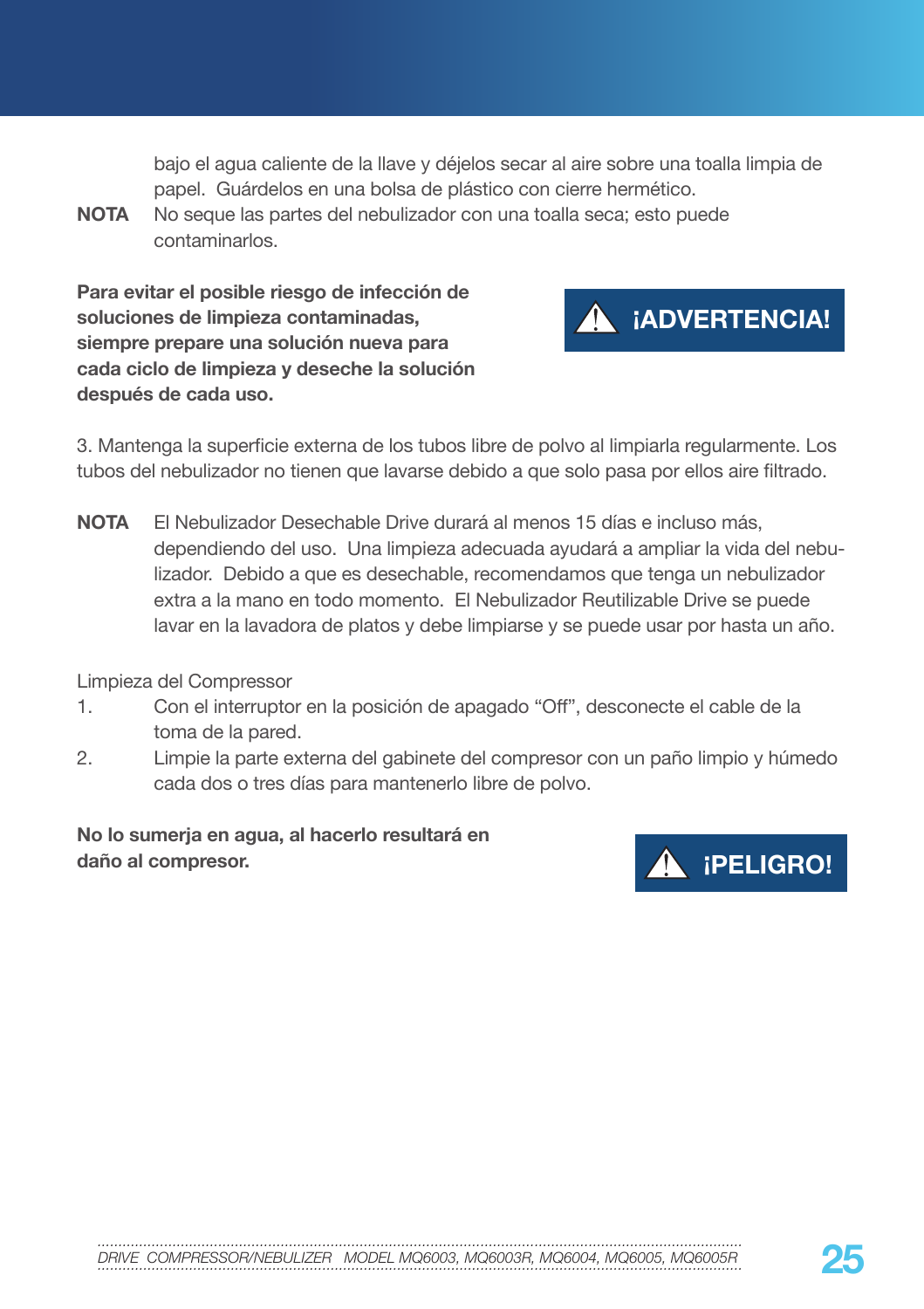bajo el agua caliente de la llave y déjelos secar al aire sobre una toalla limpia de papel. Guárdelos en una bolsa de plástico con cierre hermético.

**NOTA** No seque las partes del nebulizador con una toalla seca; esto puede contaminarlos.

**Para evitar el posible riesgo de infección de soluciones de limpieza contaminadas, siempre prepare una solución nueva para cada ciclo de limpieza y deseche la solución después de cada uso.** 



3. Mantenga la superficie externa de los tubos libre de polvo al limpiarla regularmente. Los tubos del nebulizador no tienen que lavarse debido a que solo pasa por ellos aire filtrado.

**NOTA** El Nebulizador Desechable Drive durará al menos 15 días e incluso más, dependiendo del uso. Una limpieza adecuada ayudará a ampliar la vida del nebulizador. Debido a que es desechable, recomendamos que tenga un nebulizador extra a la mano en todo momento. El Nebulizador Reutilizable Drive se puede lavar en la lavadora de platos y debe limpiarse y se puede usar por hasta un año.

Limpieza del Compressor

- 1. Con el interruptor en la posición de apagado "Off", desconecte el cable de la toma de la pared.
- 2. Limpie la parte externa del gabinete del compresor con un paño limpio y húmedo cada dos o tres días para mantenerlo libre de polvo.

**No lo sumerja en agua, al hacerlo resultará en daño al compresor. ¡PELIGRO!**



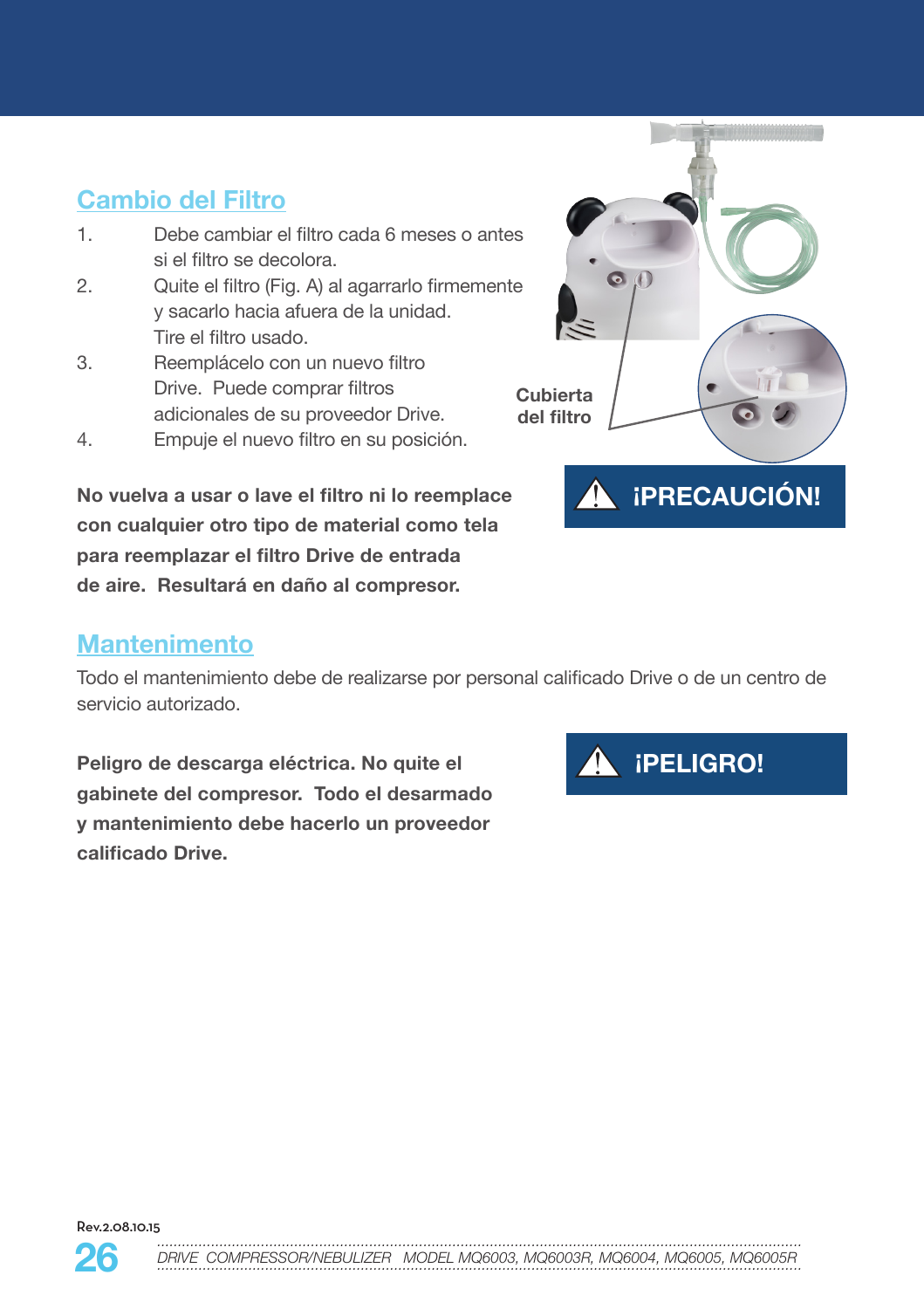## **Cambio del Filtro**

- 1. Debe cambiar el filtro cada 6 meses o antes si el filtro se decolora.
- 2. Quite el filtro (Fig. A) al agarrarlo firmemente y sacarlo hacia afuera de la unidad. Tire el filtro usado.
- 3. Reemplácelo con un nuevo filtro Drive. Puede comprar filtros adicionales de su proveedor Drive.
- 4. Empuje el nuevo filtro en su posición.

**No vuelva a usar o lave el filtro ni lo reemplace con cualquier otro tipo de material como tela para reemplazar el filtro Drive de entrada de aire. Resultará en daño al compresor.**

## **Mantenimento**

Todo el mantenimiento debe de realizarse por personal calificado Drive o de un centro de servicio autorizado.

**Cubierta del filtro**

 $\bullet$ 

**Peligro de descarga eléctrica. No quite el gabinete del compresor. Todo el desarmado y mantenimiento debe hacerlo un proveedor calificado Drive.**



**¡PRECAUCIÓN!**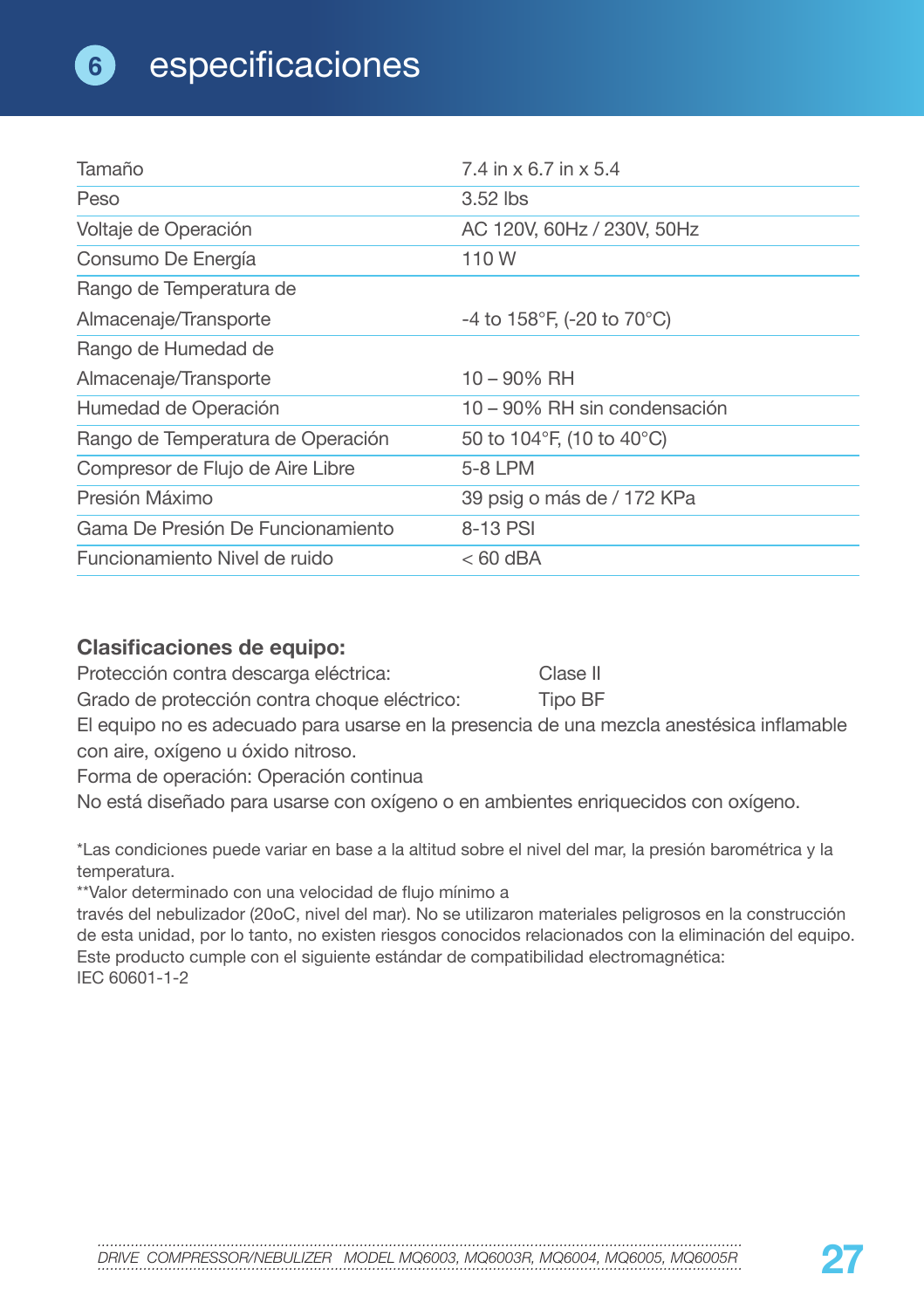| Tamaño                            | 7.4 in x 6.7 in x 5.4                         |
|-----------------------------------|-----------------------------------------------|
| Peso                              | 3.52 lbs                                      |
| Voltaje de Operación              | AC 120V, 60Hz / 230V, 50Hz                    |
| Consumo De Energía                | 110W                                          |
| Rango de Temperatura de           |                                               |
| Almacenaje/Transporte             | -4 to 158°F, (-20 to 70°C)                    |
| Rango de Humedad de               |                                               |
| Almacenaje/Transporte             | $10 - 90\%$ RH                                |
| Humedad de Operación              | 10 – 90% RH sin condensación                  |
| Rango de Temperatura de Operación | 50 to 104 $\degree$ F, (10 to 40 $\degree$ C) |
| Compresor de Flujo de Aire Libre  | 5-8 LPM                                       |
| Presión Máximo                    | 39 psig o más de / 172 KPa                    |
| Gama De Presión De Funcionamiento | 8-13 PSI                                      |
| Funcionamiento Nivel de ruido     | $< 60$ dBA                                    |

### **Clasificaciones de equipo:**

Protección contra descarga eléctrica: Clase II

Grado de protección contra choque eléctrico: Tipo BF

El equipo no es adecuado para usarse en la presencia de una mezcla anestésica inflamable con aire, oxígeno u óxido nitroso.

Forma de operación: Operación continua

No está diseñado para usarse con oxígeno o en ambientes enriquecidos con oxígeno.

\*Las condiciones puede variar en base a la altitud sobre el nivel del mar, la presión barométrica y la temperatura.

\*\*Valor determinado con una velocidad de flujo mínimo a

través del nebulizador (20oC, nivel del mar). No se utilizaron materiales peligrosos en la construcción de esta unidad, por lo tanto, no existen riesgos conocidos relacionados con la eliminación del equipo. Este producto cumple con el siguiente estándar de compatibilidad electromagnética: IEC 60601-1-2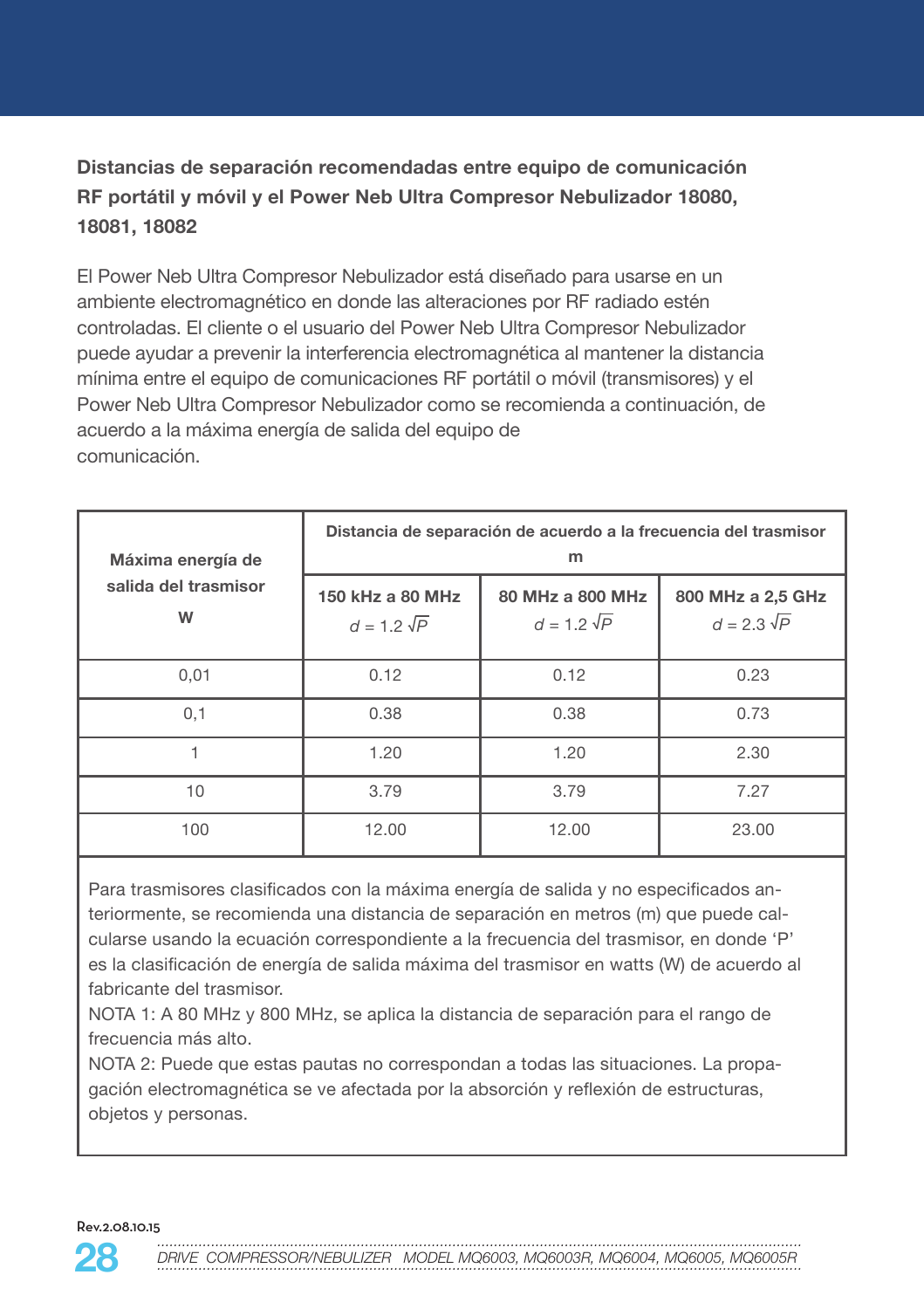### **Distancias de separación recomendadas entre equipo de comunicación RF portátil y móvil y el Power Neb Ultra Compresor Nebulizador 18080, 18081, 18082**

El Power Neb Ultra Compresor Nebulizador está diseñado para usarse en un ambiente electromagnético en donde las alteraciones por RF radiado estén controladas. El cliente o el usuario del Power Neb Ultra Compresor Nebulizador puede ayudar a prevenir la interferencia electromagnética al mantener la distancia mínima entre el equipo de comunicaciones RF portátil o móvil (transmisores) y el Power Neb Ultra Compresor Nebulizador como se recomienda a continuación, de acuerdo a la máxima energía de salida del equipo de comunicación.

| Máxima energía de<br>salida del trasmisor<br>W | Distancia de separación de acuerdo a la frecuencia del trasmisor<br>m |                                        |                                         |
|------------------------------------------------|-----------------------------------------------------------------------|----------------------------------------|-----------------------------------------|
|                                                | 150 kHz a 80 MHz<br>$d = 1.2 \sqrt{P}$                                | 80 MHz a 800 MHz<br>$d = 1.2 \sqrt{P}$ | 800 MHz a 2,5 GHz<br>$d = 2.3 \sqrt{P}$ |
| 0,01                                           | 0.12                                                                  | 0.12                                   | 0.23                                    |
| 0,1                                            | 0.38                                                                  | 0.38                                   | 0.73                                    |
|                                                | 1.20                                                                  | 1.20                                   | 2.30                                    |
| 10                                             | 3.79                                                                  | 3.79                                   | 7.27                                    |
| 100                                            | 12.00                                                                 | 12.00                                  | 23.00                                   |

Para trasmisores clasificados con la máxima energía de salida y no especificados anteriormente, se recomienda una distancia de separación en metros (m) que puede calcularse usando la ecuación correspondiente a la frecuencia del trasmisor, en donde 'P' es la clasificación de energía de salida máxima del trasmisor en watts (W) de acuerdo al fabricante del trasmisor.

NOTA 1: A 80 MHz y 800 MHz, se aplica la distancia de separación para el rango de frecuencia más alto.

NOTA 2: Puede que estas pautas no correspondan a todas las situaciones. La propagación electromagnética se ve afectada por la absorción y reflexión de estructuras, objetos y personas.

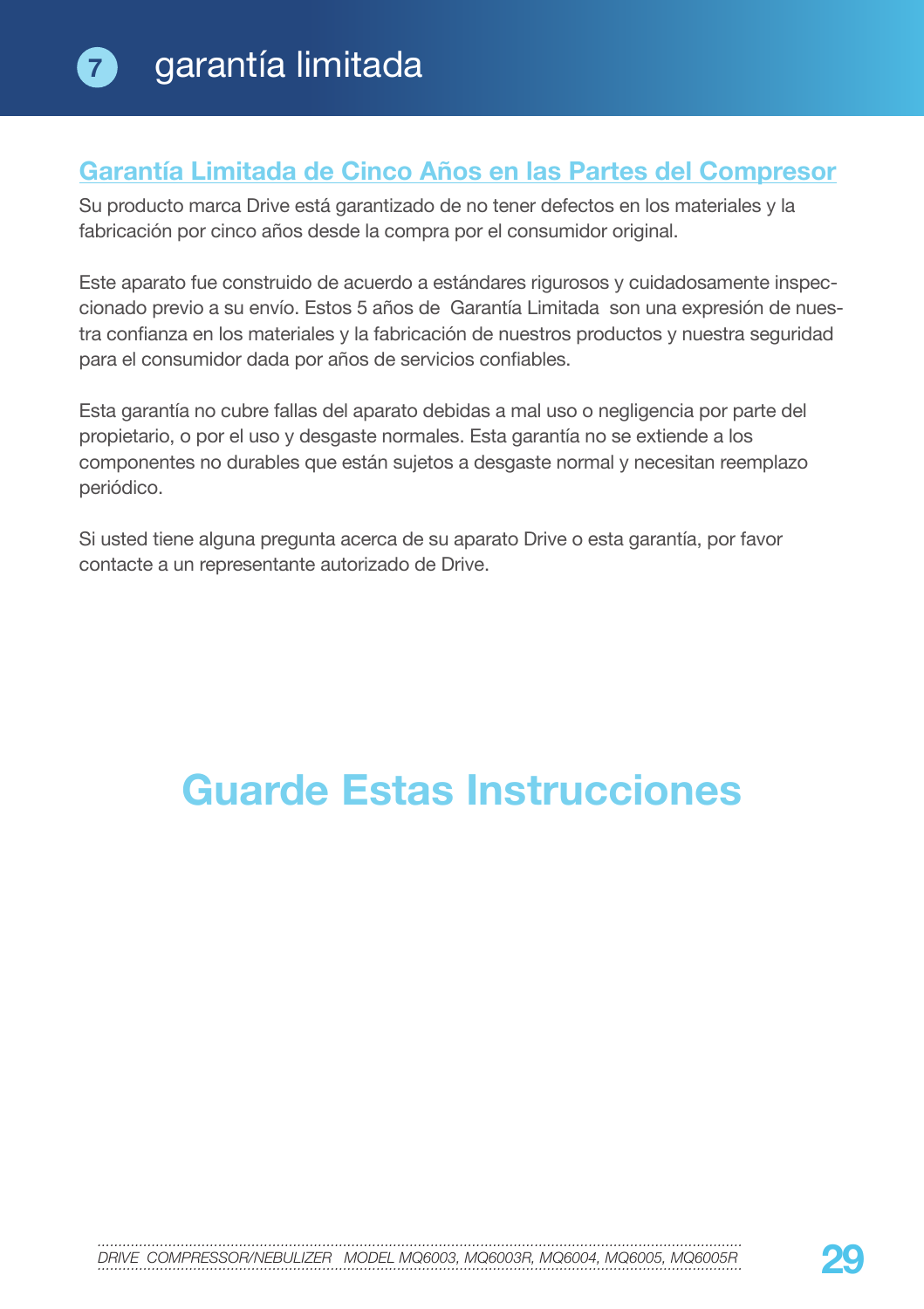### **Garantía Limitada de Cinco Años en las Partes del Compresor**

Su producto marca Drive está garantizado de no tener defectos en los materiales y la fabricación por cinco años desde la compra por el consumidor original.

Este aparato fue construido de acuerdo a estándares rigurosos y cuidadosamente inspeccionado previo a su envío. Estos 5 años de Garantía Limitada son una expresión de nuestra confianza en los materiales y la fabricación de nuestros productos y nuestra seguridad para el consumidor dada por años de servicios confiables.

Esta garantía no cubre fallas del aparato debidas a mal uso o negligencia por parte del propietario, o por el uso y desgaste normales. Esta garantía no se extiende a los componentes no durables que están sujetos a desgaste normal y necesitan reemplazo periódico.

Si usted tiene alguna pregunta acerca de su aparato Drive o esta garantía, por favor contacte a un representante autorizado de Drive.

## **Guarde Estas Instrucciones**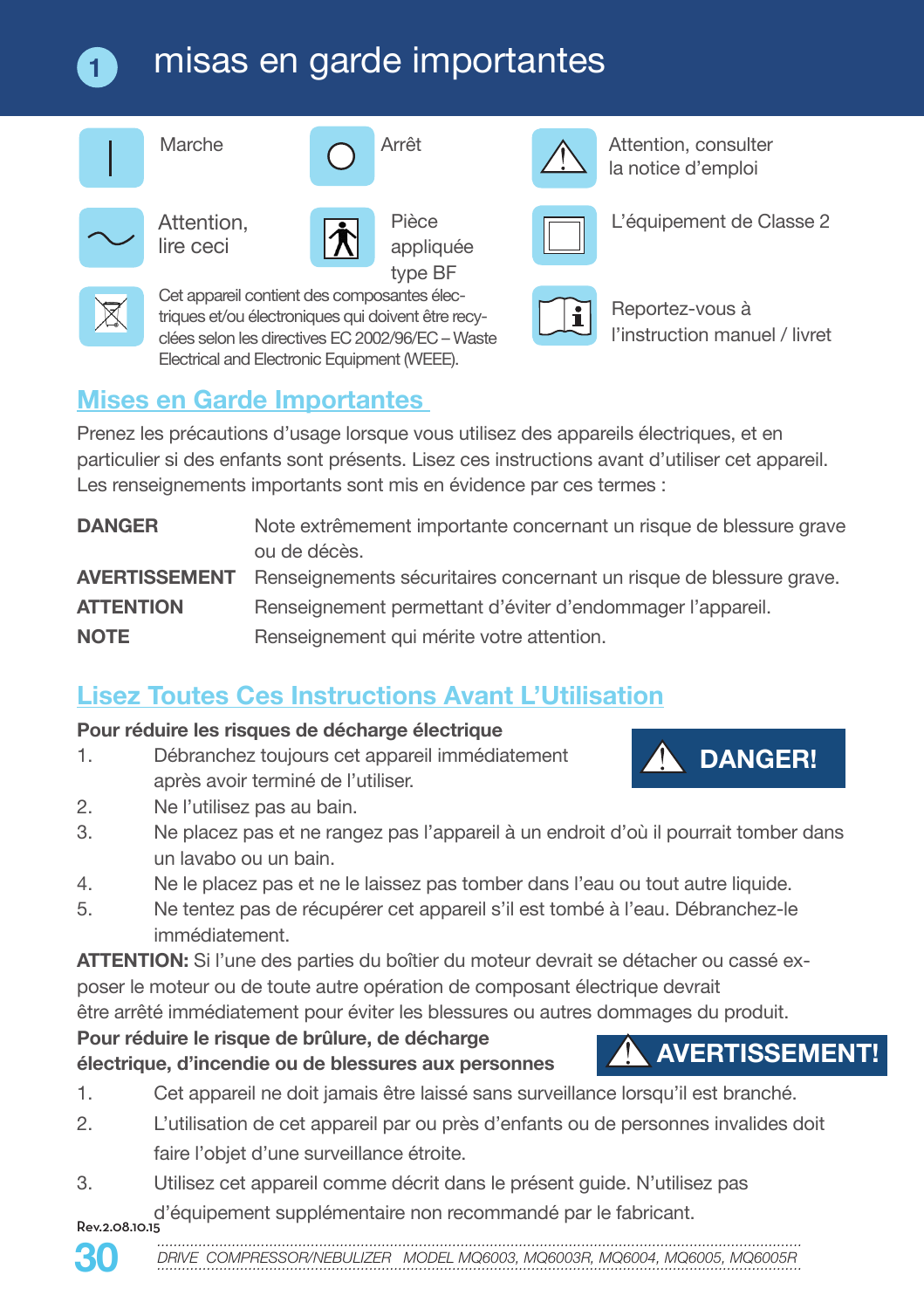#### misas en garde importantes **1**





clées selon les directives EC 2002/96/EC – Waste Electrical and Electronic Equipment (WEEE).



Attention,



type BF Cet appareil contient des composantes électriques et/ou électroniques qui doivent être recy-

Marche **Arrêt Arrêt** Arrêt Arrêt Arrêt Arrêt Arrêt Arrêt Arrêt Arrêt Arrêt Arrêt Arrêt Arrêt Arrêt Arrêt Arrêt A la notice d'emploi



L'équipement de Classe 2



Reportez-vous à l'instruction manuel / livret

## **Mises en Garde Importantes**

Prenez les précautions d'usage lorsque vous utilisez des appareils électriques, et en particulier si des enfants sont présents. Lisez ces instructions avant d'utiliser cet appareil. Les renseignements importants sont mis en évidence par ces termes :

| <b>DANGER</b>        | Note extrêmement importante concernant un risque de blessure grave<br>ou de décès. |
|----------------------|------------------------------------------------------------------------------------|
| <b>AVERTISSEMENT</b> | Renseignements sécuritaires concernant un risque de blessure grave.                |
| <b>ATTENTION</b>     | Renseignement permettant d'éviter d'endommager l'appareil.                         |
| <b>NOTE</b>          | Renseignement qui mérite votre attention.                                          |

## **Lisez Toutes Ces Instructions Avant L'Utilisation**

### **Pour réduire les risques de décharge électrique**

1. Débranchez toujours cet appareil immédiatement après avoir terminé de l'utiliser.



**AVERTISSEMENT!**

- 2. Ne l'utilisez pas au bain.
- 3. Ne placez pas et ne rangez pas l'appareil à un endroit d'où il pourrait tomber dans un lavabo ou un bain.
- 4. Ne le placez pas et ne le laissez pas tomber dans l'eau ou tout autre liquide.
- 5. Ne tentez pas de récupérer cet appareil s'il est tombé à l'eau. Débranchez-le immédiatement.

**ATTENTION:** Si l'une des parties du boîtier du moteur devrait se détacher ou cassé exposer le moteur ou de toute autre opération de composant électrique devrait être arrêté immédiatement pour éviter les blessures ou autres dommages du produit.

### **Pour réduire le risque de brûlure, de décharge électrique, d'incendie ou de blessures aux personnes**

- 1. Cet appareil ne doit jamais être laissé sans surveillance lorsqu'il est branché.
- 2. L'utilisation de cet appareil par ou près d'enfants ou de personnes invalides doit faire l'objet d'une surveillance étroite.
- Rev.2.08.10.15 d'équipement supplémentaire non recommandé par le fabricant. 3. Utilisez cet appareil comme décrit dans le présent guide. N'utilisez pas



*...........................................................................................................................................................* DRIVE COMPRESSOR/NEBULIZER MODEL MQ6003, MQ6003R, MQ6004, MQ6005, MQ6005R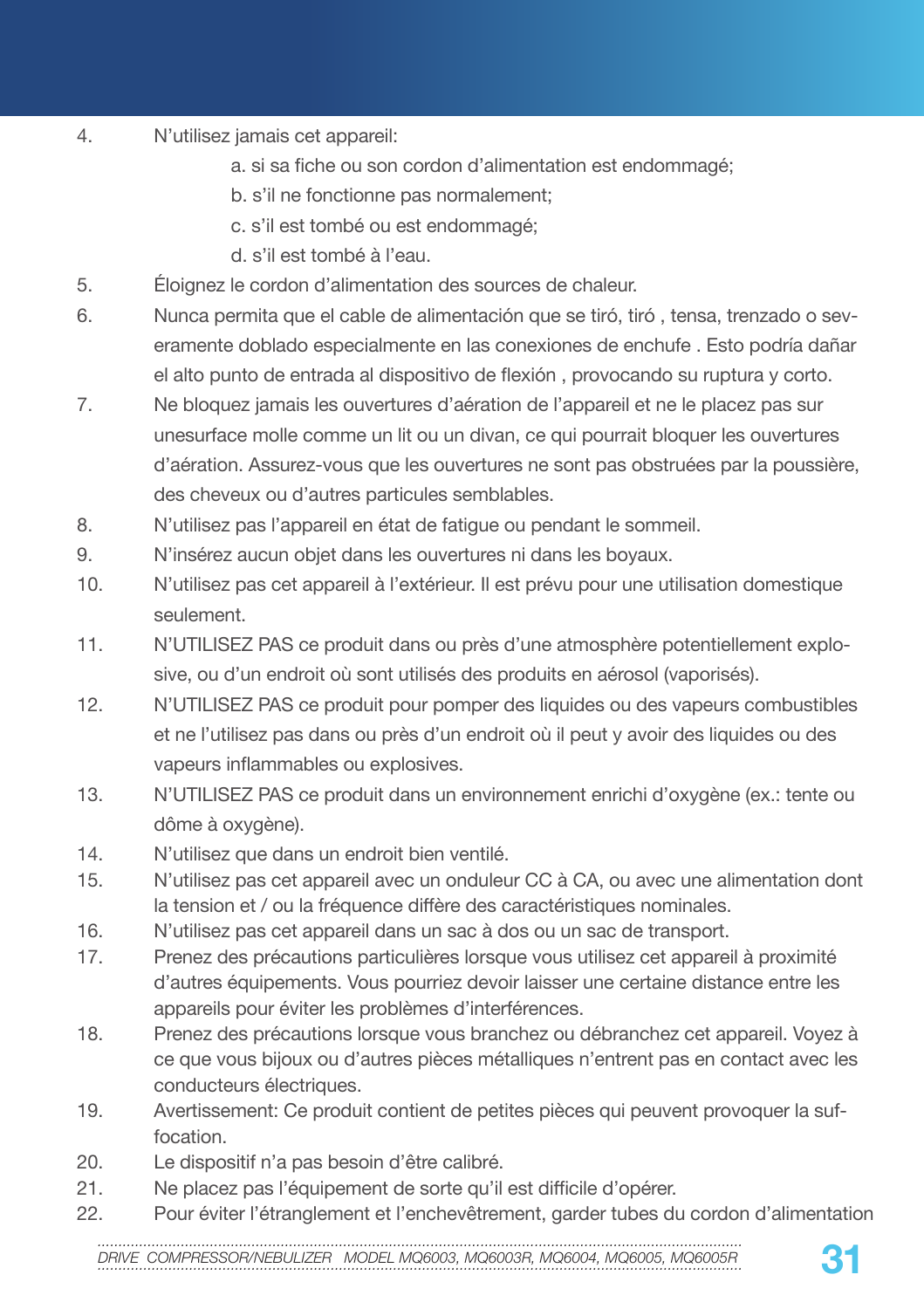- 4. N'utilisez jamais cet appareil:
	- a. si sa fiche ou son cordon d'alimentation est endommagé;
	- b. s'il ne fonctionne pas normalement;
	- c. s'il est tombé ou est endommagé;
	- d. s'il est tombé à l'eau.
- 5. Éloignez le cordon d'alimentation des sources de chaleur.
- 6. Nunca permita que el cable de alimentación que se tiró, tiró , tensa, trenzado o severamente doblado especialmente en las conexiones de enchufe . Esto podría dañar el alto punto de entrada al dispositivo de flexión , provocando su ruptura y corto.
- 7. Ne bloquez jamais les ouvertures d'aération de l'appareil et ne le placez pas sur unesurface molle comme un lit ou un divan, ce qui pourrait bloquer les ouvertures d'aération. Assurez-vous que les ouvertures ne sont pas obstruées par la poussière, des cheveux ou d'autres particules semblables.
- 8. N'utilisez pas l'appareil en état de fatigue ou pendant le sommeil.
- 9. N'insérez aucun objet dans les ouvertures ni dans les boyaux.
- 10. N'utilisez pas cet appareil à l'extérieur. Il est prévu pour une utilisation domestique seulement.
- 11. N'UTILISEZ PAS ce produit dans ou près d'une atmosphère potentiellement explosive, ou d'un endroit où sont utilisés des produits en aérosol (vaporisés).
- 12. N'UTILISEZ PAS ce produit pour pomper des liquides ou des vapeurs combustibles et ne l'utilisez pas dans ou près d'un endroit où il peut y avoir des liquides ou des vapeurs inflammables ou explosives.
- 13. N'UTILISEZ PAS ce produit dans un environnement enrichi d'oxygène (ex.: tente ou dôme à oxygène).
- 14. N'utilisez que dans un endroit bien ventilé.
- 15. N'utilisez pas cet appareil avec un onduleur CC à CA, ou avec une alimentation dont la tension et / ou la fréquence diffère des caractéristiques nominales.
- 16. N'utilisez pas cet appareil dans un sac à dos ou un sac de transport.
- 17. Prenez des précautions particulières lorsque vous utilisez cet appareil à proximité d'autres équipements. Vous pourriez devoir laisser une certaine distance entre les appareils pour éviter les problèmes d'interférences.
- 18. Prenez des précautions lorsque vous branchez ou débranchez cet appareil. Voyez à ce que vous bijoux ou d'autres pièces métalliques n'entrent pas en contact avec les conducteurs électriques.
- 19. Avertissement: Ce produit contient de petites pièces qui peuvent provoquer la suffocation.
- 20. Le dispositif n'a pas besoin d'être calibré.
- 21. Ne placez pas l'équipement de sorte qu'il est difficile d'opérer.
- 22. Pour éviter l'étranglement et l'enchevêtrement, garder tubes du cordon d'alimentation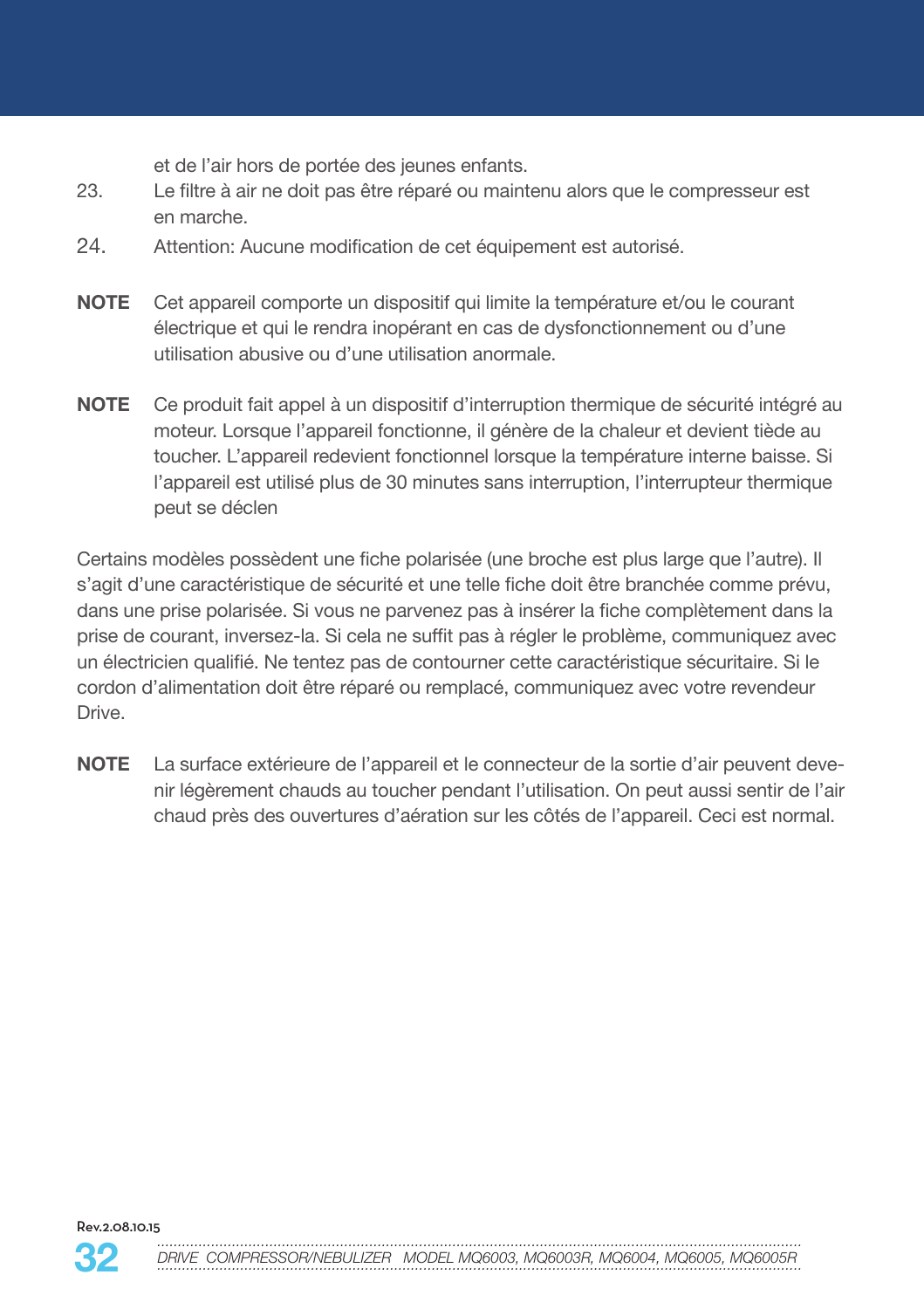et de l'air hors de portée des jeunes enfants.

- 23. Le filtre à air ne doit pas être réparé ou maintenu alors que le compresseur est en marche.
- 24. Attention: Aucune modification de cet équipement est autorisé.
- **NOTE** Cet appareil comporte un dispositif qui limite la température et/ou le courant électrique et qui le rendra inopérant en cas de dysfonctionnement ou d'une utilisation abusive ou d'une utilisation anormale.
- **NOTE** Ce produit fait appel à un dispositif d'interruption thermique de sécurité intégré au moteur. Lorsque l'appareil fonctionne, il génère de la chaleur et devient tiède au toucher. L'appareil redevient fonctionnel lorsque la température interne baisse. Si l'appareil est utilisé plus de 30 minutes sans interruption, l'interrupteur thermique peut se déclen

Certains modèles possèdent une fiche polarisée (une broche est plus large que l'autre). Il s'agit d'une caractéristique de sécurité et une telle fiche doit être branchée comme prévu, dans une prise polarisée. Si vous ne parvenez pas à insérer la fiche complètement dans la prise de courant, inversez-la. Si cela ne suffit pas à régler le problème, communiquez avec un électricien qualifié. Ne tentez pas de contourner cette caractéristique sécuritaire. Si le cordon d'alimentation doit être réparé ou remplacé, communiquez avec votre revendeur Drive.

**NOTE** La surface extérieure de l'appareil et le connecteur de la sortie d'air peuvent devenir légèrement chauds au toucher pendant l'utilisation. On peut aussi sentir de l'air chaud près des ouvertures d'aération sur les côtés de l'appareil. Ceci est normal.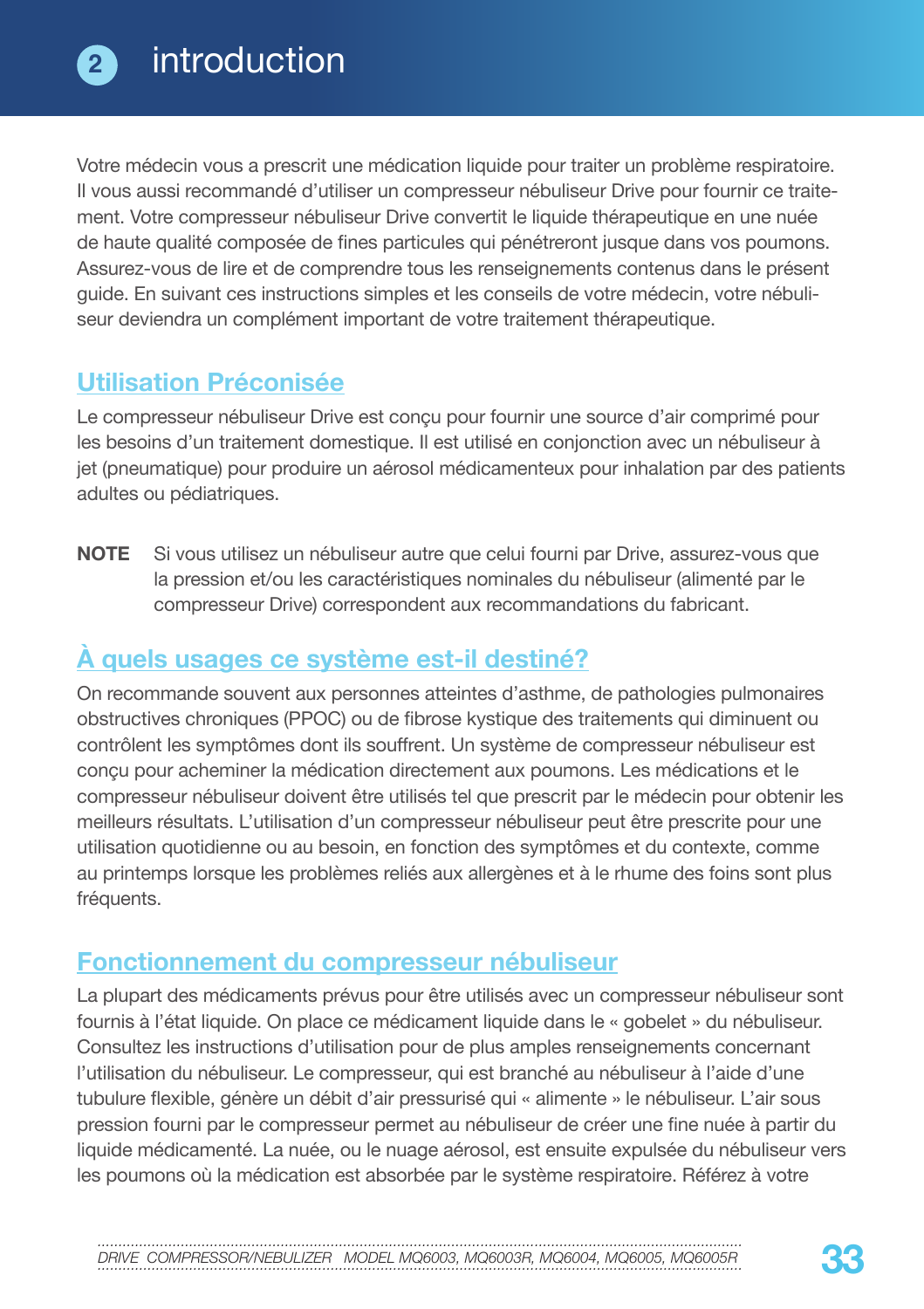Votre médecin vous a prescrit une médication liquide pour traiter un problème respiratoire. Il vous aussi recommandé d'utiliser un compresseur nébuliseur Drive pour fournir ce traitement. Votre compresseur nébuliseur Drive convertit le liquide thérapeutique en une nuée de haute qualité composée de fines particules qui pénétreront jusque dans vos poumons. Assurez-vous de lire et de comprendre tous les renseignements contenus dans le présent guide. En suivant ces instructions simples et les conseils de votre médecin, votre nébuliseur deviendra un complément important de votre traitement thérapeutique.

## **Utilisation Préconisée**

Le compresseur nébuliseur Drive est conçu pour fournir une source d'air comprimé pour les besoins d'un traitement domestique. Il est utilisé en conjonction avec un nébuliseur à jet (pneumatique) pour produire un aérosol médicamenteux pour inhalation par des patients adultes ou pédiatriques.

**NOTE** Si vous utilisez un nébuliseur autre que celui fourni par Drive, assurez-vous que la pression et/ou les caractéristiques nominales du nébuliseur (alimenté par le compresseur Drive) correspondent aux recommandations du fabricant.

## **À quels usages ce système est-il destiné?**

On recommande souvent aux personnes atteintes d'asthme, de pathologies pulmonaires obstructives chroniques (PPOC) ou de fibrose kystique des traitements qui diminuent ou contrôlent les symptômes dont ils souffrent. Un système de compresseur nébuliseur est conçu pour acheminer la médication directement aux poumons. Les médications et le compresseur nébuliseur doivent être utilisés tel que prescrit par le médecin pour obtenir les meilleurs résultats. L'utilisation d'un compresseur nébuliseur peut être prescrite pour une utilisation quotidienne ou au besoin, en fonction des symptômes et du contexte, comme au printemps lorsque les problèmes reliés aux allergènes et à le rhume des foins sont plus fréquents.

### **Fonctionnement du compresseur nébuliseur**

La plupart des médicaments prévus pour être utilisés avec un compresseur nébuliseur sont fournis à l'état liquide. On place ce médicament liquide dans le « gobelet » du nébuliseur. Consultez les instructions d'utilisation pour de plus amples renseignements concernant l'utilisation du nébuliseur. Le compresseur, qui est branché au nébuliseur à l'aide d'une tubulure flexible, génère un débit d'air pressurisé qui « alimente » le nébuliseur. L'air sous pression fourni par le compresseur permet au nébuliseur de créer une fine nuée à partir du liquide médicamenté. La nuée, ou le nuage aérosol, est ensuite expulsée du nébuliseur vers les poumons où la médication est absorbée par le système respiratoire. Référez à votre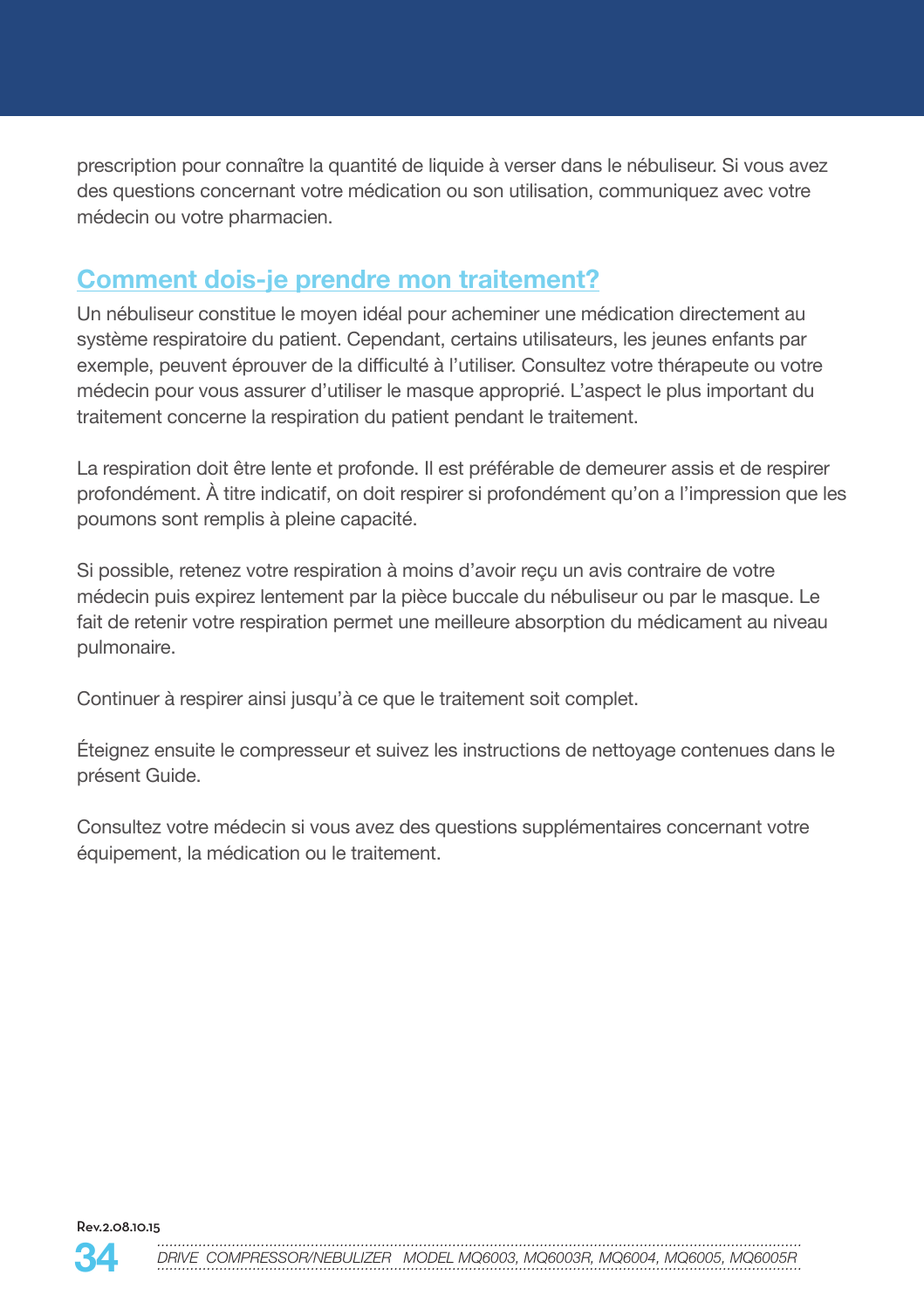prescription pour connaître la quantité de liquide à verser dans le nébuliseur. Si vous avez des questions concernant votre médication ou son utilisation, communiquez avec votre médecin ou votre pharmacien.

## **Comment dois-je prendre mon traitement?**

Un nébuliseur constitue le moyen idéal pour acheminer une médication directement au système respiratoire du patient. Cependant, certains utilisateurs, les jeunes enfants par exemple, peuvent éprouver de la difficulté à l'utiliser. Consultez votre thérapeute ou votre médecin pour vous assurer d'utiliser le masque approprié. L'aspect le plus important du traitement concerne la respiration du patient pendant le traitement.

La respiration doit être lente et profonde. Il est préférable de demeurer assis et de respirer profondément. À titre indicatif, on doit respirer si profondément qu'on a l'impression que les poumons sont remplis à pleine capacité.

Si possible, retenez votre respiration à moins d'avoir reçu un avis contraire de votre médecin puis expirez lentement par la pièce buccale du nébuliseur ou par le masque. Le fait de retenir votre respiration permet une meilleure absorption du médicament au niveau pulmonaire.

Continuer à respirer ainsi jusqu'à ce que le traitement soit complet.

Éteignez ensuite le compresseur et suivez les instructions de nettoyage contenues dans le présent Guide.

Consultez votre médecin si vous avez des questions supplémentaires concernant votre équipement, la médication ou le traitement.

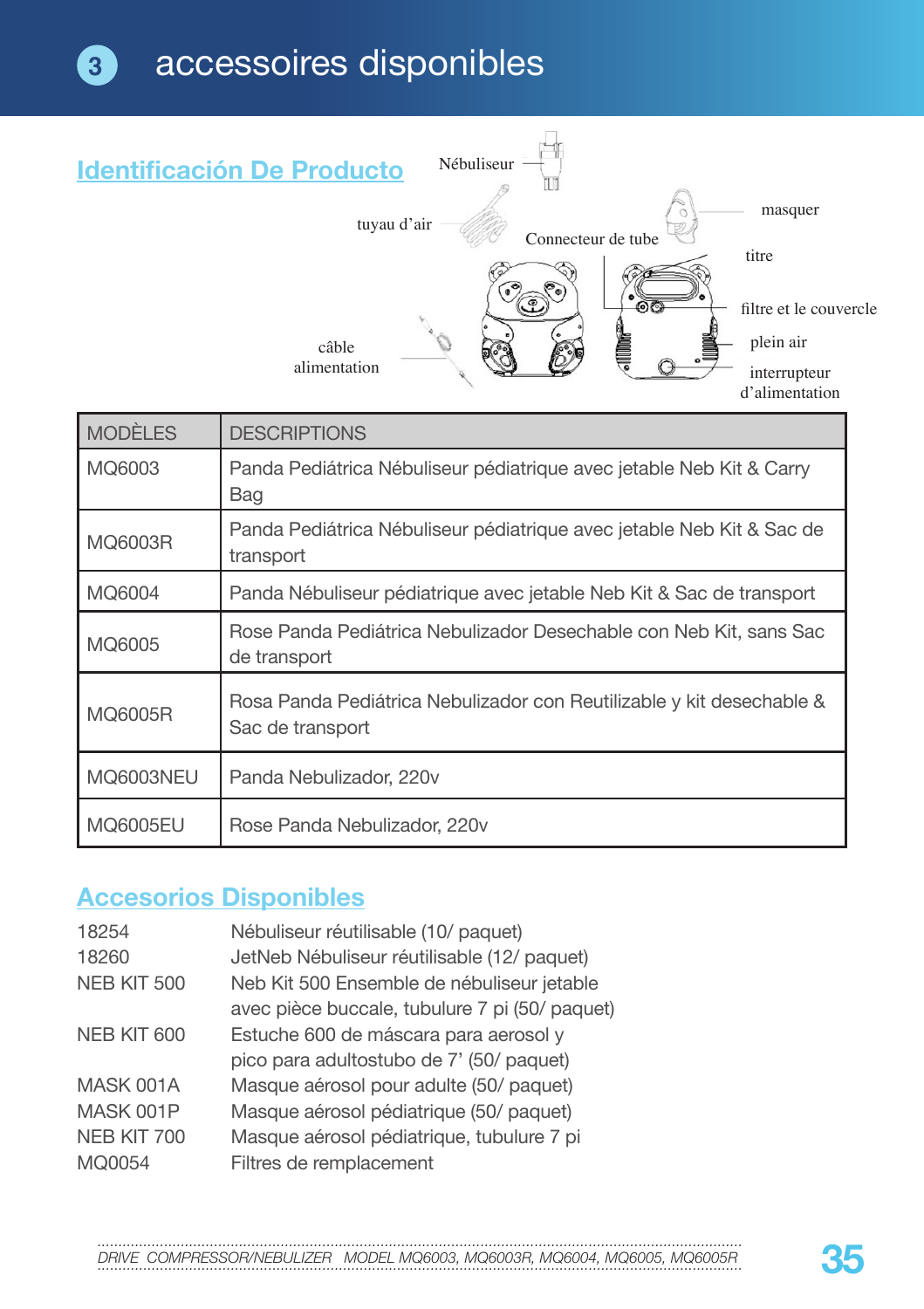

| <b>MODÈLES</b>   | <b>DESCRIPTIONS</b>                                                                       |
|------------------|-------------------------------------------------------------------------------------------|
| MQ6003           | Panda Pediátrica Nébuliseur pédiatrique avec jetable Neb Kit & Carry<br><b>Bag</b>        |
| MQ6003R          | Panda Pediátrica Nébuliseur pédiatrique avec jetable Neb Kit & Sac de<br>transport        |
| MQ6004           | Panda Nébuliseur pédiatrique avec jetable Neb Kit & Sac de transport                      |
| MQ6005           | Rose Panda Pediátrica Nebulizador Desechable con Neb Kit, sans Sac<br>de transport        |
| MQ6005R          | Rosa Panda Pediátrica Nebulizador con Reutilizable y kit desechable &<br>Sac de transport |
| <b>MQ6003NEU</b> | Panda Nebulizador, 220v                                                                   |
| MQ6005EU         | Rose Panda Nebulizador, 220v                                                              |

## **Accesorios Disponibles**

| Nébuliseur réutilisable (10/ paquet)           |
|------------------------------------------------|
| JetNeb Nébuliseur réutilisable (12/ paquet)    |
| Neb Kit 500 Ensemble de nébuliseur jetable     |
| avec pièce buccale, tubulure 7 pi (50/ paquet) |
| Estuche 600 de máscara para aerosol y          |
| pico para adultostubo de 7' (50/ paquet)       |
| Masque aérosol pour adulte (50/ paquet)        |
| Masque aérosol pédiatrique (50/ paquet)        |
| Masque aérosol pédiatrique, tubulure 7 pi      |
| Filtres de remplacement                        |
|                                                |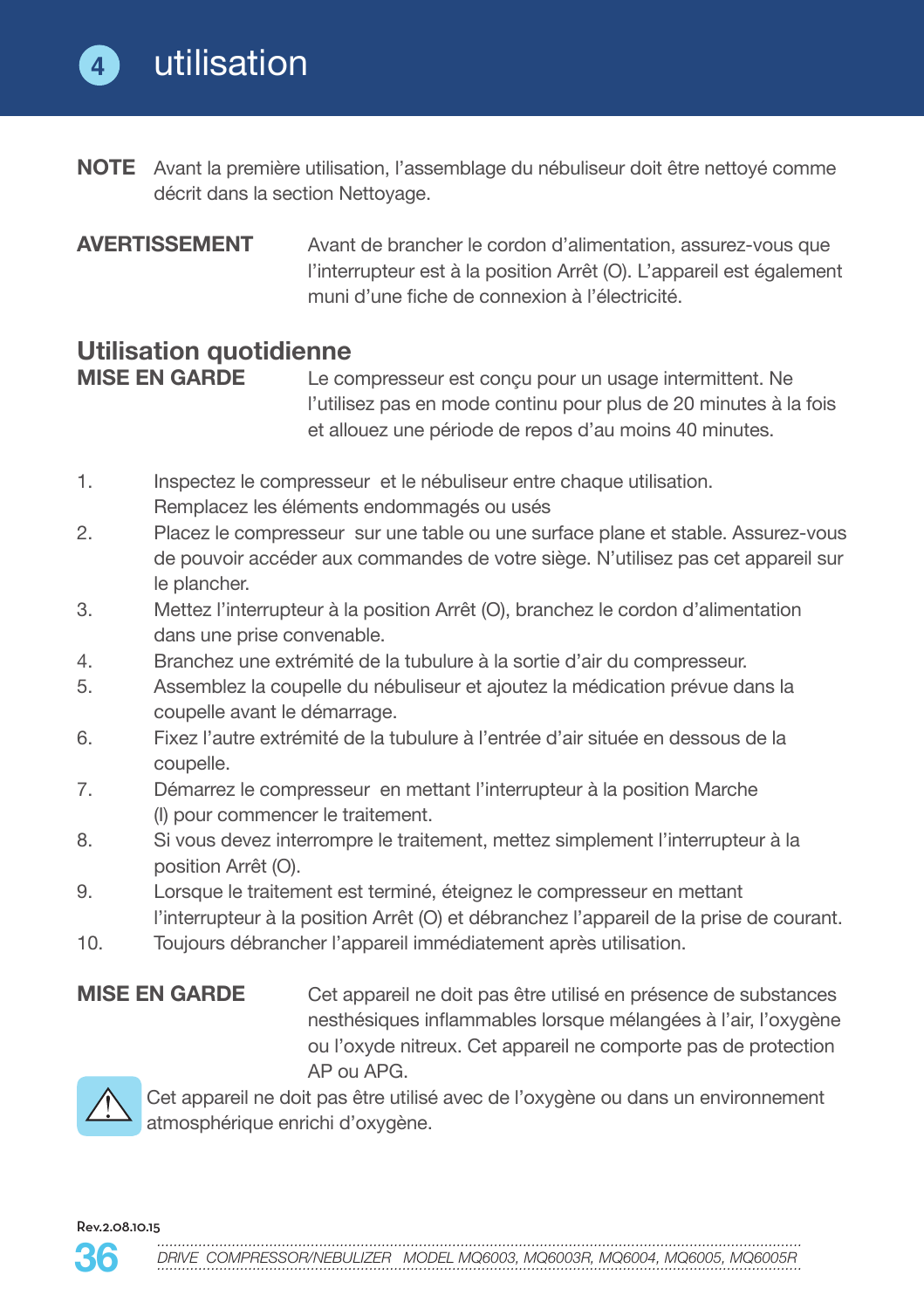**4**

- **NOTE** Avant la première utilisation, l'assemblage du nébuliseur doit être nettoyé comme décrit dans la section Nettoyage.
- **AVERTISSEMENT** Avant de brancher le cordon d'alimentation, assurez-vous que l'interrupteur est à la position Arrêt (O). L'appareil est également muni d'une fiche de connexion à l'électricité.

## **Utilisation quotidienne**

Le compresseur est conçu pour un usage intermittent. Ne l'utilisez pas en mode continu pour plus de 20 minutes à la fois et allouez une période de repos d'au moins 40 minutes.

- 1. Inspectez le compresseur et le nébuliseur entre chaque utilisation. Remplacez les éléments endommagés ou usés
- 2. Placez le compresseur sur une table ou une surface plane et stable. Assurez-vous de pouvoir accéder aux commandes de votre siège. N'utilisez pas cet appareil sur le plancher.
- 3. Mettez l'interrupteur à la position Arrêt (O), branchez le cordon d'alimentation dans une prise convenable.
- 4. Branchez une extrémité de la tubulure à la sortie d'air du compresseur.
- 5. Assemblez la coupelle du nébuliseur et ajoutez la médication prévue dans la coupelle avant le démarrage.
- 6. Fixez l'autre extrémité de la tubulure à l'entrée d'air située en dessous de la coupelle.
- 7. Démarrez le compresseur en mettant l'interrupteur à la position Marche (I) pour commencer le traitement.
- 8. Si vous devez interrompre le traitement, mettez simplement l'interrupteur à la position Arrêt (O).
- 9. Lorsque le traitement est terminé, éteignez le compresseur en mettant l'interrupteur à la position Arrêt (O) et débranchez l'appareil de la prise de courant.
- 10. Toujours débrancher l'appareil immédiatement après utilisation.

**MISE EN GARDE** Cet appareil ne doit pas être utilisé en présence de substances nesthésiques inflammables lorsque mélangées à l'air, l'oxygène ou l'oxyde nitreux. Cet appareil ne comporte pas de protection AP ou APG.



Cet appareil ne doit pas être utilisé avec de l'oxygène ou dans un environnement atmosphérique enrichi d'oxygène.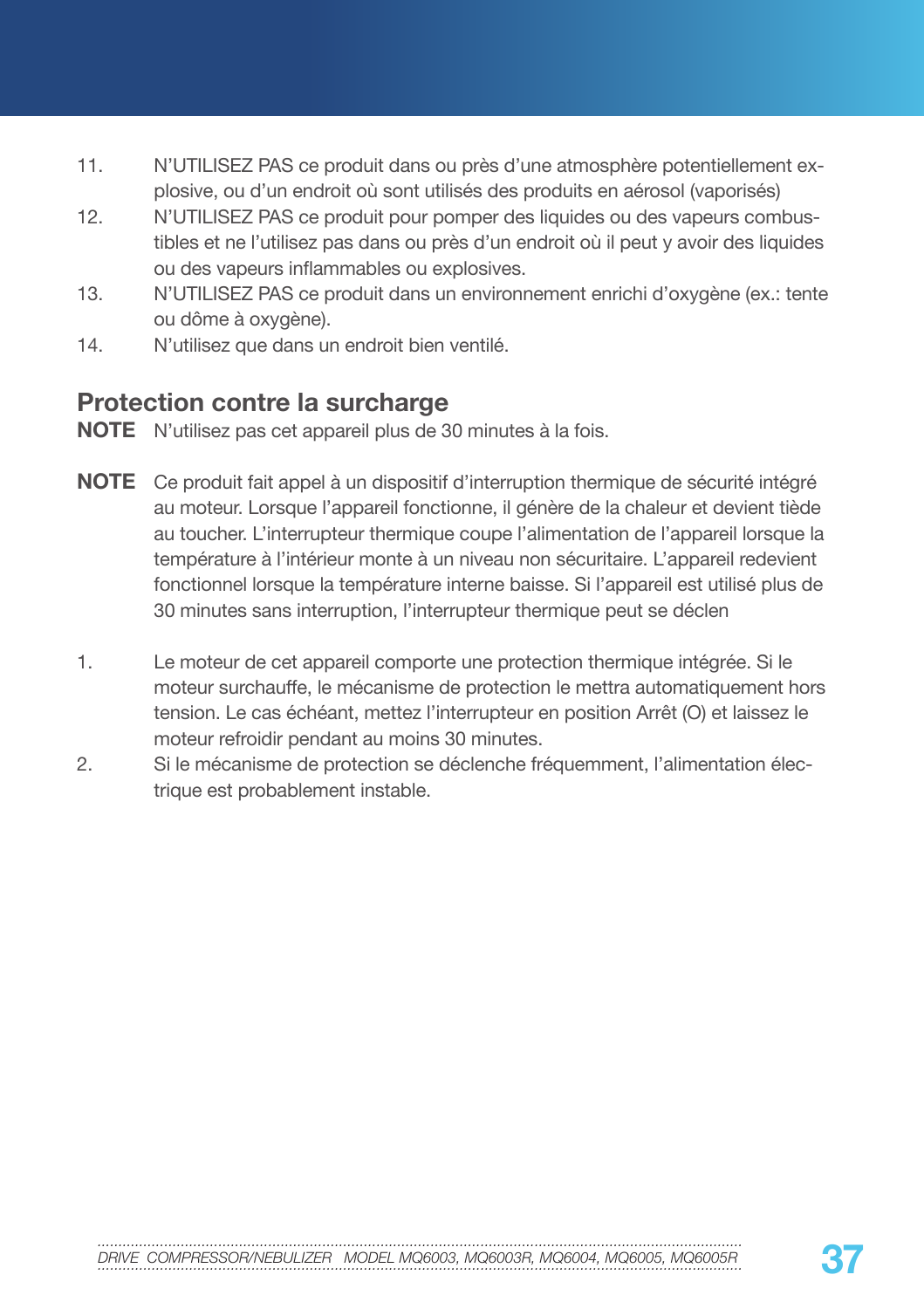- 11. N'UTILISEZ PAS ce produit dans ou près d'une atmosphère potentiellement explosive, ou d'un endroit où sont utilisés des produits en aérosol (vaporisés)
- 12. N'UTILISEZ PAS ce produit pour pomper des liquides ou des vapeurs combustibles et ne l'utilisez pas dans ou près d'un endroit où il peut y avoir des liquides ou des vapeurs inflammables ou explosives.
- 13. N'UTILISEZ PAS ce produit dans un environnement enrichi d'oxygène (ex.: tente ou dôme à oxygène).
- 14. N'utilisez que dans un endroit bien ventilé.

### **Protection contre la surcharge**

**NOTE** N'utilisez pas cet appareil plus de 30 minutes à la fois.

- **NOTE** Ce produit fait appel à un dispositif d'interruption thermique de sécurité intégré au moteur. Lorsque l'appareil fonctionne, il génère de la chaleur et devient tiède au toucher. L'interrupteur thermique coupe l'alimentation de l'appareil lorsque la température à l'intérieur monte à un niveau non sécuritaire. L'appareil redevient fonctionnel lorsque la température interne baisse. Si l'appareil est utilisé plus de 30 minutes sans interruption, l'interrupteur thermique peut se déclen
- 1. Le moteur de cet appareil comporte une protection thermique intégrée. Si le moteur surchauffe, le mécanisme de protection le mettra automatiquement hors tension. Le cas échéant, mettez l'interrupteur en position Arrêt (O) et laissez le moteur refroidir pendant au moins 30 minutes.
- 2. Si le mécanisme de protection se déclenche fréquemment, l'alimentation électrique est probablement instable.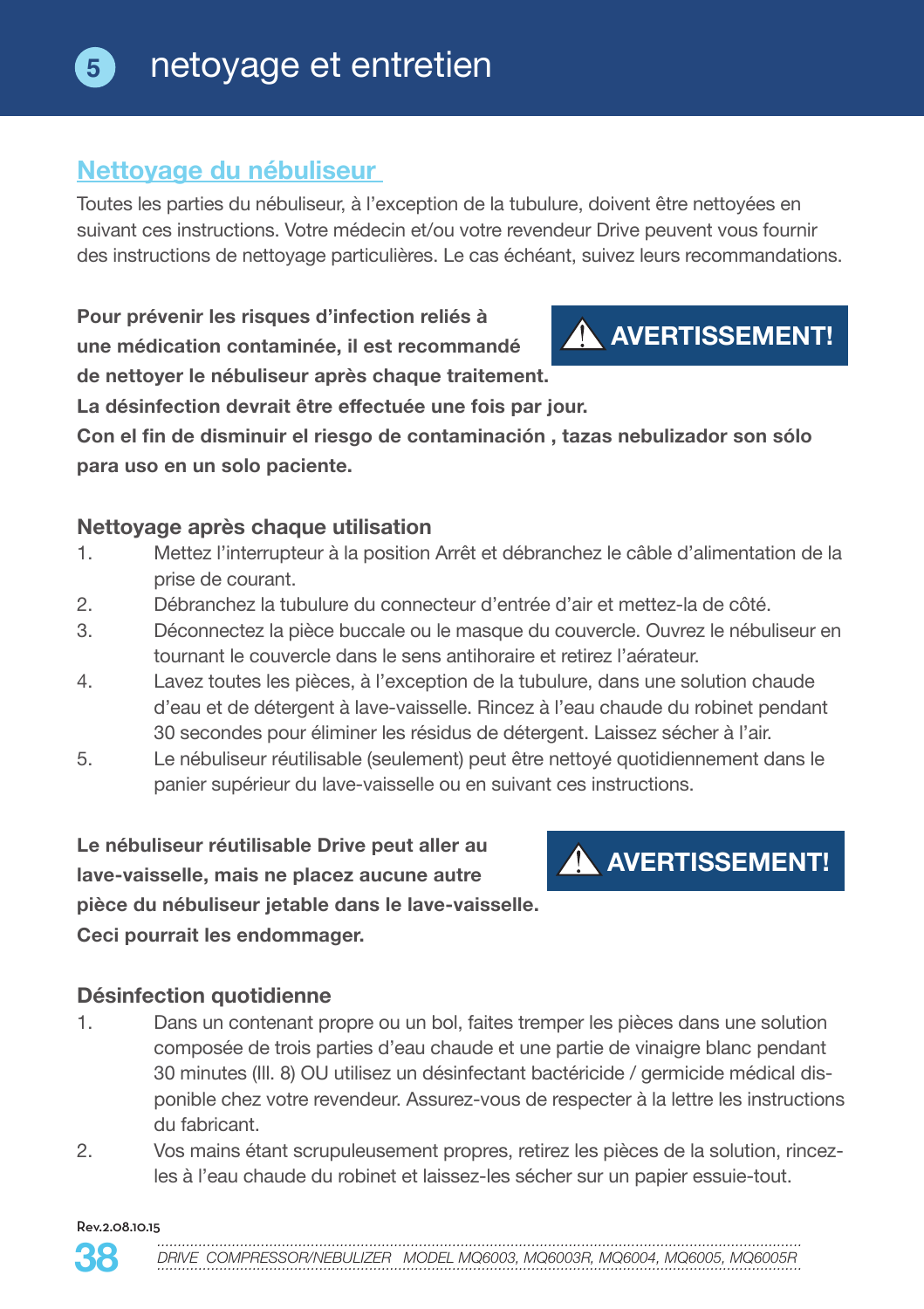## **5** netoyage et entretien

### **Nettoyage du nébuliseur**

Toutes les parties du nébuliseur, à l'exception de la tubulure, doivent être nettoyées en suivant ces instructions. Votre médecin et/ou votre revendeur Drive peuvent vous fournir des instructions de nettoyage particulières. Le cas échéant, suivez leurs recommandations.

**Pour prévenir les risques d'infection reliés à une médication contaminée, il est recommandé de nettoyer le nébuliseur après chaque traitement.** 



**La désinfection devrait être effectuée une fois par jour.**

**Con el fin de disminuir el riesgo de contaminación , tazas nebulizador son sólo para uso en un solo paciente.**

### **Nettoyage après chaque utilisation**

- 1. Mettez l'interrupteur à la position Arrêt et débranchez le câble d'alimentation de la prise de courant.
- 2. Débranchez la tubulure du connecteur d'entrée d'air et mettez-la de côté.
- 3. Déconnectez la pièce buccale ou le masque du couvercle. Ouvrez le nébuliseur en tournant le couvercle dans le sens antihoraire et retirez l'aérateur.
- 4. Lavez toutes les pièces, à l'exception de la tubulure, dans une solution chaude d'eau et de détergent à lave-vaisselle. Rincez à l'eau chaude du robinet pendant 30 secondes pour éliminer les résidus de détergent. Laissez sécher à l'air.
- 5. Le nébuliseur réutilisable (seulement) peut être nettoyé quotidiennement dans le panier supérieur du lave-vaisselle ou en suivant ces instructions.

**Le nébuliseur réutilisable Drive peut aller au lave-vaisselle, mais ne placez aucune autre pièce du nébuliseur jetable dans le lave-vaisselle. Ceci pourrait les endommager.**

## **AVERTISSEMENT!**

#### **Désinfection quotidienne**

- 1. Dans un contenant propre ou un bol, faites tremper les pièces dans une solution composée de trois parties d'eau chaude et une partie de vinaigre blanc pendant 30 minutes (Ill. 8) OU utilisez un désinfectant bactéricide / germicide médical disponible chez votre revendeur. Assurez-vous de respecter à la lettre les instructions du fabricant.
- 2. Vos mains étant scrupuleusement propres, retirez les pièces de la solution, rincezles à l'eau chaude du robinet et laissez-les sécher sur un papier essuie-tout.

Rev.2.08.10.15

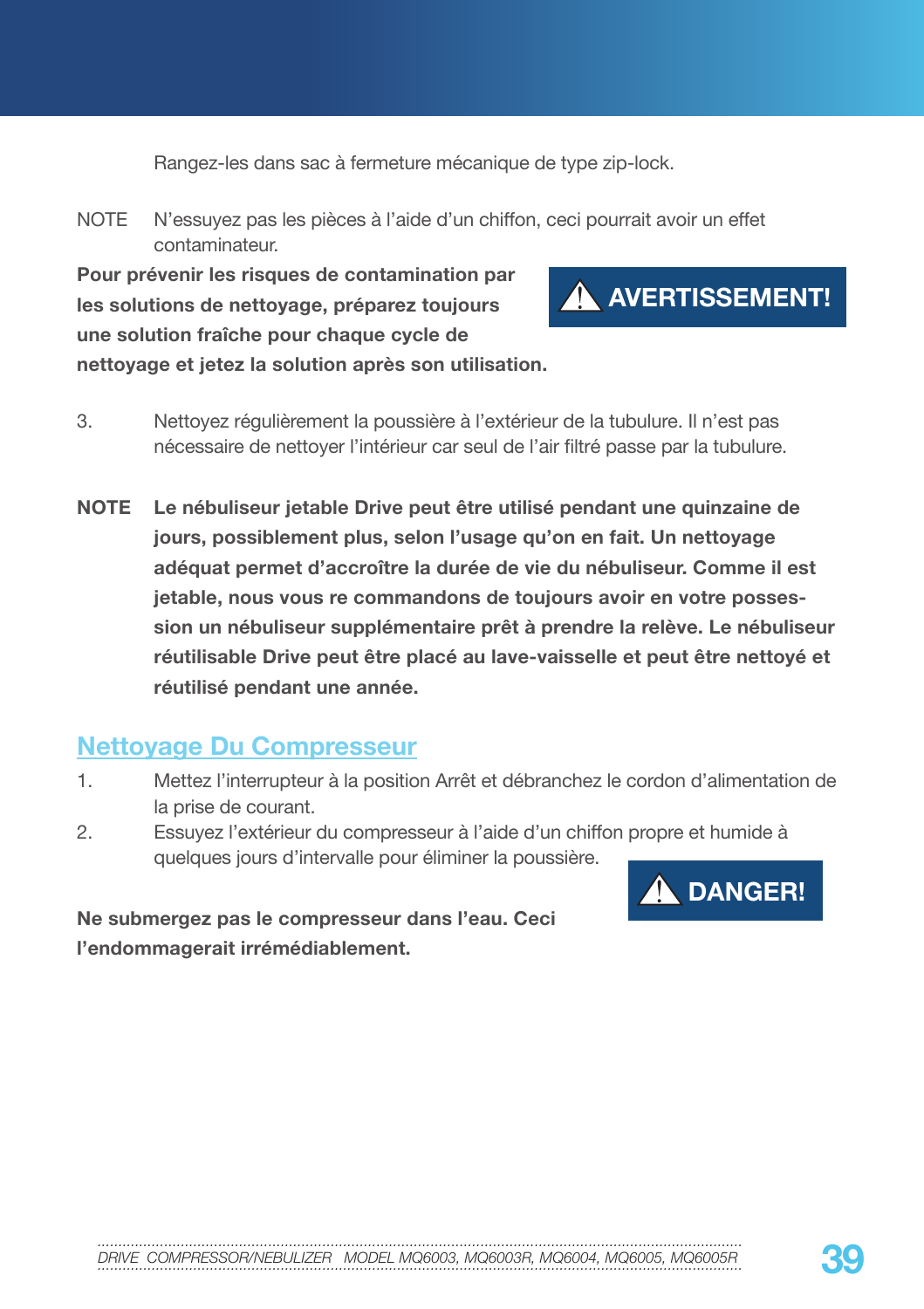Rangez-les dans sac à fermeture mécanique de type zip-lock.

NOTE N'essuyez pas les pièces à l'aide d'un chiffon, ceci pourrait avoir un effet contaminateur.

**Pour prévenir les risques de contamination par les solutions de nettoyage, préparez toujours une solution fraîche pour chaque cycle de nettoyage et jetez la solution après son utilisation.**



- 3. Nettoyez régulièrement la poussière à l'extérieur de la tubulure. Il n'est pas nécessaire de nettoyer l'intérieur car seul de l'air filtré passe par la tubulure.
- **NOTE Le nébuliseur jetable Drive peut être utilisé pendant une quinzaine de jours, possiblement plus, selon l'usage qu'on en fait. Un nettoyage adéquat permet d'accroître la durée de vie du nébuliseur. Comme il est jetable, nous vous re commandons de toujours avoir en votre possession un nébuliseur supplémentaire prêt à prendre la relève. Le nébuliseur réutilisable Drive peut être placé au lave-vaisselle et peut être nettoyé et réutilisé pendant une année.**

### **Nettoyage Du Compresseur**

- 1. Mettez l'interrupteur à la position Arrêt et débranchez le cordon d'alimentation de la prise de courant.
- 2. Essuyez l'extérieur du compresseur à l'aide d'un chiffon propre et humide à quelques jours d'intervalle pour éliminer la poussière.



**Ne submergez pas le compresseur dans l'eau. Ceci l'endommagerait irrémédiablement.**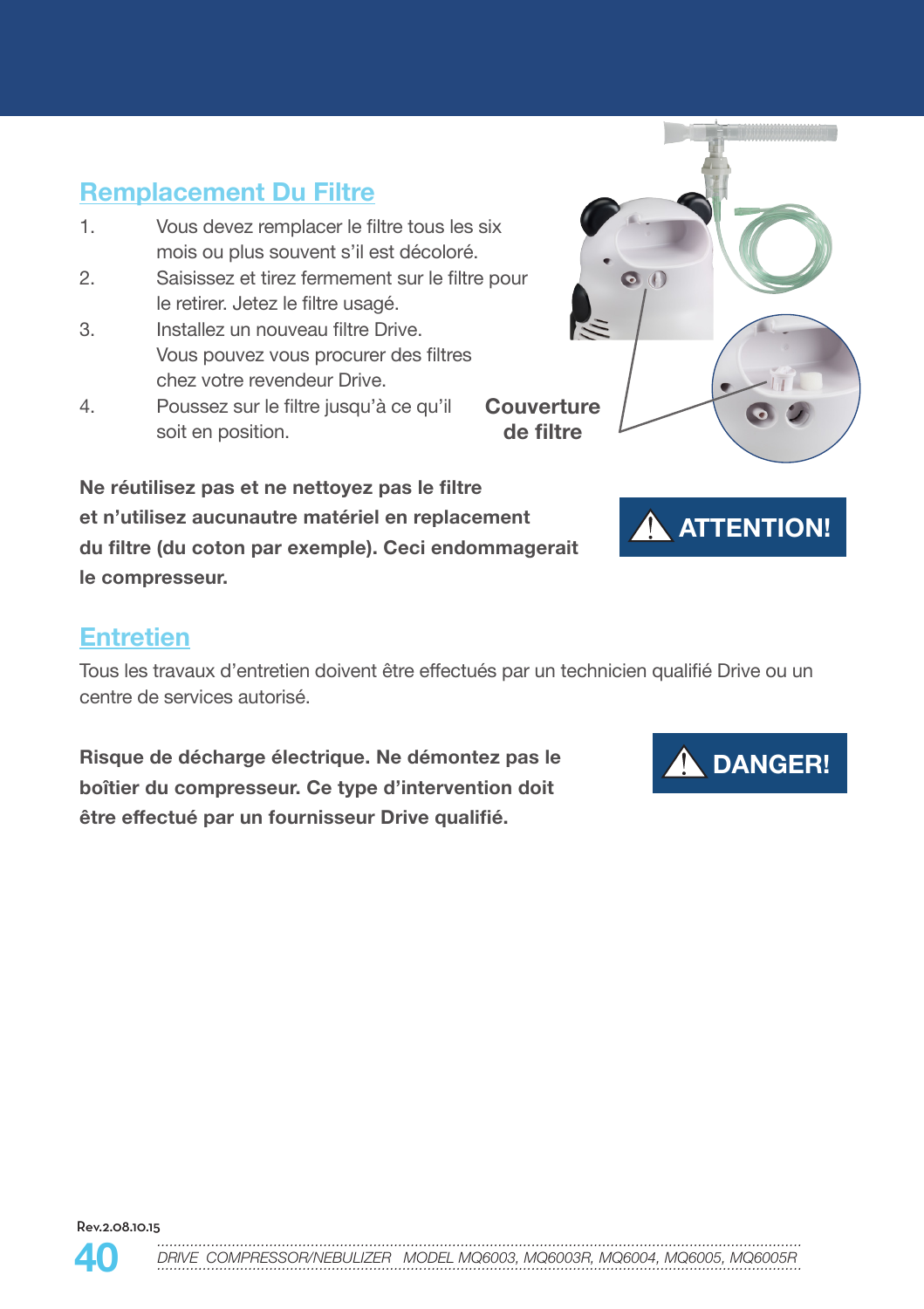## **Remplacement Du Filtre**

- 1. Vous devez remplacer le filtre tous les six mois ou plus souvent s'il est décoloré.
- 2. Saisissez et tirez fermement sur le filtre pour le retirer. Jetez le filtre usagé.
- 3. Installez un nouveau filtre Drive. Vous pouvez vous procurer des filtres chez votre revendeur Drive.
- 4. Poussez sur le filtre jusqu'à ce qu'il soit en position.

**Ne réutilisez pas et ne nettoyez pas le filtre et n'utilisez aucunautre matériel en replacement du filtre (du coton par exemple). Ceci endommagerait le compresseur.** 





### **Entretien**

Tous les travaux d'entretien doivent être effectués par un technicien qualifié Drive ou un centre de services autorisé.

**Risque de décharge électrique. Ne démontez pas le boîtier du compresseur. Ce type d'intervention doit être effectué par un fournisseur Drive qualifié.**





EXAMPLE COMPRESSOR/NEBULIZER MODEL MO6003, MO6003R, MO6004, MO6005, MO6005R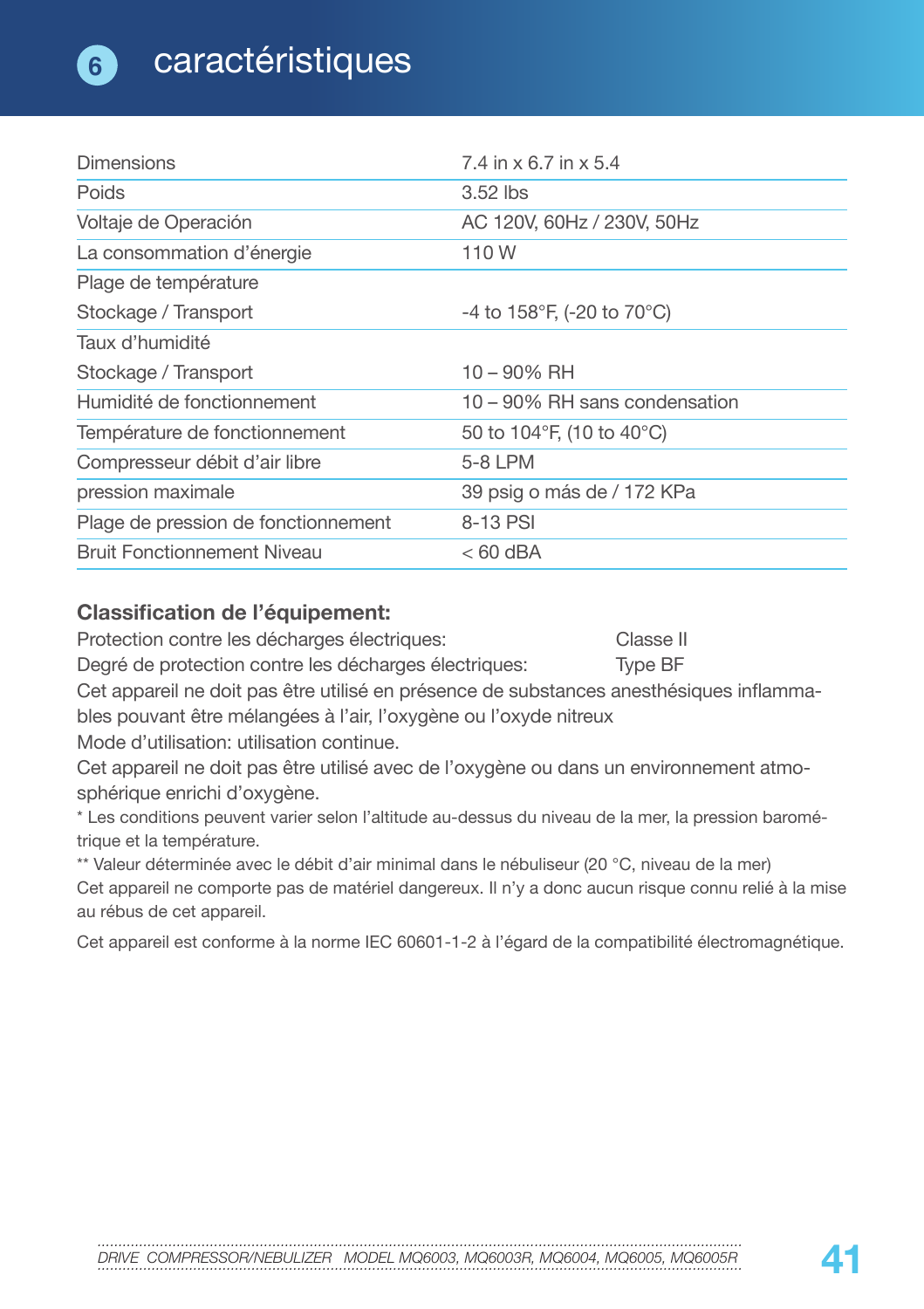| <b>Dimensions</b>                   | 7.4 in x 6.7 in x 5.4                         |
|-------------------------------------|-----------------------------------------------|
| Poids                               | 3.52 lbs                                      |
| Voltaje de Operación                | AC 120V, 60Hz / 230V, 50Hz                    |
| La consommation d'énergie           | 110W                                          |
| Plage de température                |                                               |
| Stockage / Transport                | -4 to 158°F, (-20 to 70°C)                    |
| Taux d'humidité                     |                                               |
| Stockage / Transport                | $10 - 90\%$ RH                                |
| Humidité de fonctionnement          | 10 – 90% RH sans condensation                 |
| Température de fonctionnement       | 50 to 104 $\degree$ F, (10 to 40 $\degree$ C) |
| Compresseur débit d'air libre       | 5-8 LPM                                       |
| pression maximale                   | 39 psig o más de / 172 KPa                    |
| Plage de pression de fonctionnement | 8-13 PSI                                      |
| <b>Bruit Fonctionnement Niveau</b>  | $<$ 60 dBA                                    |

#### **Classification de l'équipement:**

Protection contre les décharges électriques: Classe II Degré de protection contre les décharges électriques: Type BF Cet appareil ne doit pas être utilisé en présence de substances anesthésiques inflammables pouvant être mélangées à l'air, l'oxygène ou l'oxyde nitreux Mode d'utilisation: utilisation continue.

Cet appareil ne doit pas être utilisé avec de l'oxygène ou dans un environnement atmosphérique enrichi d'oxygène.

\* Les conditions peuvent varier selon l'altitude au-dessus du niveau de la mer, la pression barométrique et la température.

\*\* Valeur déterminée avec le débit d'air minimal dans le nébuliseur (20 °C, niveau de la mer) Cet appareil ne comporte pas de matériel dangereux. Il n'y a donc aucun risque connu relié à la mise au rébus de cet appareil.

Cet appareil est conforme à la norme IEC 60601-1-2 à l'égard de la compatibilité électromagnétique.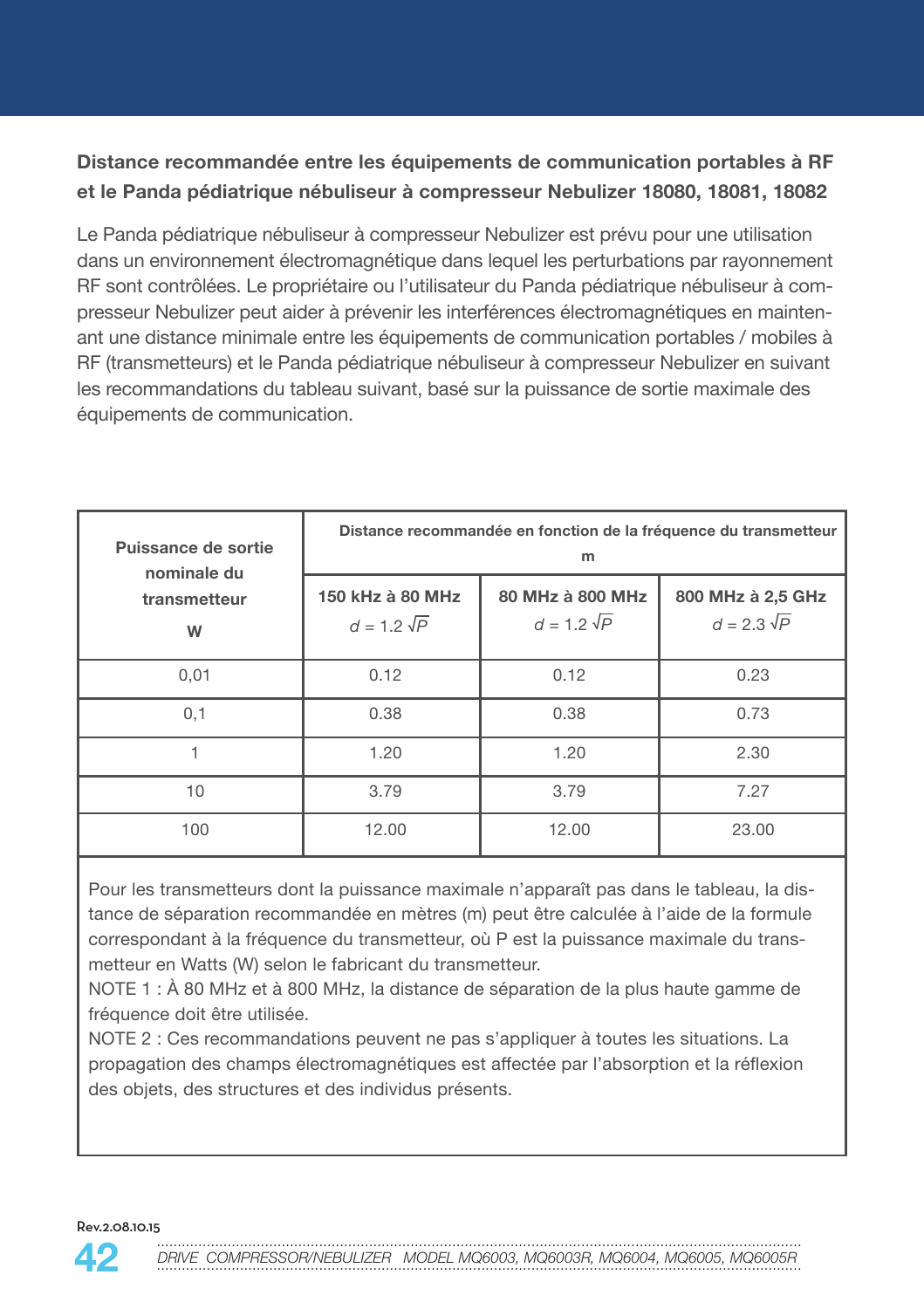### **Distance recommandée entre les équipements de communication portables à RF et le Panda pédiatrique nébuliseur à compresseur Nebulizer 18080, 18081, 18082**

Le Panda pédiatrique nébuliseur à compresseur Nebulizer est prévu pour une utilisation dans un environnement électromagnétique dans lequel les perturbations par rayonnement RF sont contrôlées. Le propriétaire ou l'utilisateur du Panda pédiatrique nébuliseur à compresseur Nebulizer peut aider à prévenir les interférences électromagnétiques en maintenant une distance minimale entre les équipements de communication portables / mobiles à RF (transmetteurs) et le Panda pédiatrique nébuliseur à compresseur Nebulizer en suivant les recommandations du tableau suivant, basé sur la puissance de sortie maximale des équipements de communication.

| Puissance de sortie<br>nominale du<br>transmetteur<br>W | Distance recommandée en fonction de la fréquence du transmetteur<br>m |                                        |                                         |
|---------------------------------------------------------|-----------------------------------------------------------------------|----------------------------------------|-----------------------------------------|
|                                                         | 150 kHz à 80 MHz<br>$d = 1.2 \sqrt{P}$                                | 80 MHz à 800 MHz<br>$d = 1.2 \sqrt{P}$ | 800 MHz à 2,5 GHz<br>$d = 2.3 \sqrt{P}$ |
| 0,01                                                    | 0.12                                                                  | 0.12                                   | 0.23                                    |
| 0,1                                                     | 0.38                                                                  | 0.38                                   | 0.73                                    |
|                                                         | 1.20                                                                  | 1.20                                   | 2.30                                    |
| 10                                                      | 3.79                                                                  | 3.79                                   | 7.27                                    |
| 100                                                     | 12.00                                                                 | 12.00                                  | 23.00                                   |

Pour les transmetteurs dont la puissance maximale n'apparaît pas dans le tableau, la distance de séparation recommandée en mètres (m) peut être calculée à l'aide de la formule correspondant à la fréquence du transmetteur, où P est la puissance maximale du transmetteur en Watts (W) selon le fabricant du transmetteur.

NOTE 1 : À 80 MHz et à 800 MHz, la distance de séparation de la plus haute gamme de fréquence doit être utilisée.

NOTE 2 : Ces recommandations peuvent ne pas s'appliquer à toutes les situations. La propagation des champs électromagnétiques est affectée par l'absorption et la réflexion des objets, des structures et des individus présents.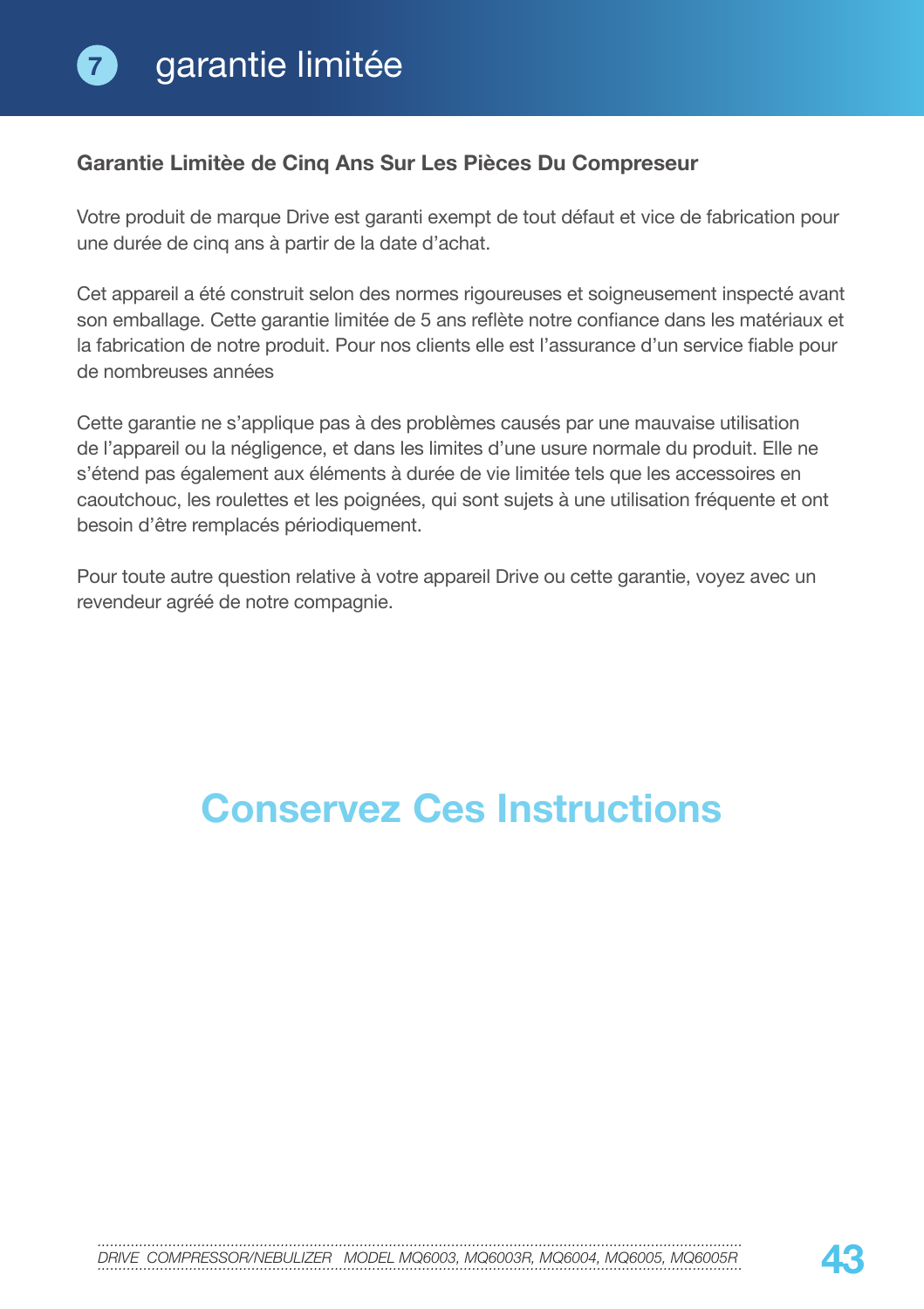### **Garantie Limitèe de Cinq Ans Sur Les Pièces Du Compreseur**

Votre produit de marque Drive est garanti exempt de tout défaut et vice de fabrication pour une durée de cinq ans à partir de la date d'achat.

Cet appareil a été construit selon des normes rigoureuses et soigneusement inspecté avant son emballage. Cette garantie limitée de 5 ans reflète notre confiance dans les matériaux et la fabrication de notre produit. Pour nos clients elle est l'assurance d'un service fiable pour de nombreuses années

Cette garantie ne s'applique pas à des problèmes causés par une mauvaise utilisation de l'appareil ou la négligence, et dans les limites d'une usure normale du produit. Elle ne s'étend pas également aux éléments à durée de vie limitée tels que les accessoires en caoutchouc, les roulettes et les poignées, qui sont sujets à une utilisation fréquente et ont besoin d'être remplacés périodiquement.

Pour toute autre question relative à votre appareil Drive ou cette garantie, voyez avec un revendeur agréé de notre compagnie.

## **Conservez Ces Instructions**